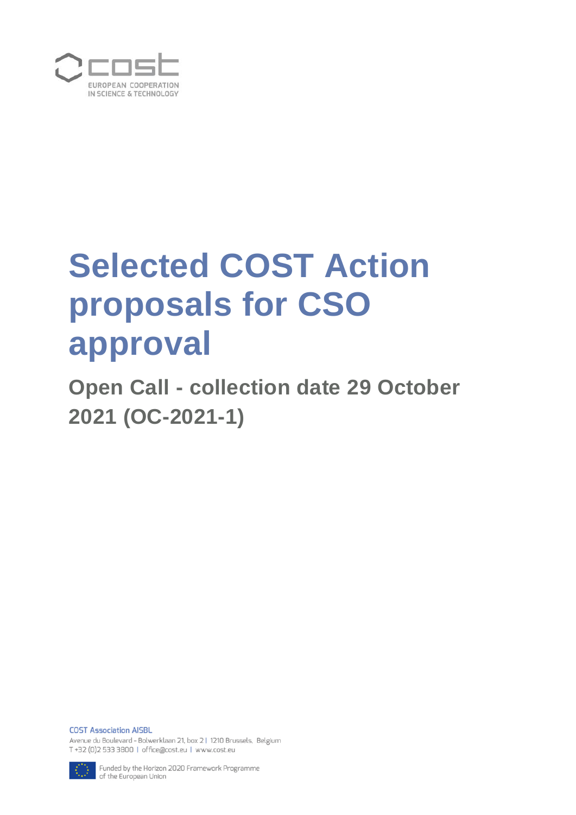

# **Selected COST Action proposals for CSO approval**

**Open Call - collection date 29 October 2021 (OC-2021-1)**

**COST Association AISBL** Avenue du Boulevard - Bolwerklaan 21, box 2 | 1210 Brussels, Belgium T+32 (0)2 533 3800 | office@cost.eu | www.cost.eu



Funded by the Horizon 2020 Framework Programme of the European Union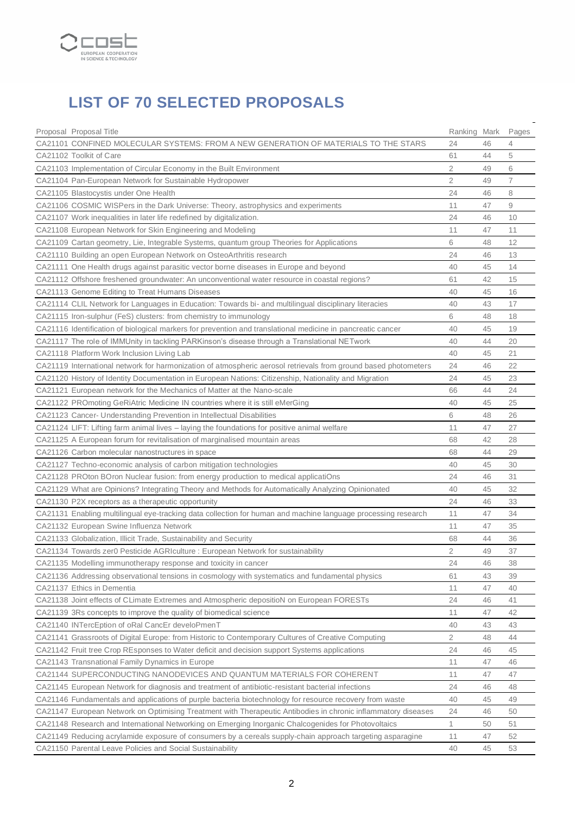

# **LIST OF 70 SELECTED PROPOSALS**

| Proposal Proposal Title                                                                                         | Ranking Mark                     |          | Pages       |
|-----------------------------------------------------------------------------------------------------------------|----------------------------------|----------|-------------|
| CA21101 CONFINED MOLECULAR SYSTEMS: FROM A NEW GENERATION OF MATERIALS TO THE STARS                             | 24                               | 46<br>44 | 4<br>5      |
| CA21102 Toolkit of Care                                                                                         | 61                               |          |             |
| CA21103 Implementation of Circular Economy in the Built Environment                                             | $\overline{2}$<br>$\overline{2}$ | 49       | 6           |
| CA21104 Pan-European Network for Sustainable Hydropower                                                         |                                  | 49       | 7           |
| CA21105 Blastocystis under One Health                                                                           | 24                               | 46       | 8           |
| CA21106 COSMIC WISPers in the Dark Universe: Theory, astrophysics and experiments                               | 11                               | 47       | $\hbox{ }9$ |
| CA21107 Work inequalities in later life redefined by digitalization.                                            | 24                               | 46       | 10          |
| CA21108 European Network for Skin Engineering and Modeling                                                      | 11                               | 47       | 11          |
| CA21109 Cartan geometry, Lie, Integrable Systems, quantum group Theories for Applications                       | 6                                | 48       | 12          |
| CA21110 Building an open European Network on OsteoArthritis research                                            | 24                               | 46       | 13          |
| CA21111 One Health drugs against parasitic vector borne diseases in Europe and beyond                           | 40                               | 45       | 14          |
| CA21112 Offshore freshened groundwater: An unconventional water resource in coastal regions?                    | 61                               | 42       | 15          |
| CA21113 Genome Editing to Treat Humans Diseases                                                                 | 40                               | 45       | 16          |
| CA21114 CLIL Network for Languages in Education: Towards bi- and multilingual disciplinary literacies           | 40                               | 43       | 17          |
| CA21115 Iron-sulphur (FeS) clusters: from chemistry to immunology                                               | 6                                | 48       | 18          |
| CA21116 Identification of biological markers for prevention and translational medicine in pancreatic cancer     | 40                               | 45       | 19          |
| CA21117 The role of IMMUnity in tackling PARKinson's disease through a Translational NETwork                    | 40                               | 44       | 20          |
| CA21118 Platform Work Inclusion Living Lab                                                                      | 40                               | 45       | 21          |
| CA21119 International network for harmonization of atmospheric aerosol retrievals from ground based photometers | 24                               | 46       | 22          |
| CA21120 History of Identity Documentation in European Nations: Citizenship, Nationality and Migration           | 24                               | 45       | 23          |
| CA21121 European network for the Mechanics of Matter at the Nano-scale                                          | 66                               | 44       | 24          |
| CA21122 PROmoting GeRiAtric Medicine IN countries where it is still eMerGing                                    | 40                               | 45       | 25          |
| CA21123 Cancer- Understanding Prevention in Intellectual Disabilities                                           | 6                                | 48       | 26          |
| CA21124 LIFT: Lifting farm animal lives – laying the foundations for positive animal welfare                    | 11                               | 47       | 27          |
| CA21125 A European forum for revitalisation of marginalised mountain areas                                      | 68                               | 42       | 28          |
| CA21126 Carbon molecular nanostructures in space                                                                | 68                               | 44       | 29          |
| CA21127 Techno-economic analysis of carbon mitigation technologies                                              | 40                               | 45       | 30          |
| CA21128 PROton BOron Nuclear fusion: from energy production to medical applicatiOns                             | 24                               | 46       | 31          |
| CA21129 What are Opinions? Integrating Theory and Methods for Automatically Analyzing Opinionated               | 40                               | 45       | 32          |
| CA21130 P2X receptors as a therapeutic opportunity                                                              | 24                               | 46       | 33          |
| CA21131 Enabling multilingual eye-tracking data collection for human and machine language processing research   | 11                               | 47       | 34          |
| CA21132 European Swine Influenza Network                                                                        | 11                               | 47       | 35          |
| CA21133 Globalization, Illicit Trade, Sustainability and Security                                               | 68                               | 44       | 36          |
| CA21134 Towards zer0 Pesticide AGRIculture : European Network for sustainability                                | 2                                | 49       | 37          |
| CA21135 Modelling immunotherapy response and toxicity in cancer                                                 | 24                               | 46       | 38          |
| CA21136 Addressing observational tensions in cosmology with systematics and fundamental physics                 | 61                               | 43       | 39          |
| CA21137 Ethics in Dementia                                                                                      | 11                               | 47       | 40          |
| CA21138 Joint effects of CLimate Extremes and Atmospheric depositioN on European FORESTs                        | 24                               | 46       | 41          |
| CA21139 3Rs concepts to improve the quality of biomedical science                                               | 11                               | 47       | 42          |
| CA21140 INTercEption of oRal CancEr develoPmenT                                                                 | 40                               | 43       | 43          |
| CA21141 Grassroots of Digital Europe: from Historic to Contemporary Cultures of Creative Computing              | $\overline{2}$                   | 48       | 44          |
| CA21142 Fruit tree Crop REsponses to Water deficit and decision support Systems applications                    | 24                               | 46       | 45          |
| CA21143 Transnational Family Dynamics in Europe                                                                 | 11                               | 47       | 46          |
| CA21144 SUPERCONDUCTING NANODEVICES AND QUANTUM MATERIALS FOR COHERENT                                          | 11                               | 47       | 47          |
| CA21145 European Network for diagnosis and treatment of antibiotic-resistant bacterial infections               | 24                               | 46       | 48          |
| CA21146 Fundamentals and applications of purple bacteria biotechnology for resource recovery from waste         | 40                               | 45       | 49          |
| CA21147 European Network on Optimising Treatment with Therapeutic Antibodies in chronic inflammatory diseases   | 24                               | 46       | 50          |
| CA21148 Research and International Networking on Emerging Inorganic Chalcogenides for Photovoltaics             | 1                                | 50       | 51          |
| CA21149 Reducing acrylamide exposure of consumers by a cereals supply-chain approach targeting asparagine       | 11                               | 47       | 52          |
| CA21150 Parental Leave Policies and Social Sustainability                                                       | 40                               | 45       | 53          |
|                                                                                                                 |                                  |          |             |

L.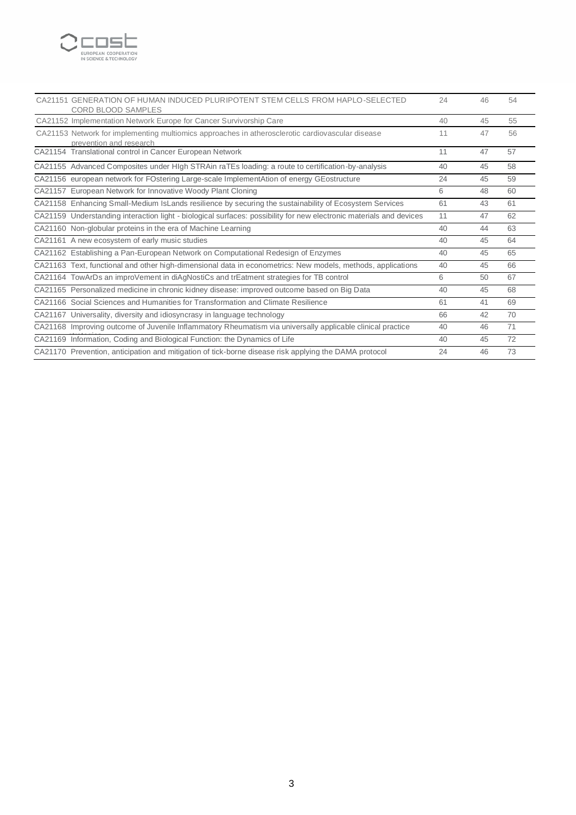

| CA21151 GENERATION OF HUMAN INDUCED PLURIPOTENT STEM CELLS FROM HAPLO-SELECTED<br><b>CORD BLOOD SAMPLES</b>                 | 24 | 46 | 54 |
|-----------------------------------------------------------------------------------------------------------------------------|----|----|----|
| CA21152 Implementation Network Europe for Cancer Survivorship Care                                                          | 40 | 45 | 55 |
| CA21153 Network for implementing multiomics approaches in atherosclerotic cardiovascular disease<br>prevention and research | 11 | 47 | 56 |
| CA21154 Translational control in Cancer European Network                                                                    | 11 | 47 | 57 |
| CA21155 Advanced Composites under HIgh STRAin raTEs loading: a route to certification-by-analysis                           | 40 | 45 | 58 |
| CA21156 european network for FOstering Large-scale ImplementAtion of energy GEostructure                                    | 24 | 45 | 59 |
| CA21157 European Network for Innovative Woody Plant Cloning                                                                 | 6  | 48 | 60 |
| CA21158 Enhancing Small-Medium IsLands resilience by securing the sustainability of Ecosystem Services                      | 61 | 43 | 61 |
| CA21159 Understanding interaction light - biological surfaces: possibility for new electronic materials and devices         | 11 | 47 | 62 |
| CA21160 Non-globular proteins in the era of Machine Learning                                                                | 40 | 44 | 63 |
| CA21161 A new ecosystem of early music studies                                                                              | 40 | 45 | 64 |
| CA21162 Establishing a Pan-European Network on Computational Redesign of Enzymes                                            | 40 | 45 | 65 |
| CA21163 Text, functional and other high-dimensional data in econometrics: New models, methods, applications                 | 40 | 45 | 66 |
| CA21164 TowArDs an improVement in diAgNostiCs and trEatment strategies for TB control                                       | 6  | 50 | 67 |
| CA21165 Personalized medicine in chronic kidney disease: improved outcome based on Big Data                                 | 40 | 45 | 68 |
| CA21166 Social Sciences and Humanities for Transformation and Climate Resilience                                            | 61 | 41 | 69 |
| CA21167 Universality, diversity and idiosyncrasy in language technology                                                     | 66 | 42 | 70 |
| CA21168 Improving outcome of Juvenile Inflammatory Rheumatism via universally applicable clinical practice                  | 40 | 46 | 71 |
| CA21169 Information, Coding and Biological Function: the Dynamics of Life                                                   | 40 | 45 | 72 |
| CA21170 Prevention, anticipation and mitigation of tick-borne disease risk applying the DAMA protocol                       | 24 | 46 | 73 |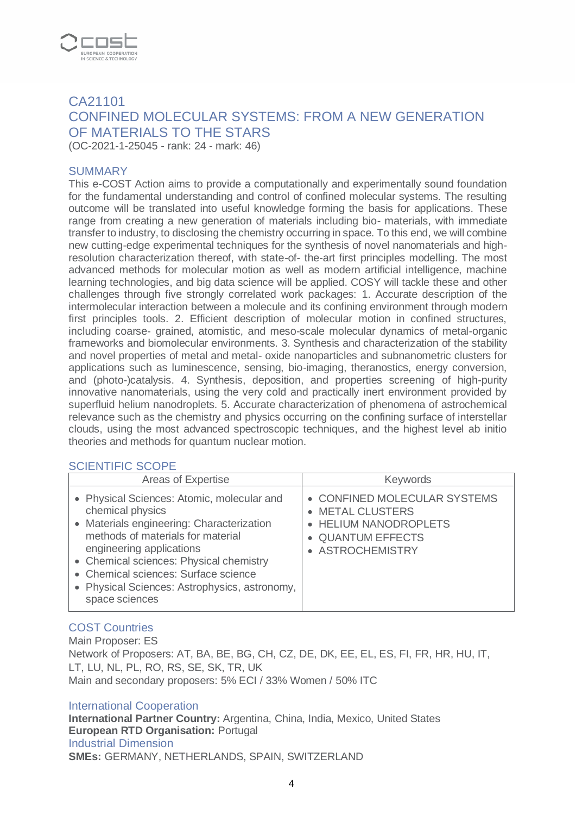

# CA21101 CONFINED MOLECULAR SYSTEMS: FROM A NEW GENERATION OF MATERIALS TO THE STARS

(OC-2021-1-25045 - rank: 24 - mark: 46)

#### **SUMMARY**

This e-COST Action aims to provide a computationally and experimentally sound foundation for the fundamental understanding and control of confined molecular systems. The resulting outcome will be translated into useful knowledge forming the basis for applications. These range from creating a new generation of materials including bio- materials, with immediate transfer to industry, to disclosing the chemistry occurring in space. To this end, we will combine new cutting-edge experimental techniques for the synthesis of novel nanomaterials and highresolution characterization thereof, with state-of- the-art first principles modelling. The most advanced methods for molecular motion as well as modern artificial intelligence, machine learning technologies, and big data science will be applied. COSY will tackle these and other challenges through five strongly correlated work packages: 1. Accurate description of the intermolecular interaction between a molecule and its confining environment through modern first principles tools. 2. Efficient description of molecular motion in confined structures, including coarse- grained, atomistic, and meso-scale molecular dynamics of metal-organic frameworks and biomolecular environments. 3. Synthesis and characterization of the stability and novel properties of metal and metal- oxide nanoparticles and subnanometric clusters for applications such as luminescence, sensing, bio-imaging, theranostics, energy conversion, and (photo-)catalysis. 4. Synthesis, deposition, and properties screening of high-purity innovative nanomaterials, using the very cold and practically inert environment provided by superfluid helium nanodroplets. 5. Accurate characterization of phenomena of astrochemical relevance such as the chemistry and physics occurring on the confining surface of interstellar clouds, using the most advanced spectroscopic techniques, and the highest level ab initio theories and methods for quantum nuclear motion.

#### SCIENTIFIC SCOPE

| Areas of Expertise                                                                                                                                                                                                                                                                                                                 | <b>Keywords</b>                                                                                                    |
|------------------------------------------------------------------------------------------------------------------------------------------------------------------------------------------------------------------------------------------------------------------------------------------------------------------------------------|--------------------------------------------------------------------------------------------------------------------|
| • Physical Sciences: Atomic, molecular and<br>chemical physics<br>• Materials engineering: Characterization<br>methods of materials for material<br>engineering applications<br>• Chemical sciences: Physical chemistry<br>• Chemical sciences: Surface science<br>• Physical Sciences: Astrophysics, astronomy,<br>space sciences | • CONFINED MOLECULAR SYSTEMS<br>• METAL CLUSTERS<br>• HELIUM NANODROPLETS<br>• QUANTUM EFFECTS<br>• ASTROCHEMISTRY |

#### COST Countries

Main Proposer: ES Network of Proposers: AT, BA, BE, BG, CH, CZ, DE, DK, EE, EL, ES, FI, FR, HR, HU, IT, LT, LU, NL, PL, RO, RS, SE, SK, TR, UK Main and secondary proposers: 5% ECI / 33% Women / 50% ITC

#### International Cooperation

**International Partner Country:** Argentina, China, India, Mexico, United States **European RTD Organisation:** Portugal Industrial Dimension **SMEs:** GERMANY, NETHERLANDS, SPAIN, SWITZERLAND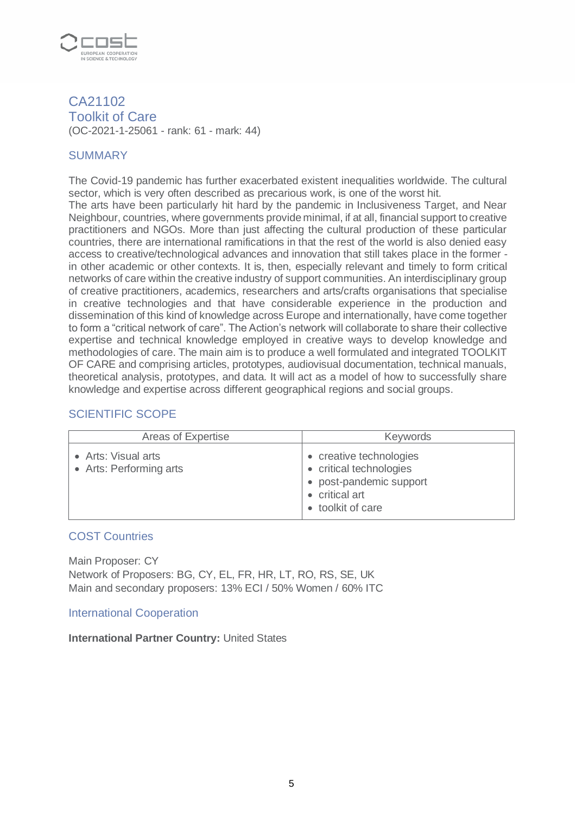

CA21102 Toolkit of Care (OC-2021-1-25061 - rank: 61 - mark: 44)

# **SUMMARY**

The Covid-19 pandemic has further exacerbated existent inequalities worldwide. The cultural sector, which is very often described as precarious work, is one of the worst hit.

The arts have been particularly hit hard by the pandemic in Inclusiveness Target, and Near Neighbour, countries, where governments provide minimal, if at all, financial support to creative practitioners and NGOs. More than just affecting the cultural production of these particular countries, there are international ramifications in that the rest of the world is also denied easy access to creative/technological advances and innovation that still takes place in the former in other academic or other contexts. It is, then, especially relevant and timely to form critical networks of care within the creative industry of support communities. An interdisciplinary group of creative practitioners, academics, researchers and arts/crafts organisations that specialise in creative technologies and that have considerable experience in the production and dissemination of this kind of knowledge across Europe and internationally, have come together to form a "critical network of care". The Action's network will collaborate to share their collective expertise and technical knowledge employed in creative ways to develop knowledge and methodologies of care. The main aim is to produce a well formulated and integrated TOOLKIT OF CARE and comprising articles, prototypes, audiovisual documentation, technical manuals, theoretical analysis, prototypes, and data. It will act as a model of how to successfully share knowledge and expertise across different geographical regions and social groups.

# SCIENTIFIC SCOPE

| Areas of Expertise                             | <b>Keywords</b>                                                                                                      |
|------------------------------------------------|----------------------------------------------------------------------------------------------------------------------|
| • Arts: Visual arts<br>• Arts: Performing arts | • creative technologies<br>• critical technologies<br>• post-pandemic support<br>• critical art<br>• toolkit of care |

#### COST Countries

Main Proposer: CY Network of Proposers: BG, CY, EL, FR, HR, LT, RO, RS, SE, UK Main and secondary proposers: 13% ECI / 50% Women / 60% ITC

#### International Cooperation

#### **International Partner Country:** United States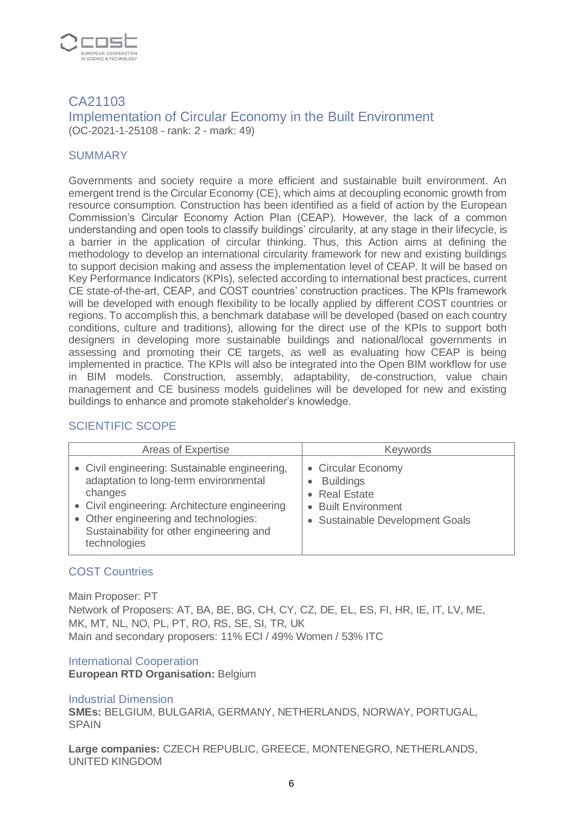

### CA21103 Implementation of Circular Economy in the Built Environment (OC-2021-1-25108 - rank: 2 - mark: 49)

## **SUMMARY**

Governments and society require a more efficient and sustainable built environment. An emergent trend is the Circular Economy (CE), which aims at decoupling economic growth from resource consumption. Construction has been identified as a field of action by the European Commission's Circular Economy Action Plan (CEAP). However, the lack of a common understanding and open tools to classify buildings' circularity, at any stage in their lifecycle, is a barrier in the application of circular thinking. Thus, this Action aims at defining the methodology to develop an international circularity framework for new and existing buildings to support decision making and assess the implementation level of CEAP. It will be based on Key Performance Indicators (KPIs), selected according to international best practices, current CE state-of-the-art, CEAP, and COST countries' construction practices. The KPIs framework will be developed with enough flexibility to be locally applied by different COST countries or regions. To accomplish this, a benchmark database will be developed (based on each country conditions, culture and traditions), allowing for the direct use of the KPIs to support both designers in developing more sustainable buildings and national/local governments in assessing and promoting their CE targets, as well as evaluating how CEAP is being implemented in practice. The KPIs will also be integrated into the Open BIM workflow for use in BIM models. Construction, assembly, adaptability, de-construction, value chain management and CE business models guidelines will be developed for new and existing buildings to enhance and promote stakeholder's knowledge.

# SCIENTIFIC SCOPE

| Areas of Expertise                                                                                                                                                                                                                                      | Keywords                                                                                                               |
|---------------------------------------------------------------------------------------------------------------------------------------------------------------------------------------------------------------------------------------------------------|------------------------------------------------------------------------------------------------------------------------|
| • Civil engineering: Sustainable engineering,<br>adaptation to long-term environmental<br>changes<br>• Civil engineering: Architecture engineering<br>• Other engineering and technologies:<br>Sustainability for other engineering and<br>technologies | • Circular Economy<br><b>Buildings</b><br>• Real Estate<br><b>Built Environment</b><br>• Sustainable Development Goals |

# COST Countries

Main Proposer: PT Network of Proposers: AT, BA, BE, BG, CH, CY, CZ, DE, EL, ES, FI, HR, IE, IT, LV, ME, MK, MT, NL, NO, PL, PT, RO, RS, SE, SI, TR, UK Main and secondary proposers: 11% ECI / 49% Women / 53% ITC

#### International Cooperation

**European RTD Organisation:** Belgium

#### Industrial Dimension

**SMEs:** BELGIUM, BULGARIA, GERMANY, NETHERLANDS, NORWAY, PORTUGAL, SPAIN

**Large companies:** CZECH REPUBLIC, GREECE, MONTENEGRO, NETHERLANDS, UNITED KINGDOM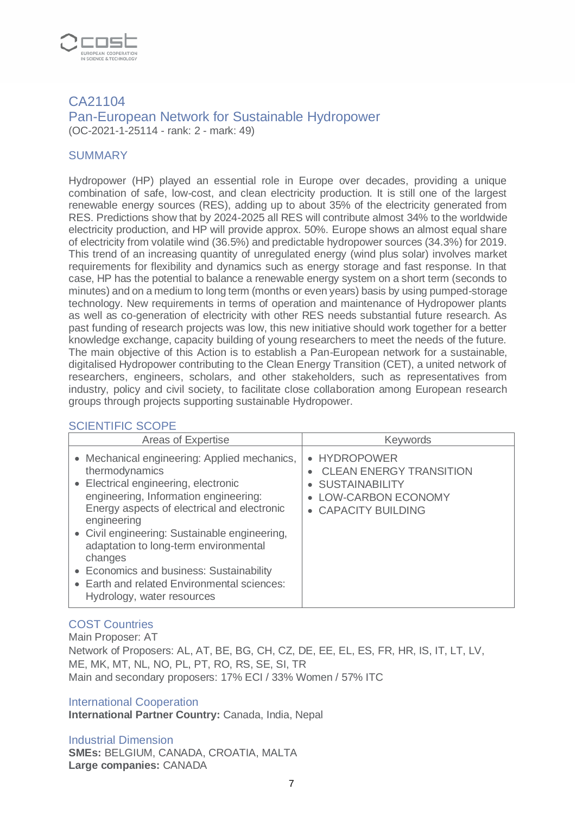

#### CA21104 Pan-European Network for Sustainable Hydropower (OC-2021-1-25114 - rank: 2 - mark: 49)

#### **SUMMARY**

Hydropower (HP) played an essential role in Europe over decades, providing a unique combination of safe, low-cost, and clean electricity production. It is still one of the largest renewable energy sources (RES), adding up to about 35% of the electricity generated from RES. Predictions show that by 2024-2025 all RES will contribute almost 34% to the worldwide electricity production, and HP will provide approx. 50%. Europe shows an almost equal share of electricity from volatile wind (36.5%) and predictable hydropower sources (34.3%) for 2019. This trend of an increasing quantity of unregulated energy (wind plus solar) involves market requirements for flexibility and dynamics such as energy storage and fast response. In that case, HP has the potential to balance a renewable energy system on a short term (seconds to minutes) and on a medium to long term (months or even years) basis by using pumped-storage technology. New requirements in terms of operation and maintenance of Hydropower plants as well as co-generation of electricity with other RES needs substantial future research. As past funding of research projects was low, this new initiative should work together for a better knowledge exchange, capacity building of young researchers to meet the needs of the future. The main objective of this Action is to establish a Pan-European network for a sustainable, digitalised Hydropower contributing to the Clean Energy Transition (CET), a united network of researchers, engineers, scholars, and other stakeholders, such as representatives from industry, policy and civil society, to facilitate close collaboration among European research groups through projects supporting sustainable Hydropower.

#### SCIENTIFIC SCOPE

| Areas of Expertise                                                                                                                                                                                                                                                                                                                                                                                                                          | <b>Keywords</b>                                                                                                                          |
|---------------------------------------------------------------------------------------------------------------------------------------------------------------------------------------------------------------------------------------------------------------------------------------------------------------------------------------------------------------------------------------------------------------------------------------------|------------------------------------------------------------------------------------------------------------------------------------------|
| • Mechanical engineering: Applied mechanics,<br>thermodynamics<br>• Electrical engineering, electronic<br>engineering, Information engineering:<br>Energy aspects of electrical and electronic<br>engineering<br>• Civil engineering: Sustainable engineering,<br>adaptation to long-term environmental<br>changes<br>• Economics and business: Sustainability<br>• Earth and related Environmental sciences:<br>Hydrology, water resources | • HYDROPOWER<br><b>CLEAN ENERGY TRANSITION</b><br><b>SUSTAINABILITY</b><br>$\bullet$<br><b>LOW-CARBON ECONOMY</b><br>• CAPACITY BUILDING |

#### COST Countries

Main Proposer: AT Network of Proposers: AL, AT, BE, BG, CH, CZ, DE, EE, EL, ES, FR, HR, IS, IT, LT, LV, ME, MK, MT, NL, NO, PL, PT, RO, RS, SE, SI, TR Main and secondary proposers: 17% ECI / 33% Women / 57% ITC

#### International Cooperation

**International Partner Country:** Canada, India, Nepal

#### Industrial Dimension

**SMEs:** BELGIUM, CANADA, CROATIA, MALTA **Large companies:** CANADA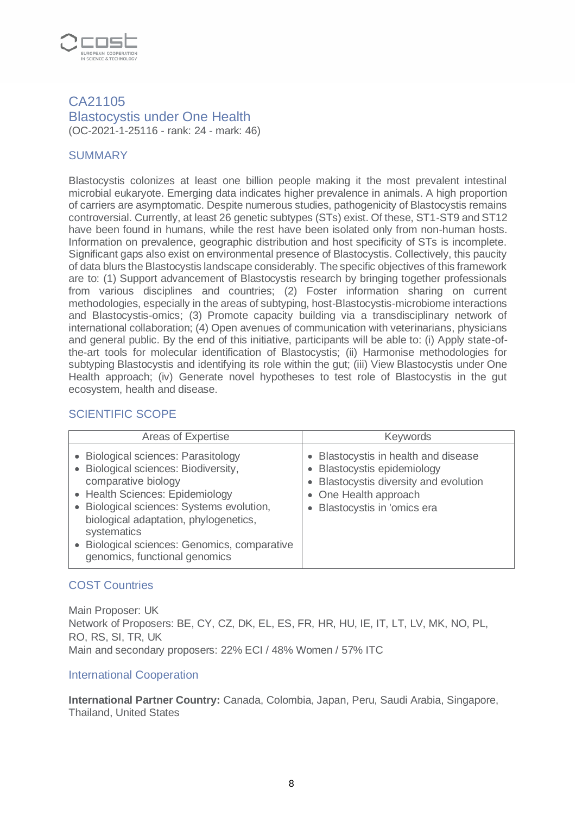

# CA21105 Blastocystis under One Health (OC-2021-1-25116 - rank: 24 - mark: 46)

## **SUMMARY**

Blastocystis colonizes at least one billion people making it the most prevalent intestinal microbial eukaryote. Emerging data indicates higher prevalence in animals. A high proportion of carriers are asymptomatic. Despite numerous studies, pathogenicity of Blastocystis remains controversial. Currently, at least 26 genetic subtypes (STs) exist. Of these, ST1-ST9 and ST12 have been found in humans, while the rest have been isolated only from non-human hosts. Information on prevalence, geographic distribution and host specificity of STs is incomplete. Significant gaps also exist on environmental presence of Blastocystis. Collectively, this paucity of data blurs the Blastocystis landscape considerably. The specific objectives of this framework are to: (1) Support advancement of Blastocystis research by bringing together professionals from various disciplines and countries; (2) Foster information sharing on current methodologies, especially in the areas of subtyping, host-Blastocystis-microbiome interactions and Blastocystis-omics; (3) Promote capacity building via a transdisciplinary network of international collaboration; (4) Open avenues of communication with veterinarians, physicians and general public. By the end of this initiative, participants will be able to: (i) Apply state-ofthe-art tools for molecular identification of Blastocystis; (ii) Harmonise methodologies for subtyping Blastocystis and identifying its role within the gut; (iii) View Blastocystis under One Health approach; (iv) Generate novel hypotheses to test role of Blastocystis in the gut ecosystem, health and disease.

# SCIENTIFIC SCOPE

| Areas of Expertise                                                                                                                                                                                                                                                                                                          | <b>Keywords</b>                                                                                                                                                                                 |
|-----------------------------------------------------------------------------------------------------------------------------------------------------------------------------------------------------------------------------------------------------------------------------------------------------------------------------|-------------------------------------------------------------------------------------------------------------------------------------------------------------------------------------------------|
| • Biological sciences: Parasitology<br>• Biological sciences: Biodiversity,<br>comparative biology<br>• Health Sciences: Epidemiology<br>• Biological sciences: Systems evolution,<br>biological adaptation, phylogenetics,<br>systematics<br>· Biological sciences: Genomics, comparative<br>genomics, functional genomics | Blastocystis in health and disease<br>$\bullet$<br><b>Blastocystis epidemiology</b><br>$\bullet$<br>Blastocystis diversity and evolution<br>• One Health approach<br>Blastocystis in 'omics era |

#### COST Countries

Main Proposer: UK Network of Proposers: BE, CY, CZ, DK, EL, ES, FR, HR, HU, IE, IT, LT, LV, MK, NO, PL, RO, RS, SI, TR, UK Main and secondary proposers: 22% ECI / 48% Women / 57% ITC

#### International Cooperation

**International Partner Country:** Canada, Colombia, Japan, Peru, Saudi Arabia, Singapore, Thailand, United States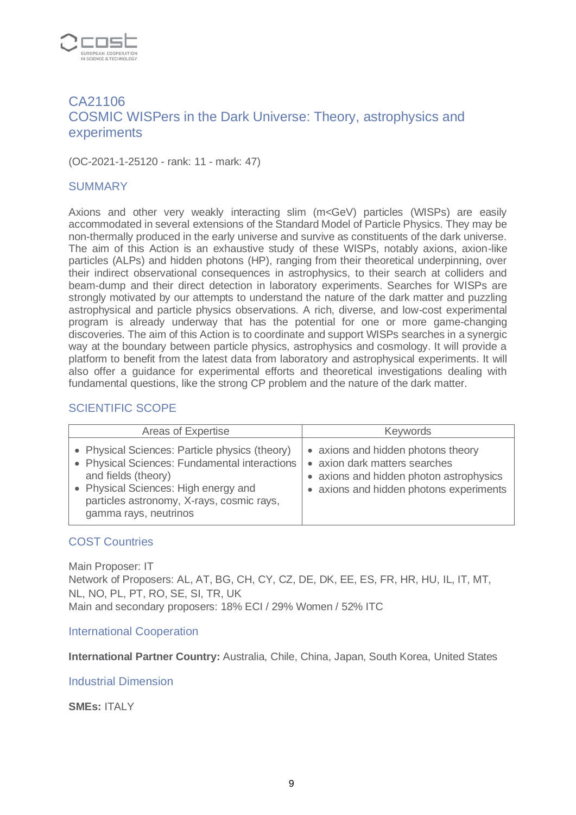

# CA21106 COSMIC WISPers in the Dark Universe: Theory, astrophysics and experiments

(OC-2021-1-25120 - rank: 11 - mark: 47)

#### SUMMARY

Axions and other very weakly interacting slim (m<GeV) particles (WISPs) are easily accommodated in several extensions of the Standard Model of Particle Physics. They may be non-thermally produced in the early universe and survive as constituents of the dark universe. The aim of this Action is an exhaustive study of these WISPs, notably axions, axion-like particles (ALPs) and hidden photons (HP), ranging from their theoretical underpinning, over their indirect observational consequences in astrophysics, to their search at colliders and beam-dump and their direct detection in laboratory experiments. Searches for WISPs are strongly motivated by our attempts to understand the nature of the dark matter and puzzling astrophysical and particle physics observations. A rich, diverse, and low-cost experimental program is already underway that has the potential for one or more game-changing discoveries. The aim of this Action is to coordinate and support WISPs searches in a synergic way at the boundary between particle physics, astrophysics and cosmology. It will provide a platform to benefit from the latest data from laboratory and astrophysical experiments. It will also offer a guidance for experimental efforts and theoretical investigations dealing with fundamental questions, like the strong CP problem and the nature of the dark matter.

#### SCIENTIFIC SCOPE

| Areas of Expertise                                                                                                                                                                                                                   | <b>Keywords</b>                                                                                                                                           |
|--------------------------------------------------------------------------------------------------------------------------------------------------------------------------------------------------------------------------------------|-----------------------------------------------------------------------------------------------------------------------------------------------------------|
| • Physical Sciences: Particle physics (theory)<br>• Physical Sciences: Fundamental interactions<br>and fields (theory)<br>• Physical Sciences: High energy and<br>particles astronomy, X-rays, cosmic rays,<br>gamma rays, neutrinos | • axions and hidden photons theory<br>• axion dark matters searches<br>• axions and hidden photon astrophysics<br>• axions and hidden photons experiments |

#### COST Countries

Main Proposer: IT Network of Proposers: AL, AT, BG, CH, CY, CZ, DE, DK, EE, ES, FR, HR, HU, IL, IT, MT, NL, NO, PL, PT, RO, SE, SI, TR, UK Main and secondary proposers: 18% ECI / 29% Women / 52% ITC

#### International Cooperation

**International Partner Country:** Australia, Chile, China, Japan, South Korea, United States

#### Industrial Dimension

**SMEs:** ITALY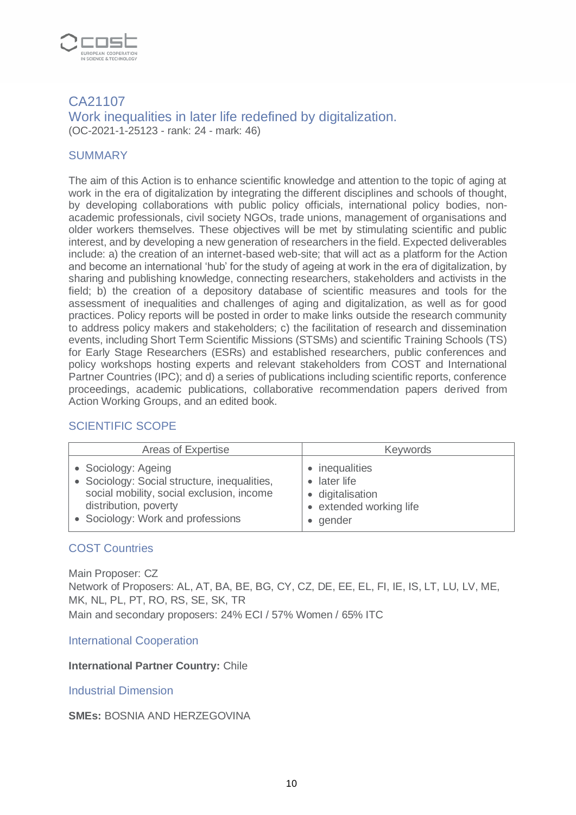

## CA21107 Work inequalities in later life redefined by digitalization. (OC-2021-1-25123 - rank: 24 - mark: 46)

## **SUMMARY**

The aim of this Action is to enhance scientific knowledge and attention to the topic of aging at work in the era of digitalization by integrating the different disciplines and schools of thought, by developing collaborations with public policy officials, international policy bodies, nonacademic professionals, civil society NGOs, trade unions, management of organisations and older workers themselves. These objectives will be met by stimulating scientific and public interest, and by developing a new generation of researchers in the field. Expected deliverables include: a) the creation of an internet-based web-site; that will act as a platform for the Action and become an international 'hub' for the study of ageing at work in the era of digitalization, by sharing and publishing knowledge, connecting researchers, stakeholders and activists in the field; b) the creation of a depository database of scientific measures and tools for the assessment of inequalities and challenges of aging and digitalization, as well as for good practices. Policy reports will be posted in order to make links outside the research community to address policy makers and stakeholders; c) the facilitation of research and dissemination events, including Short Term Scientific Missions (STSMs) and scientific Training Schools (TS) for Early Stage Researchers (ESRs) and established researchers, public conferences and policy workshops hosting experts and relevant stakeholders from COST and International Partner Countries (IPC); and d) a series of publications including scientific reports, conference proceedings, academic publications, collaborative recommendation papers derived from Action Working Groups, and an edited book.

# SCIENTIFIC SCOPE

| Areas of Expertise                           | <b>Keywords</b>         |
|----------------------------------------------|-------------------------|
| • Sociology: Ageing                          | inequalities            |
| • Sociology: Social structure, inequalities, | later life              |
| social mobility, social exclusion, income    | · digitalisation        |
| distribution, poverty                        | • extended working life |
| • Sociology: Work and professions            | gender                  |

## COST Countries

Main Proposer: CZ Network of Proposers: AL, AT, BA, BE, BG, CY, CZ, DE, EE, EL, FI, IE, IS, LT, LU, LV, ME, MK, NL, PL, PT, RO, RS, SE, SK, TR Main and secondary proposers: 24% ECI / 57% Women / 65% ITC

International Cooperation

**International Partner Country:** Chile

Industrial Dimension

**SMEs:** BOSNIA AND HERZEGOVINA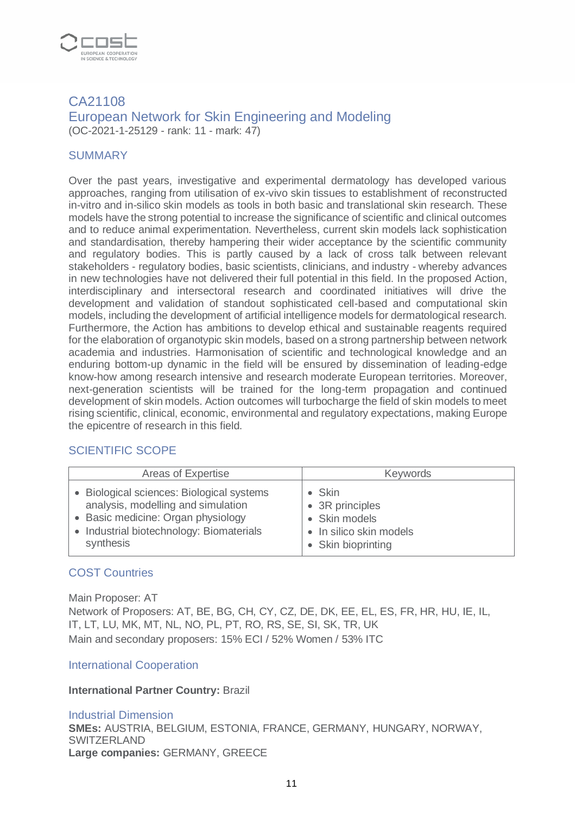

## CA21108 European Network for Skin Engineering and Modeling (OC-2021-1-25129 - rank: 11 - mark: 47)

#### **SUMMARY**

Over the past years, investigative and experimental dermatology has developed various approaches, ranging from utilisation of ex-vivo skin tissues to establishment of reconstructed in-vitro and in-silico skin models as tools in both basic and translational skin research. These models have the strong potential to increase the significance of scientific and clinical outcomes and to reduce animal experimentation. Nevertheless, current skin models lack sophistication and standardisation, thereby hampering their wider acceptance by the scientific community and regulatory bodies. This is partly caused by a lack of cross talk between relevant stakeholders - regulatory bodies, basic scientists, clinicians, and industry - whereby advances in new technologies have not delivered their full potential in this field. In the proposed Action, interdisciplinary and intersectoral research and coordinated initiatives will drive the development and validation of standout sophisticated cell-based and computational skin models, including the development of artificial intelligence models for dermatological research. Furthermore, the Action has ambitions to develop ethical and sustainable reagents required for the elaboration of organotypic skin models, based on a strong partnership between network academia and industries. Harmonisation of scientific and technological knowledge and an enduring bottom-up dynamic in the field will be ensured by dissemination of leading-edge know-how among research intensive and research moderate European territories. Moreover, next-generation scientists will be trained for the long-term propagation and continued development of skin models. Action outcomes will turbocharge the field of skin models to meet rising scientific, clinical, economic, environmental and regulatory expectations, making Europe the epicentre of research in this field.

#### SCIENTIFIC SCOPE

| Areas of Expertise                        | <b>Keywords</b>         |
|-------------------------------------------|-------------------------|
| • Biological sciences: Biological systems | $\bullet$ Skin          |
| analysis, modelling and simulation        | • 3R principles         |
| • Basic medicine: Organ physiology        | • Skin models           |
| • Industrial biotechnology: Biomaterials  | • In silico skin models |
| synthesis                                 | • Skin bioprinting      |

#### COST Countries

Main Proposer: AT Network of Proposers: AT, BE, BG, CH, CY, CZ, DE, DK, EE, EL, ES, FR, HR, HU, IE, IL, IT, LT, LU, MK, MT, NL, NO, PL, PT, RO, RS, SE, SI, SK, TR, UK Main and secondary proposers: 15% ECI / 52% Women / 53% ITC

#### International Cooperation

#### **International Partner Country:** Brazil

Industrial Dimension **SMEs:** AUSTRIA, BELGIUM, ESTONIA, FRANCE, GERMANY, HUNGARY, NORWAY, **SWITZERLAND Large companies:** GERMANY, GREECE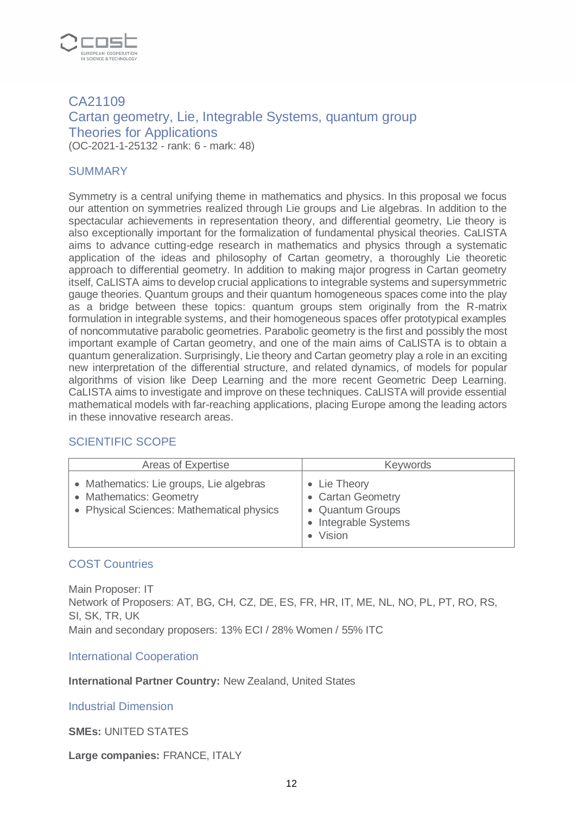

# CA21109 Cartan geometry, Lie, Integrable Systems, quantum group Theories for Applications (OC-2021-1-25132 - rank: 6 - mark: 48)

#### SUMMARY

Symmetry is a central unifying theme in mathematics and physics. In this proposal we focus our attention on symmetries realized through Lie groups and Lie algebras. In addition to the spectacular achievements in representation theory, and differential geometry, Lie theory is also exceptionally important for the formalization of fundamental physical theories. CaLISTA aims to advance cutting-edge research in mathematics and physics through a systematic application of the ideas and philosophy of Cartan geometry, a thoroughly Lie theoretic approach to differential geometry. In addition to making major progress in Cartan geometry itself, CaLISTA aims to develop crucial applications to integrable systems and supersymmetric gauge theories. Quantum groups and their quantum homogeneous spaces come into the play as a bridge between these topics: quantum groups stem originally from the R-matrix formulation in integrable systems, and their homogeneous spaces offer prototypical examples of noncommutative parabolic geometries. Parabolic geometry is the first and possibly the most important example of Cartan geometry, and one of the main aims of CaLISTA is to obtain a quantum generalization. Surprisingly, Lie theory and Cartan geometry play a role in an exciting new interpretation of the differential structure, and related dynamics, of models for popular algorithms of vision like Deep Learning and the more recent Geometric Deep Learning. CaLISTA aims to investigate and improve on these techniques. CaLISTA will provide essential mathematical models with far-reaching applications, placing Europe among the leading actors in these innovative research areas.

#### SCIENTIFIC SCOPE

| Areas of Expertise                                                                                              | <b>Keywords</b>                                                                              |
|-----------------------------------------------------------------------------------------------------------------|----------------------------------------------------------------------------------------------|
| • Mathematics: Lie groups, Lie algebras<br>• Mathematics: Geometry<br>• Physical Sciences: Mathematical physics | • Lie Theory<br>• Cartan Geometry<br>• Quantum Groups<br><b>Integrable Systems</b><br>Vision |

#### COST Countries

Main Proposer: IT Network of Proposers: AT, BG, CH, CZ, DE, ES, FR, HR, IT, ME, NL, NO, PL, PT, RO, RS, SI, SK, TR, UK Main and secondary proposers: 13% ECI / 28% Women / 55% ITC

International Cooperation

#### **International Partner Country:** New Zealand, United States

#### Industrial Dimension

#### **SMEs:** UNITED STATES

#### **Large companies:** FRANCE, ITALY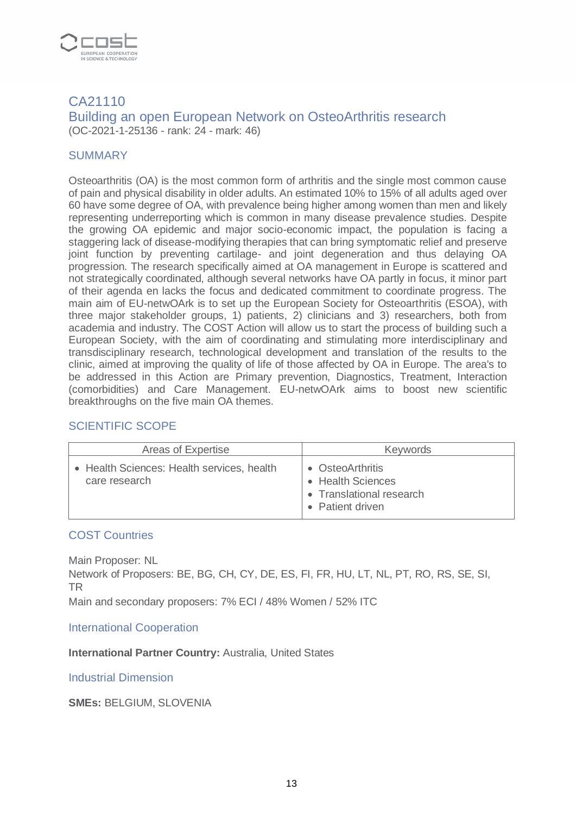

## CA21110 Building an open European Network on OsteoArthritis research (OC-2021-1-25136 - rank: 24 - mark: 46)

#### **SUMMARY**

Osteoarthritis (OA) is the most common form of arthritis and the single most common cause of pain and physical disability in older adults. An estimated 10% to 15% of all adults aged over 60 have some degree of OA, with prevalence being higher among women than men and likely representing underreporting which is common in many disease prevalence studies. Despite the growing OA epidemic and major socio-economic impact, the population is facing a staggering lack of disease-modifying therapies that can bring symptomatic relief and preserve joint function by preventing cartilage- and joint degeneration and thus delaying OA progression. The research specifically aimed at OA management in Europe is scattered and not strategically coordinated, although several networks have OA partly in focus, it minor part of their agenda en lacks the focus and dedicated commitment to coordinate progress. The main aim of EU-netwOArk is to set up the European Society for Osteoarthritis (ESOA), with three major stakeholder groups, 1) patients, 2) clinicians and 3) researchers, both from academia and industry. The COST Action will allow us to start the process of building such a European Society, with the aim of coordinating and stimulating more interdisciplinary and transdisciplinary research, technological development and translation of the results to the clinic, aimed at improving the quality of life of those affected by OA in Europe. The area's to be addressed in this Action are Primary prevention, Diagnostics, Treatment, Interaction (comorbidities) and Care Management. EU-netwOArk aims to boost new scientific breakthroughs on the five main OA themes.

# SCIENTIFIC SCOPE

| Areas of Expertise                                          | Keywords                                                                              |
|-------------------------------------------------------------|---------------------------------------------------------------------------------------|
| • Health Sciences: Health services, health<br>care research | • OsteoArthritis<br>• Health Sciences<br>• Translational research<br>• Patient driven |

#### COST Countries

Main Proposer: NL Network of Proposers: BE, BG, CH, CY, DE, ES, FI, FR, HU, LT, NL, PT, RO, RS, SE, SI, TR

Main and secondary proposers: 7% ECI / 48% Women / 52% ITC

International Cooperation

#### **International Partner Country:** Australia, United States

Industrial Dimension

**SMEs:** BELGIUM, SLOVENIA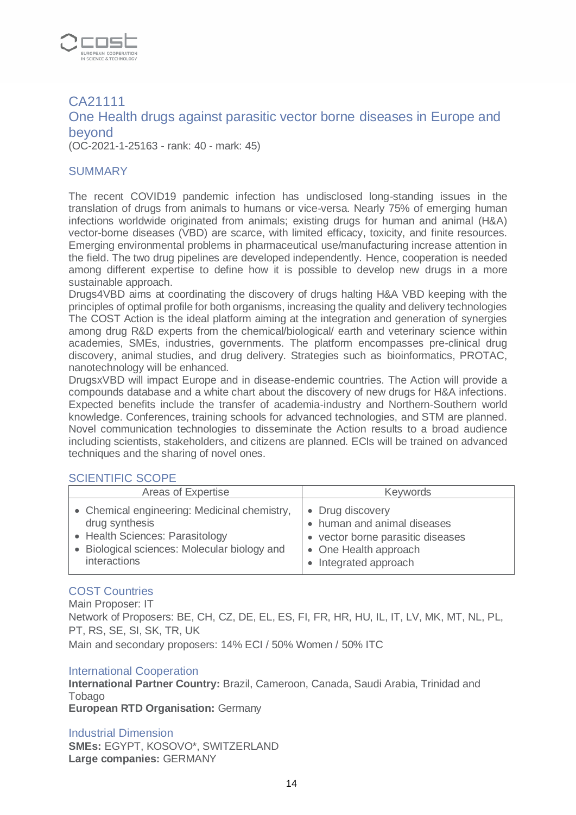

# CA21111 One Health drugs against parasitic vector borne diseases in Europe and beyond

(OC-2021-1-25163 - rank: 40 - mark: 45)

#### **SUMMARY**

The recent COVID19 pandemic infection has undisclosed long-standing issues in the translation of drugs from animals to humans or vice-versa. Nearly 75% of emerging human infections worldwide originated from animals; existing drugs for human and animal (H&A) vector-borne diseases (VBD) are scarce, with limited efficacy, toxicity, and finite resources. Emerging environmental problems in pharmaceutical use/manufacturing increase attention in the field. The two drug pipelines are developed independently. Hence, cooperation is needed among different expertise to define how it is possible to develop new drugs in a more sustainable approach.

Drugs4VBD aims at coordinating the discovery of drugs halting H&A VBD keeping with the principles of optimal profile for both organisms, increasing the quality and delivery technologies The COST Action is the ideal platform aiming at the integration and generation of synergies among drug R&D experts from the chemical/biological/ earth and veterinary science within academies, SMEs, industries, governments. The platform encompasses pre-clinical drug discovery, animal studies, and drug delivery. Strategies such as bioinformatics, PROTAC, nanotechnology will be enhanced.

DrugsxVBD will impact Europe and in disease-endemic countries. The Action will provide a compounds database and a white chart about the discovery of new drugs for H&A infections. Expected benefits include the transfer of academia-industry and Northern-Southern world knowledge. Conferences, training schools for advanced technologies, and STM are planned. Novel communication technologies to disseminate the Action results to a broad audience including scientists, stakeholders, and citizens are planned. ECIs will be trained on advanced techniques and the sharing of novel ones.

#### SCIENTIFIC SCOPE

| Areas of Expertise                           | <b>Keywords</b>                   |
|----------------------------------------------|-----------------------------------|
| • Chemical engineering: Medicinal chemistry, | • Drug discovery                  |
| drug synthesis                               | • human and animal diseases       |
| • Health Sciences: Parasitology              | • vector borne parasitic diseases |
| • Biological sciences: Molecular biology and | • One Health approach             |
| interactions                                 | • Integrated approach             |

#### COST Countries

Main Proposer: IT Network of Proposers: BE, CH, CZ, DE, EL, ES, FI, FR, HR, HU, IL, IT, LV, MK, MT, NL, PL, PT, RS, SE, SI, SK, TR, UK Main and secondary proposers: 14% ECI / 50% Women / 50% ITC

#### International Cooperation

**International Partner Country:** Brazil, Cameroon, Canada, Saudi Arabia, Trinidad and **Tobago** 

**European RTD Organisation:** Germany

#### Industrial Dimension

**SMEs:** EGYPT, KOSOVO\*, SWITZERLAND **Large companies:** GERMANY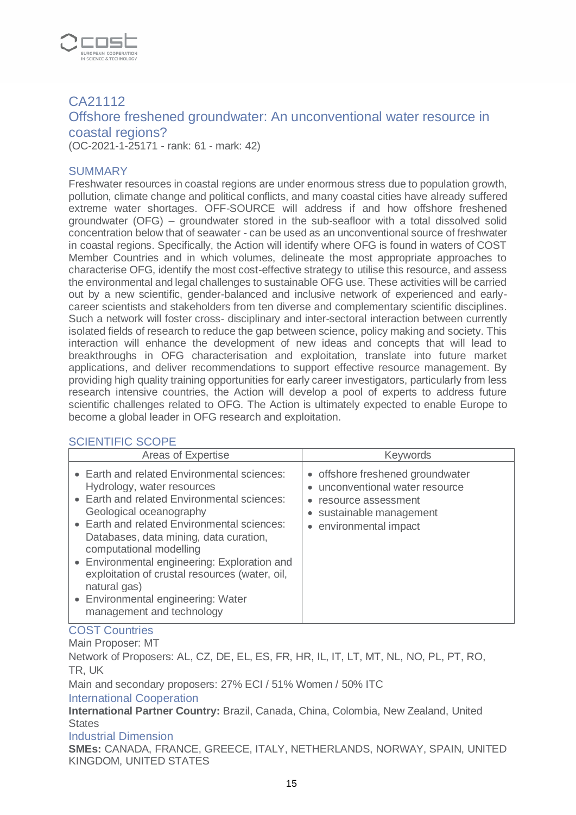

# CA21112 Offshore freshened groundwater: An unconventional water resource in coastal regions? (OC-2021-1-25171 - rank: 61 - mark: 42)

#### SUMMARY

Freshwater resources in coastal regions are under enormous stress due to population growth, pollution, climate change and political conflicts, and many coastal cities have already suffered extreme water shortages. OFF-SOURCE will address if and how offshore freshened groundwater (OFG) – groundwater stored in the sub-seafloor with a total dissolved solid concentration below that of seawater - can be used as an unconventional source of freshwater in coastal regions. Specifically, the Action will identify where OFG is found in waters of COST Member Countries and in which volumes, delineate the most appropriate approaches to characterise OFG, identify the most cost-effective strategy to utilise this resource, and assess the environmental and legal challenges to sustainable OFG use. These activities will be carried out by a new scientific, gender-balanced and inclusive network of experienced and earlycareer scientists and stakeholders from ten diverse and complementary scientific disciplines. Such a network will foster cross- disciplinary and inter-sectoral interaction between currently isolated fields of research to reduce the gap between science, policy making and society. This interaction will enhance the development of new ideas and concepts that will lead to breakthroughs in OFG characterisation and exploitation, translate into future market applications, and deliver recommendations to support effective resource management. By providing high quality training opportunities for early career investigators, particularly from less research intensive countries, the Action will develop a pool of experts to address future scientific challenges related to OFG. The Action is ultimately expected to enable Europe to become a global leader in OFG research and exploitation.

# SCIENTIFIC SCOPE

| Areas of Expertise                                                                                                                                                                                                                                                                                                                                                                                                                                           | Keywords                                                                                                                                       |
|--------------------------------------------------------------------------------------------------------------------------------------------------------------------------------------------------------------------------------------------------------------------------------------------------------------------------------------------------------------------------------------------------------------------------------------------------------------|------------------------------------------------------------------------------------------------------------------------------------------------|
| • Earth and related Environmental sciences:<br>Hydrology, water resources<br>• Earth and related Environmental sciences:<br>Geological oceanography<br>• Earth and related Environmental sciences:<br>Databases, data mining, data curation,<br>computational modelling<br>• Environmental engineering: Exploration and<br>exploitation of crustal resources (water, oil,<br>natural gas)<br>• Environmental engineering: Water<br>management and technology | • offshore freshened groundwater<br>• unconventional water resource<br>resource assessment<br>• sustainable management<br>environmental impact |

#### COST Countries

Main Proposer: MT

Network of Proposers: AL, CZ, DE, EL, ES, FR, HR, IL, IT, LT, MT, NL, NO, PL, PT, RO, TR, UK

Main and secondary proposers: 27% ECI / 51% Women / 50% ITC

International Cooperation

**International Partner Country:** Brazil, Canada, China, Colombia, New Zealand, United **States** 

#### Industrial Dimension

**SMEs:** CANADA, FRANCE, GREECE, ITALY, NETHERLANDS, NORWAY, SPAIN, UNITED KINGDOM, UNITED STATES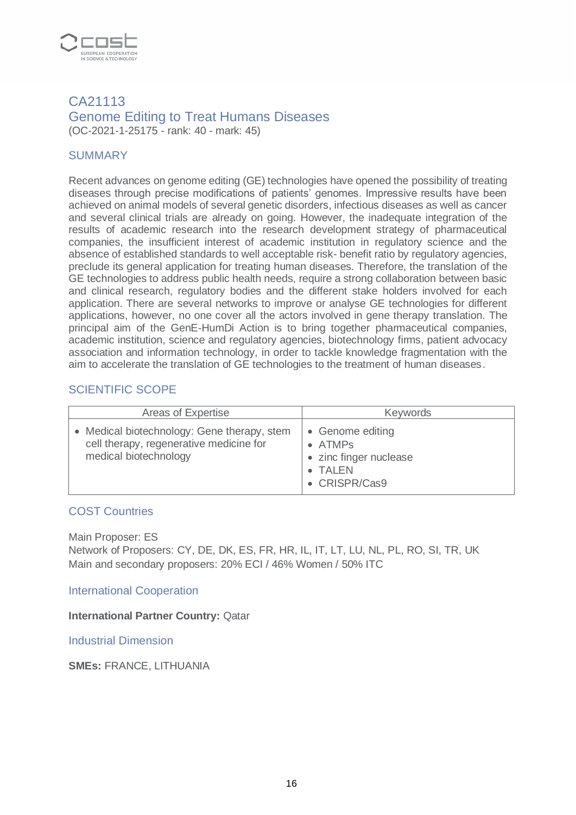

#### CA21113 Genome Editing to Treat Humans Diseases (OC-2021-1-25175 - rank: 40 - mark: 45)

## **SUMMARY**

Recent advances on genome editing (GE) technologies have opened the possibility of treating diseases through precise modifications of patients' genomes. Impressive results have been achieved on animal models of several genetic disorders, infectious diseases as well as cancer and several clinical trials are already on going. However, the inadequate integration of the results of academic research into the research development strategy of pharmaceutical companies, the insufficient interest of academic institution in regulatory science and the absence of established standards to well acceptable risk- benefit ratio by regulatory agencies, preclude its general application for treating human diseases. Therefore, the translation of the GE technologies to address public health needs, require a strong collaboration between basic and clinical research, regulatory bodies and the different stake holders involved for each application. There are several networks to improve or analyse GE technologies for different applications, however, no one cover all the actors involved in gene therapy translation. The principal aim of the GenE-HumDi Action is to bring together pharmaceutical companies, academic institution, science and regulatory agencies, biotechnology firms, patient advocacy association and information technology, in order to tackle knowledge fragmentation with the aim to accelerate the translation of GE technologies to the treatment of human diseases.

## SCIENTIFIC SCOPE

| Areas of Expertise                                                                                            | <b>Keywords</b>                                                                                |
|---------------------------------------------------------------------------------------------------------------|------------------------------------------------------------------------------------------------|
| Medical biotechnology: Gene therapy, stem<br>cell therapy, regenerative medicine for<br>medical biotechnology | • Genome editing<br>$\bullet$ ATMPs<br>• zinc finger nuclease<br><b>TALEN</b><br>• CRISPR/Cas9 |

#### COST Countries

Main Proposer: ES Network of Proposers: CY, DE, DK, ES, FR, HR, IL, IT, LT, LU, NL, PL, RO, SI, TR, UK Main and secondary proposers: 20% ECI / 46% Women / 50% ITC

International Cooperation

**International Partner Country:** Qatar

Industrial Dimension

**SMEs:** FRANCE, LITHUANIA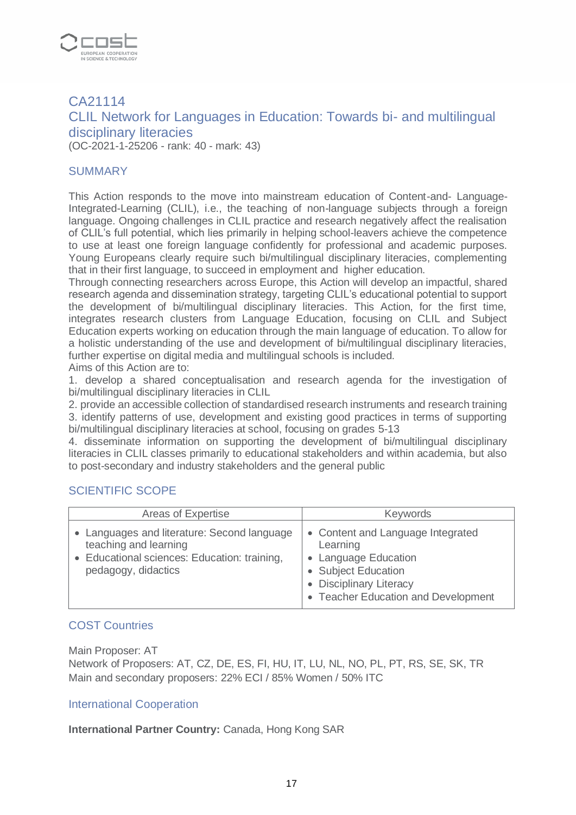

# CA21114 CLIL Network for Languages in Education: Towards bi- and multilingual disciplinary literacies

(OC-2021-1-25206 - rank: 40 - mark: 43)

#### SUMMARY

This Action responds to the move into mainstream education of Content-and- Language-Integrated-Learning (CLIL), i.e., the teaching of non-language subjects through a foreign language. Ongoing challenges in CLIL practice and research negatively affect the realisation of CLIL's full potential, which lies primarily in helping school-leavers achieve the competence to use at least one foreign language confidently for professional and academic purposes. Young Europeans clearly require such bi/multilingual disciplinary literacies, complementing that in their first language, to succeed in employment and higher education.

Through connecting researchers across Europe, this Action will develop an impactful, shared research agenda and dissemination strategy, targeting CLIL's educational potential to support the development of bi/multilingual disciplinary literacies. This Action, for the first time, integrates research clusters from Language Education, focusing on CLIL and Subject Education experts working on education through the main language of education. To allow for a holistic understanding of the use and development of bi/multilingual disciplinary literacies, further expertise on digital media and multilingual schools is included.

Aims of this Action are to:

1. develop a shared conceptualisation and research agenda for the investigation of bi/multilingual disciplinary literacies in CLIL

2. provide an accessible collection of standardised research instruments and research training 3. identify patterns of use, development and existing good practices in terms of supporting bi/multilingual disciplinary literacies at school, focusing on grades 5-13

4. disseminate information on supporting the development of bi/multilingual disciplinary literacies in CLIL classes primarily to educational stakeholders and within academia, but also to post-secondary and industry stakeholders and the general public

#### SCIENTIFIC SCOPE

| Areas of Expertise                                                                                                                          | <b>Keywords</b>                                                                                                                                                     |
|---------------------------------------------------------------------------------------------------------------------------------------------|---------------------------------------------------------------------------------------------------------------------------------------------------------------------|
| • Languages and literature: Second language<br>teaching and learning<br>• Educational sciences: Education: training,<br>pedagogy, didactics | • Content and Language Integrated<br>Learning<br>• Language Education<br>• Subject Education<br>• Disciplinary Literacy<br><b>Teacher Education and Development</b> |

#### COST Countries

Main Proposer: AT

Network of Proposers: AT, CZ, DE, ES, FI, HU, IT, LU, NL, NO, PL, PT, RS, SE, SK, TR Main and secondary proposers: 22% ECI / 85% Women / 50% ITC

#### International Cooperation

**International Partner Country:** Canada, Hong Kong SAR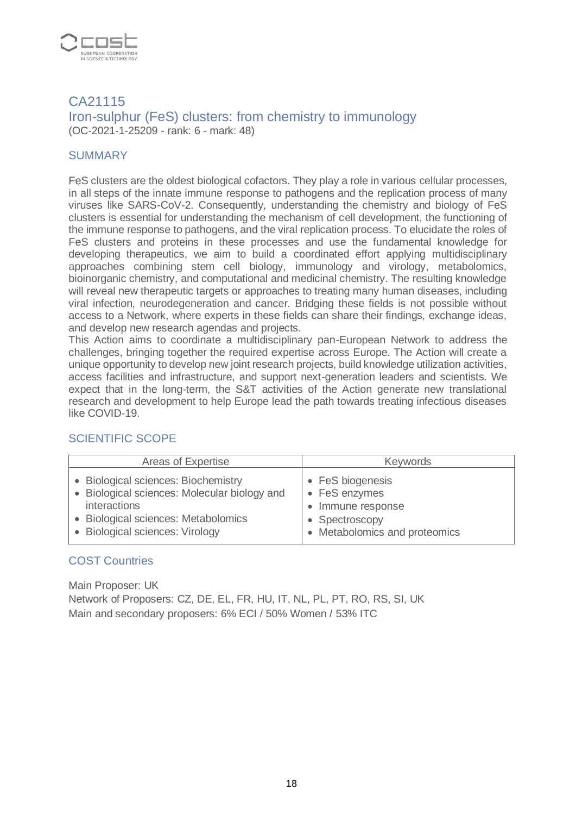

## CA21115 Iron-sulphur (FeS) clusters: from chemistry to immunology (OC-2021-1-25209 - rank: 6 - mark: 48)

## **SUMMARY**

FeS clusters are the oldest biological cofactors. They play a role in various cellular processes, in all steps of the innate immune response to pathogens and the replication process of many viruses like SARS-CoV-2. Consequently, understanding the chemistry and biology of FeS clusters is essential for understanding the mechanism of cell development, the functioning of the immune response to pathogens, and the viral replication process. To elucidate the roles of FeS clusters and proteins in these processes and use the fundamental knowledge for developing therapeutics, we aim to build a coordinated effort applying multidisciplinary approaches combining stem cell biology, immunology and virology, metabolomics, bioinorganic chemistry, and computational and medicinal chemistry. The resulting knowledge will reveal new therapeutic targets or approaches to treating many human diseases, including viral infection, neurodegeneration and cancer. Bridging these fields is not possible without access to a Network, where experts in these fields can share their findings, exchange ideas, and develop new research agendas and projects.

This Action aims to coordinate a multidisciplinary pan-European Network to address the challenges, bringing together the required expertise across Europe. The Action will create a unique opportunity to develop new joint research projects, build knowledge utilization activities, access facilities and infrastructure, and support next-generation leaders and scientists. We expect that in the long-term, the S&T activities of the Action generate new translational research and development to help Europe lead the path towards treating infectious diseases like COVID-19.

| Areas of Expertise                           | <b>Keywords</b>             |
|----------------------------------------------|-----------------------------|
| • Biological sciences: Biochemistry          | • FeS biogenesis            |
| • Biological sciences: Molecular biology and | • FeS enzymes               |
| interactions                                 | Immune response             |
| • Biological sciences: Metabolomics          | Spectroscopy                |
| • Biological sciences: Virology              | Metabolomics and proteomics |

# SCIENTIFIC SCOPE

#### COST Countries

Main Proposer: UK Network of Proposers: CZ, DE, EL, FR, HU, IT, NL, PL, PT, RO, RS, SI, UK Main and secondary proposers: 6% ECI / 50% Women / 53% ITC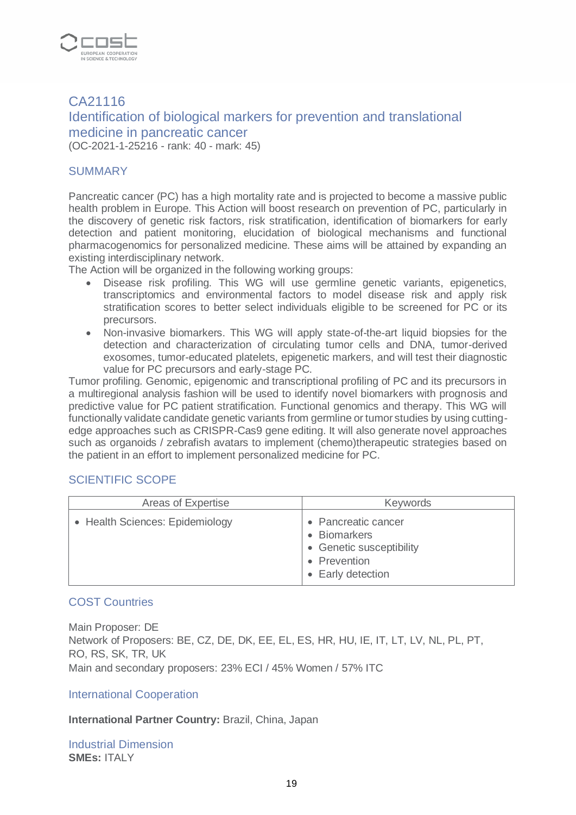

# CA21116 Identification of biological markers for prevention and translational medicine in pancreatic cancer (OC-2021-1-25216 - rank: 40 - mark: 45)

#### SUMMARY

Pancreatic cancer (PC) has a high mortality rate and is projected to become a massive public health problem in Europe. This Action will boost research on prevention of PC, particularly in the discovery of genetic risk factors, risk stratification, identification of biomarkers for early detection and patient monitoring, elucidation of biological mechanisms and functional pharmacogenomics for personalized medicine. These aims will be attained by expanding an existing interdisciplinary network.

The Action will be organized in the following working groups:

- Disease risk profiling. This WG will use germline genetic variants, epigenetics, transcriptomics and environmental factors to model disease risk and apply risk stratification scores to better select individuals eligible to be screened for PC or its precursors.
- Non-invasive biomarkers. This WG will apply state-of-the-art liquid biopsies for the detection and characterization of circulating tumor cells and DNA, tumor-derived exosomes, tumor-educated platelets, epigenetic markers, and will test their diagnostic value for PC precursors and early-stage PC.

Tumor profiling. Genomic, epigenomic and transcriptional profiling of PC and its precursors in a multiregional analysis fashion will be used to identify novel biomarkers with prognosis and predictive value for PC patient stratification. Functional genomics and therapy. This WG will functionally validate candidate genetic variants from germline or tumor studies by using cuttingedge approaches such as CRISPR-Cas9 gene editing. It will also generate novel approaches such as organoids / zebrafish avatars to implement (chemo)therapeutic strategies based on the patient in an effort to implement personalized medicine for PC.

#### SCIENTIFIC SCOPE

| Areas of Expertise              | <b>Keywords</b>                                                                                      |
|---------------------------------|------------------------------------------------------------------------------------------------------|
| • Health Sciences: Epidemiology | • Pancreatic cancer<br>• Biomarkers<br>• Genetic susceptibility<br>• Prevention<br>• Early detection |

#### COST Countries

Main Proposer: DE Network of Proposers: BE, CZ, DE, DK, EE, EL, ES, HR, HU, IE, IT, LT, LV, NL, PL, PT, RO, RS, SK, TR, UK Main and secondary proposers: 23% ECI / 45% Women / 57% ITC

#### International Cooperation

#### **International Partner Country:** Brazil, China, Japan

Industrial Dimension **SMEs:** ITALY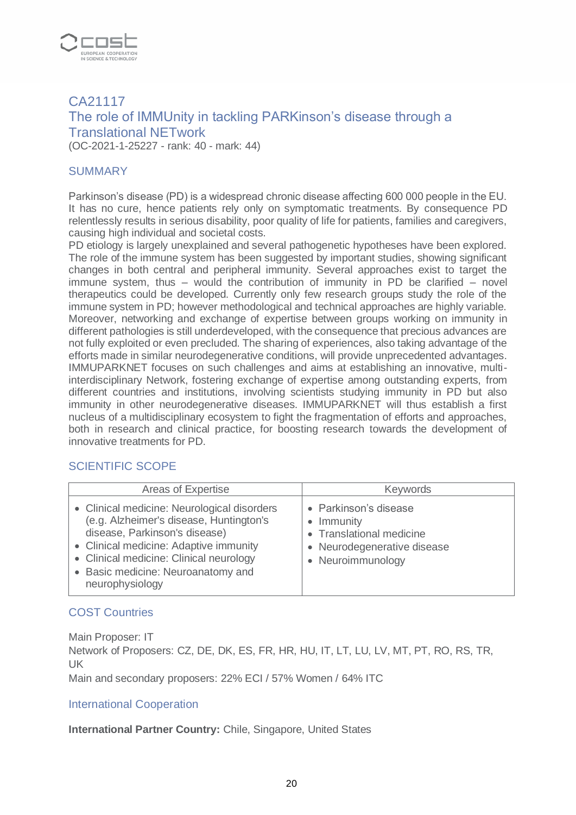

# CA21117 The role of IMMUnity in tackling PARKinson's disease through a Translational NETwork

(OC-2021-1-25227 - rank: 40 - mark: 44)

## SUMMARY

Parkinson's disease (PD) is a widespread chronic disease affecting 600 000 people in the EU. It has no cure, hence patients rely only on symptomatic treatments. By consequence PD relentlessly results in serious disability, poor quality of life for patients, families and caregivers, causing high individual and societal costs.

PD etiology is largely unexplained and several pathogenetic hypotheses have been explored. The role of the immune system has been suggested by important studies, showing significant changes in both central and peripheral immunity. Several approaches exist to target the immune system, thus – would the contribution of immunity in PD be clarified – novel therapeutics could be developed. Currently only few research groups study the role of the immune system in PD; however methodological and technical approaches are highly variable. Moreover, networking and exchange of expertise between groups working on immunity in different pathologies is still underdeveloped, with the consequence that precious advances are not fully exploited or even precluded. The sharing of experiences, also taking advantage of the efforts made in similar neurodegenerative conditions, will provide unprecedented advantages. IMMUPARKNET focuses on such challenges and aims at establishing an innovative, multiinterdisciplinary Network, fostering exchange of expertise among outstanding experts, from different countries and institutions, involving scientists studying immunity in PD but also immunity in other neurodegenerative diseases. IMMUPARKNET will thus establish a first nucleus of a multidisciplinary ecosystem to fight the fragmentation of efforts and approaches, both in research and clinical practice, for boosting research towards the development of innovative treatments for PD.

#### SCIENTIFIC SCOPE

| Areas of Expertise                                                                                                                                                                                                                                                    | <b>Keywords</b>                                                                                                     |
|-----------------------------------------------------------------------------------------------------------------------------------------------------------------------------------------------------------------------------------------------------------------------|---------------------------------------------------------------------------------------------------------------------|
| • Clinical medicine: Neurological disorders<br>(e.g. Alzheimer's disease, Huntington's<br>disease, Parkinson's disease)<br>• Clinical medicine: Adaptive immunity<br>• Clinical medicine: Clinical neurology<br>• Basic medicine: Neuroanatomy and<br>neurophysiology | • Parkinson's disease<br>• Immunity<br>• Translational medicine<br>• Neurodegenerative disease<br>• Neuroimmunology |

#### COST Countries

Main Proposer: IT

Network of Proposers: CZ, DE, DK, ES, FR, HR, HU, IT, LT, LU, LV, MT, PT, RO, RS, TR, UK

Main and secondary proposers: 22% ECI / 57% Women / 64% ITC

#### International Cooperation

**International Partner Country:** Chile, Singapore, United States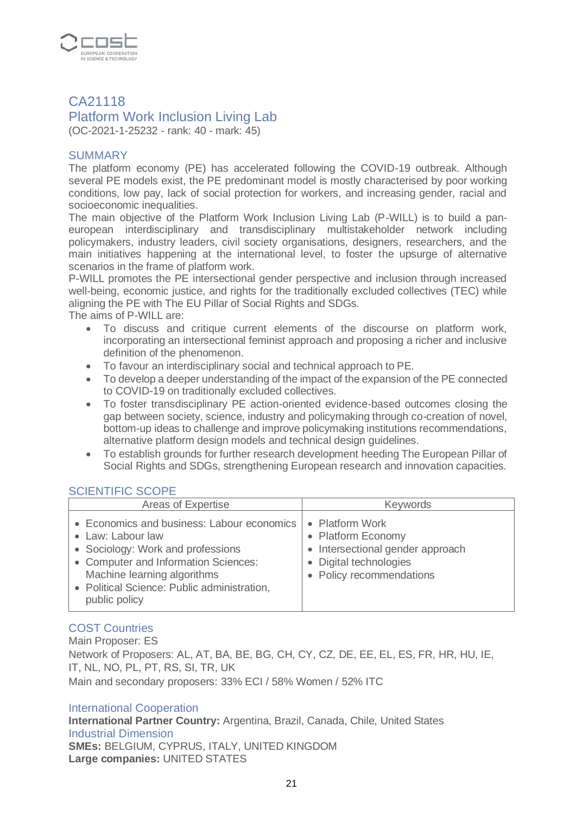

# CA21118

# Platform Work Inclusion Living Lab

(OC-2021-1-25232 - rank: 40 - mark: 45)

#### **SUMMARY**

The platform economy (PE) has accelerated following the COVID-19 outbreak. Although several PE models exist, the PE predominant model is mostly characterised by poor working conditions, low pay, lack of social protection for workers, and increasing gender, racial and socioeconomic inequalities.

The main objective of the Platform Work Inclusion Living Lab (P-WILL) is to build a paneuropean interdisciplinary and transdisciplinary multistakeholder network including policymakers, industry leaders, civil society organisations, designers, researchers, and the main initiatives happening at the international level, to foster the upsurge of alternative scenarios in the frame of platform work.

P-WILL promotes the PE intersectional gender perspective and inclusion through increased well-being, economic justice, and rights for the traditionally excluded collectives (TEC) while aligning the PE with The EU Pillar of Social Rights and SDGs.

The aims of P-WILL are:

- To discuss and critique current elements of the discourse on platform work, incorporating an intersectional feminist approach and proposing a richer and inclusive definition of the phenomenon.
- To favour an interdisciplinary social and technical approach to PE.
- To develop a deeper understanding of the impact of the expansion of the PE connected to COVID-19 on traditionally excluded collectives.
- To foster transdisciplinary PE action-oriented evidence-based outcomes closing the gap between society, science, industry and policymaking through co-creation of novel, bottom-up ideas to challenge and improve policymaking institutions recommendations, alternative platform design models and technical design guidelines.
- To establish grounds for further research development heeding The European Pillar of Social Rights and SDGs, strengthening European research and innovation capacities.

#### SCIENTIFIC SCOPE

| Areas of Expertise                                                                                                                                                                                                                          | <b>Keywords</b>                                                                                                               |
|---------------------------------------------------------------------------------------------------------------------------------------------------------------------------------------------------------------------------------------------|-------------------------------------------------------------------------------------------------------------------------------|
| • Economics and business: Labour economics<br>• Law: Labour law<br>• Sociology: Work and professions<br>• Computer and Information Sciences:<br>Machine learning algorithms<br>• Political Science: Public administration,<br>public policy | • Platform Work<br>• Platform Economy<br>Intersectional gender approach<br>• Digital technologies<br>• Policy recommendations |

#### COST Countries

Main Proposer: ES Network of Proposers: AL, AT, BA, BE, BG, CH, CY, CZ, DE, EE, EL, ES, FR, HR, HU, IE, IT, NL, NO, PL, PT, RS, SI, TR, UK Main and secondary proposers: 33% ECI / 58% Women / 52% ITC

#### International Cooperation

**International Partner Country:** Argentina, Brazil, Canada, Chile, United States Industrial Dimension **SMEs:** BELGIUM, CYPRUS, ITALY, UNITED KINGDOM **Large companies:** UNITED STATES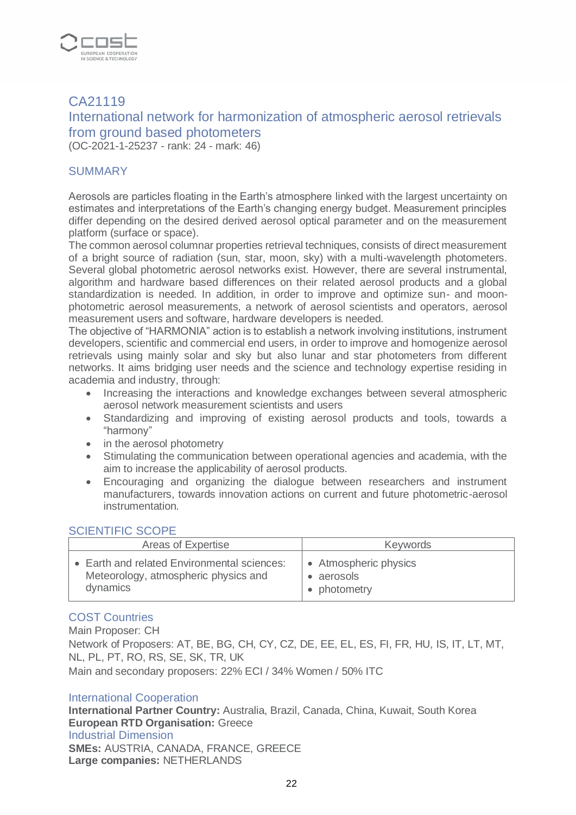

# CA21119 International network for harmonization of atmospheric aerosol retrievals from ground based photometers

(OC-2021-1-25237 - rank: 24 - mark: 46)

#### SUMMARY

Aerosols are particles floating in the Earth's atmosphere linked with the largest uncertainty on estimates and interpretations of the Earth's changing energy budget. Measurement principles differ depending on the desired derived aerosol optical parameter and on the measurement platform (surface or space).

The common aerosol columnar properties retrieval techniques, consists of direct measurement of a bright source of radiation (sun, star, moon, sky) with a multi-wavelength photometers. Several global photometric aerosol networks exist. However, there are several instrumental, algorithm and hardware based differences on their related aerosol products and a global standardization is needed. In addition, in order to improve and optimize sun- and moonphotometric aerosol measurements, a network of aerosol scientists and operators, aerosol measurement users and software, hardware developers is needed.

The objective of "ΗΑRΜΟΝΙΑ" action is to establish a network involving institutions, instrument developers, scientific and commercial end users, in order to improve and homogenize aerosol retrievals using mainly solar and sky but also lunar and star photometers from different networks. It aims bridging user needs and the science and technology expertise residing in academia and industry, through:

- Increasing the interactions and knowledge exchanges between several atmospheric aerosol network measurement scientists and users
- Standardizing and improving of existing aerosol products and tools, towards a "harmony"
- in the aerosol photometry
- Stimulating the communication between operational agencies and academia, with the aim to increase the applicability of aerosol products.
- Encouraging and organizing the dialogue between researchers and instrument manufacturers, towards innovation actions on current and future photometric-aerosol instrumentation.

#### SCIENTIFIC SCOPE

| Areas of Expertise                               | <b>Keywords</b>       |
|--------------------------------------------------|-----------------------|
| <b>Earth and related Environmental sciences:</b> | • Atmospheric physics |
| Meteorology, atmospheric physics and             | • aerosols            |
| dynamics                                         | • photometry          |

#### COST Countries

Main Proposer: CH

Network of Proposers: AT, BE, BG, CH, CY, CZ, DE, EE, EL, ES, FI, FR, HU, IS, IT, LT, MT, NL, PL, PT, RO, RS, SE, SK, TR, UK

Main and secondary proposers: 22% ECI / 34% Women / 50% ITC

#### International Cooperation

**International Partner Country:** Australia, Brazil, Canada, China, Kuwait, South Korea **European RTD Organisation:** Greece Industrial Dimension **SMEs:** AUSTRIA, CANADA, FRANCE, GREECE **Large companies:** NETHERLANDS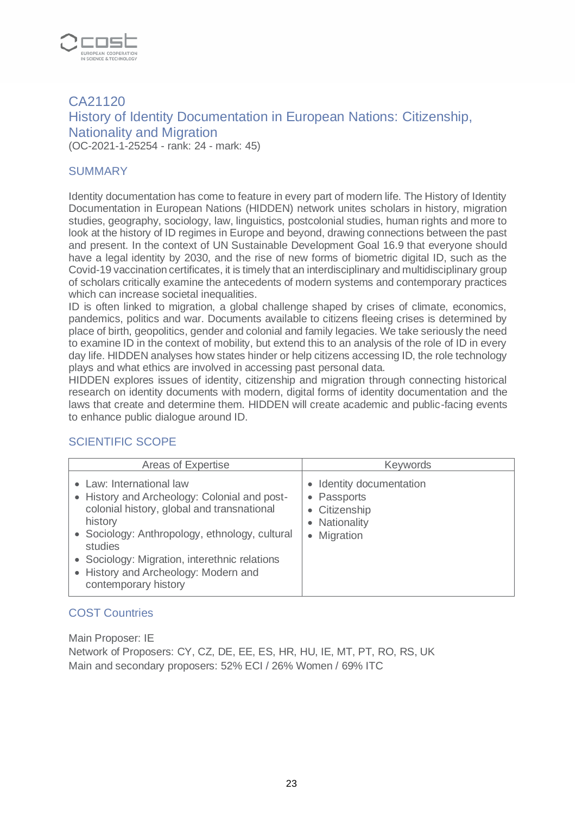

# CA21120 History of Identity Documentation in European Nations: Citizenship, Nationality and Migration (OC-2021-1-25254 - rank: 24 - mark: 45)

#### SUMMARY

Identity documentation has come to feature in every part of modern life. The History of Identity Documentation in European Nations (HIDDEN) network unites scholars in history, migration studies, geography, sociology, law, linguistics, postcolonial studies, human rights and more to look at the history of ID regimes in Europe and beyond, drawing connections between the past and present. In the context of UN Sustainable Development Goal 16.9 that everyone should have a legal identity by 2030, and the rise of new forms of biometric digital ID, such as the Covid-19 vaccination certificates, it is timely that an interdisciplinary and multidisciplinary group of scholars critically examine the antecedents of modern systems and contemporary practices which can increase societal inequalities.

ID is often linked to migration, a global challenge shaped by crises of climate, economics, pandemics, politics and war. Documents available to citizens fleeing crises is determined by place of birth, geopolitics, gender and colonial and family legacies. We take seriously the need to examine ID in the context of mobility, but extend this to an analysis of the role of ID in every day life. HIDDEN analyses how states hinder or help citizens accessing ID, the role technology plays and what ethics are involved in accessing past personal data.

HIDDEN explores issues of identity, citizenship and migration through connecting historical research on identity documents with modern, digital forms of identity documentation and the laws that create and determine them. HIDDEN will create academic and public-facing events to enhance public dialogue around ID.

#### SCIENTIFIC SCOPE

| Areas of Expertise                                                                                                                                                                                                                                                                                              | <b>Keywords</b>                                                                                              |
|-----------------------------------------------------------------------------------------------------------------------------------------------------------------------------------------------------------------------------------------------------------------------------------------------------------------|--------------------------------------------------------------------------------------------------------------|
| • Law: International law<br>• History and Archeology: Colonial and post-<br>colonial history, global and transnational<br>history<br>• Sociology: Anthropology, ethnology, cultural<br>studies<br>• Sociology: Migration, interethnic relations<br>• History and Archeology: Modern and<br>contemporary history | Identity documentation<br>$\bullet$<br>• Passports<br>Citizenship<br>• Nationality<br>Migration<br>$\bullet$ |

# COST Countries

Main Proposer: IE Network of Proposers: CY, CZ, DE, EE, ES, HR, HU, IE, MT, PT, RO, RS, UK Main and secondary proposers: 52% ECI / 26% Women / 69% ITC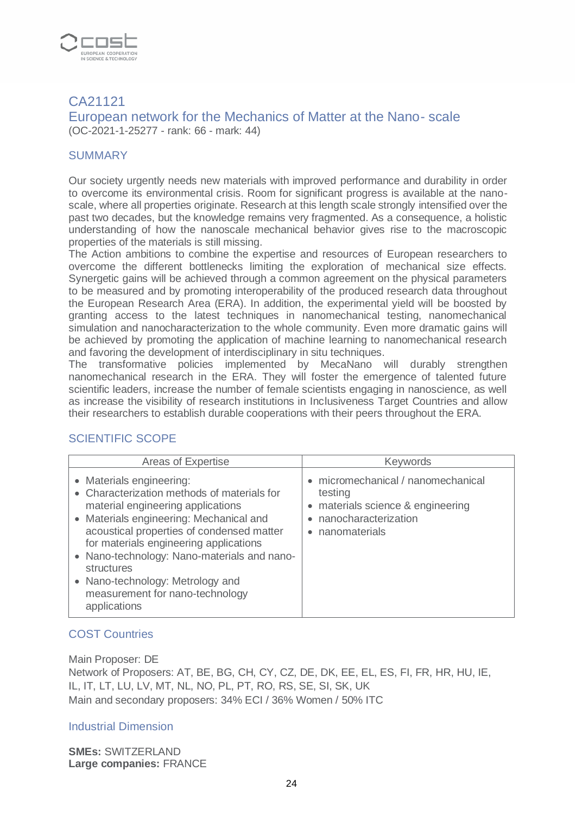

# CA21121

European network for the Mechanics of Matter at the Nano- scale (OC-2021-1-25277 - rank: 66 - mark: 44)

## **SUMMARY**

Our society urgently needs new materials with improved performance and durability in order to overcome its environmental crisis. Room for significant progress is available at the nanoscale, where all properties originate. Research at this length scale strongly intensified over the past two decades, but the knowledge remains very fragmented. As a consequence, a holistic understanding of how the nanoscale mechanical behavior gives rise to the macroscopic properties of the materials is still missing.

The Action ambitions to combine the expertise and resources of European researchers to overcome the different bottlenecks limiting the exploration of mechanical size effects. Synergetic gains will be achieved through a common agreement on the physical parameters to be measured and by promoting interoperability of the produced research data throughout the European Research Area (ERA). In addition, the experimental yield will be boosted by granting access to the latest techniques in nanomechanical testing, nanomechanical simulation and nanocharacterization to the whole community. Even more dramatic gains will be achieved by promoting the application of machine learning to nanomechanical research and favoring the development of interdisciplinary in situ techniques.

The transformative policies implemented by MecaNano will durably strengthen nanomechanical research in the ERA. They will foster the emergence of talented future scientific leaders, increase the number of female scientists engaging in nanoscience, as well as increase the visibility of research institutions in Inclusiveness Target Countries and allow their researchers to establish durable cooperations with their peers throughout the ERA.

# SCIENTIFIC SCOPE

| Areas of Expertise                                                                                                                                                                                                                                                                                                                                                                                 | <b>Keywords</b>                                                                                                               |
|----------------------------------------------------------------------------------------------------------------------------------------------------------------------------------------------------------------------------------------------------------------------------------------------------------------------------------------------------------------------------------------------------|-------------------------------------------------------------------------------------------------------------------------------|
| • Materials engineering:<br>• Characterization methods of materials for<br>material engineering applications<br>• Materials engineering: Mechanical and<br>acoustical properties of condensed matter<br>for materials engineering applications<br>• Nano-technology: Nano-materials and nano-<br>structures<br>• Nano-technology: Metrology and<br>measurement for nano-technology<br>applications | • micromechanical / nanomechanical<br>testing<br>• materials science & engineering<br>nanocharacterization<br>• nanomaterials |

# COST Countries

Main Proposer: DE

Network of Proposers: AT, BE, BG, CH, CY, CZ, DE, DK, EE, EL, ES, FI, FR, HR, HU, IE, IL, IT, LT, LU, LV, MT, NL, NO, PL, PT, RO, RS, SE, SI, SK, UK Main and secondary proposers: 34% ECI / 36% Women / 50% ITC

#### Industrial Dimension

**SMEs:** SWITZERLAND **Large companies:** FRANCE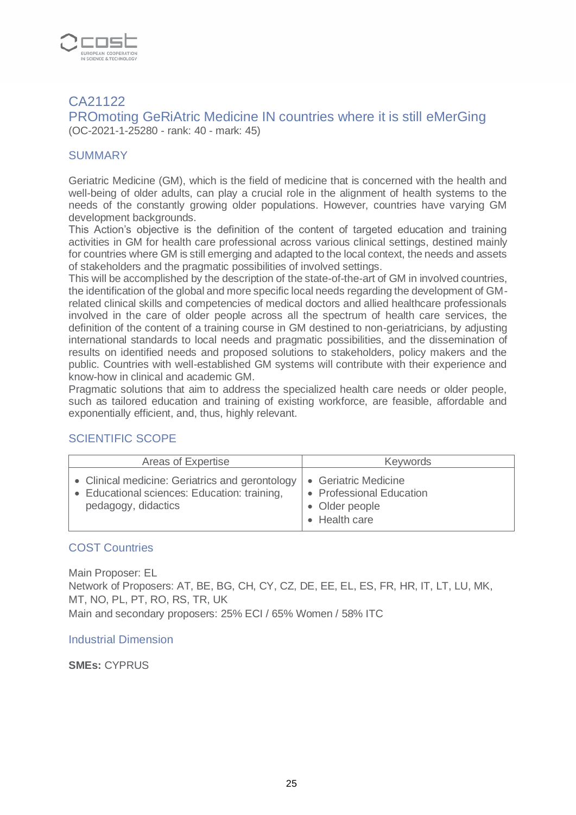

# CA21122

PROmoting GeRiAtric Medicine IN countries where it is still eMerGing (OC-2021-1-25280 - rank: 40 - mark: 45)

# **SUMMARY**

Geriatric Medicine (GM), which is the field of medicine that is concerned with the health and well-being of older adults, can play a crucial role in the alignment of health systems to the needs of the constantly growing older populations. However, countries have varying GM development backgrounds.

This Action's objective is the definition of the content of targeted education and training activities in GM for health care professional across various clinical settings, destined mainly for countries where GM is still emerging and adapted to the local context, the needs and assets of stakeholders and the pragmatic possibilities of involved settings.

This will be accomplished by the description of the state-of-the-art of GM in involved countries, the identification of the global and more specific local needs regarding the development of GMrelated clinical skills and competencies of medical doctors and allied healthcare professionals involved in the care of older people across all the spectrum of health care services, the definition of the content of a training course in GM destined to non-geriatricians, by adjusting international standards to local needs and pragmatic possibilities, and the dissemination of results on identified needs and proposed solutions to stakeholders, policy makers and the public. Countries with well-established GM systems will contribute with their experience and know-how in clinical and academic GM.

Pragmatic solutions that aim to address the specialized health care needs or older people, such as tailored education and training of existing workforce, are feasible, affordable and exponentially efficient, and, thus, highly relevant.

# SCIENTIFIC SCOPE

| Areas of Expertise                                                                                                     | Keywords                                                                            |
|------------------------------------------------------------------------------------------------------------------------|-------------------------------------------------------------------------------------|
| • Clinical medicine: Geriatrics and gerontology<br>• Educational sciences: Education: training,<br>pedagogy, didactics | • Geriatric Medicine<br>• Professional Education<br>• Older people<br>• Health care |

#### COST Countries

Main Proposer: EL Network of Proposers: AT, BE, BG, CH, CY, CZ, DE, EE, EL, ES, FR, HR, IT, LT, LU, MK, MT, NO, PL, PT, RO, RS, TR, UK Main and secondary proposers: 25% ECI / 65% Women / 58% ITC

#### Industrial Dimension

**SMEs:** CYPRUS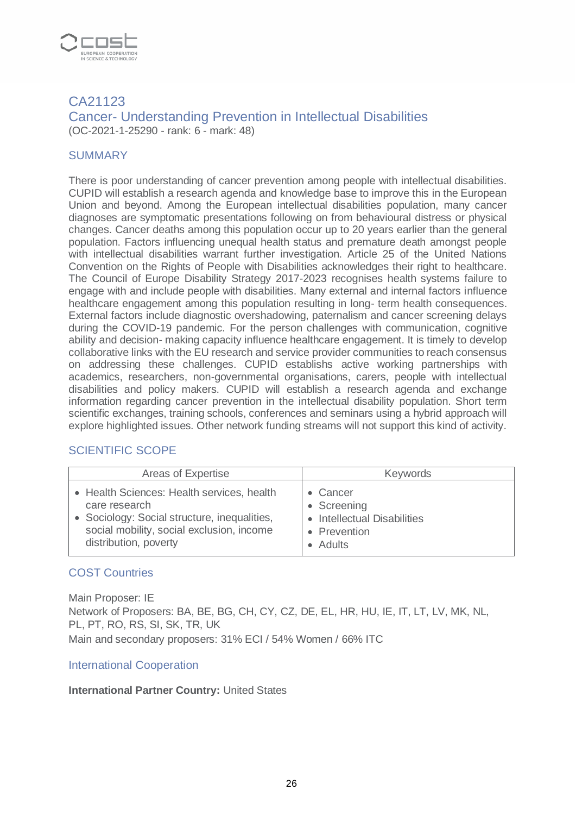

#### CA21123 Cancer- Understanding Prevention in Intellectual Disabilities (OC-2021-1-25290 - rank: 6 - mark: 48)

#### **SUMMARY**

There is poor understanding of cancer prevention among people with intellectual disabilities. CUPID will establish a research agenda and knowledge base to improve this in the European Union and beyond. Among the European intellectual disabilities population, many cancer diagnoses are symptomatic presentations following on from behavioural distress or physical changes. Cancer deaths among this population occur up to 20 years earlier than the general population. Factors influencing unequal health status and premature death amongst people with intellectual disabilities warrant further investigation. Article 25 of the United Nations Convention on the Rights of People with Disabilities acknowledges their right to healthcare. The Council of Europe Disability Strategy 2017-2023 recognises health systems failure to engage with and include people with disabilities. Many external and internal factors influence healthcare engagement among this population resulting in long- term health consequences. External factors include diagnostic overshadowing, paternalism and cancer screening delays during the COVID-19 pandemic. For the person challenges with communication, cognitive ability and decision- making capacity influence healthcare engagement. It is timely to develop collaborative links with the EU research and service provider communities to reach consensus on addressing these challenges. CUPID establishs active working partnerships with academics, researchers, non-governmental organisations, carers, people with intellectual disabilities and policy makers. CUPID will establish a research agenda and exchange information regarding cancer prevention in the intellectual disability population. Short term scientific exchanges, training schools, conferences and seminars using a hybrid approach will explore highlighted issues. Other network funding streams will not support this kind of activity.

#### SCIENTIFIC SCOPE

| Areas of Expertise                           | <b>Keywords</b>             |
|----------------------------------------------|-----------------------------|
| • Health Sciences: Health services, health   | Cancer                      |
| care research                                | • Screening                 |
| • Sociology: Social structure, inequalities, | • Intellectual Disabilities |
| social mobility, social exclusion, income    | • Prevention                |
| distribution, poverty                        | • Adults                    |

#### COST Countries

Main Proposer: IE Network of Proposers: BA, BE, BG, CH, CY, CZ, DE, EL, HR, HU, IE, IT, LT, LV, MK, NL, PL, PT, RO, RS, SI, SK, TR, UK Main and secondary proposers: 31% ECI / 54% Women / 66% ITC

#### International Cooperation

#### **International Partner Country:** United States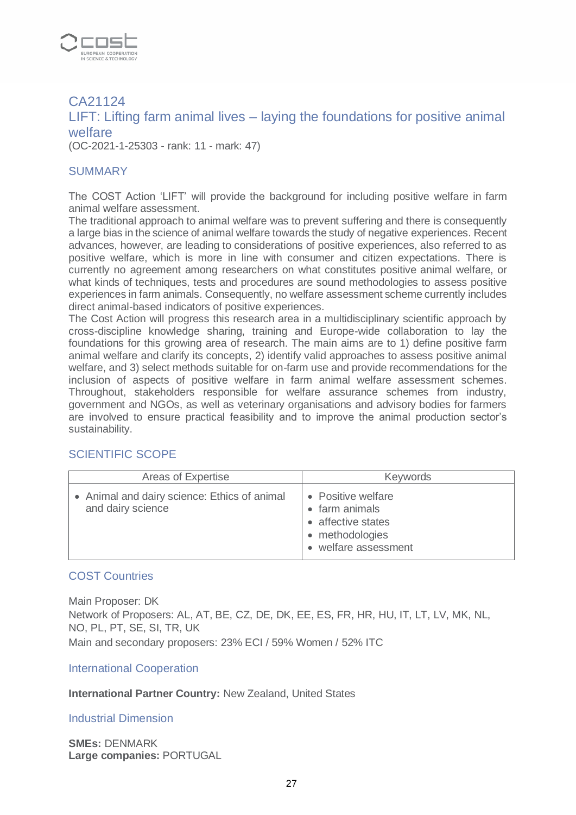

# CA21124 LIFT: Lifting farm animal lives – laying the foundations for positive animal welfare

(OC-2021-1-25303 - rank: 11 - mark: 47)

#### **SUMMARY**

The COST Action 'LIFT' will provide the background for including positive welfare in farm animal welfare assessment.

The traditional approach to animal welfare was to prevent suffering and there is consequently a large bias in the science of animal welfare towards the study of negative experiences. Recent advances, however, are leading to considerations of positive experiences, also referred to as positive welfare, which is more in line with consumer and citizen expectations. There is currently no agreement among researchers on what constitutes positive animal welfare, or what kinds of techniques, tests and procedures are sound methodologies to assess positive experiences in farm animals. Consequently, no welfare assessment scheme currently includes direct animal-based indicators of positive experiences.

The Cost Action will progress this research area in a multidisciplinary scientific approach by cross-discipline knowledge sharing, training and Europe-wide collaboration to lay the foundations for this growing area of research. The main aims are to 1) define positive farm animal welfare and clarify its concepts, 2) identify valid approaches to assess positive animal welfare, and 3) select methods suitable for on-farm use and provide recommendations for the inclusion of aspects of positive welfare in farm animal welfare assessment schemes. Throughout, stakeholders responsible for welfare assurance schemes from industry, government and NGOs, as well as veterinary organisations and advisory bodies for farmers are involved to ensure practical feasibility and to improve the animal production sector's sustainability.

#### SCIENTIFIC SCOPE

| Areas of Expertise                                                | <b>Keywords</b>                                                                                     |
|-------------------------------------------------------------------|-----------------------------------------------------------------------------------------------------|
| • Animal and dairy science: Ethics of animal<br>and dairy science | • Positive welfare<br>• farm animals<br>• affective states<br>• methodologies<br>welfare assessment |

#### COST Countries

Main Proposer: DK Network of Proposers: AL, AT, BE, CZ, DE, DK, EE, ES, FR, HR, HU, IT, LT, LV, MK, NL, NO, PL, PT, SE, SI, TR, UK Main and secondary proposers: 23% ECI / 59% Women / 52% ITC

International Cooperation

**International Partner Country:** New Zealand, United States

Industrial Dimension

**SMEs:** DENMARK **Large companies:** PORTUGAL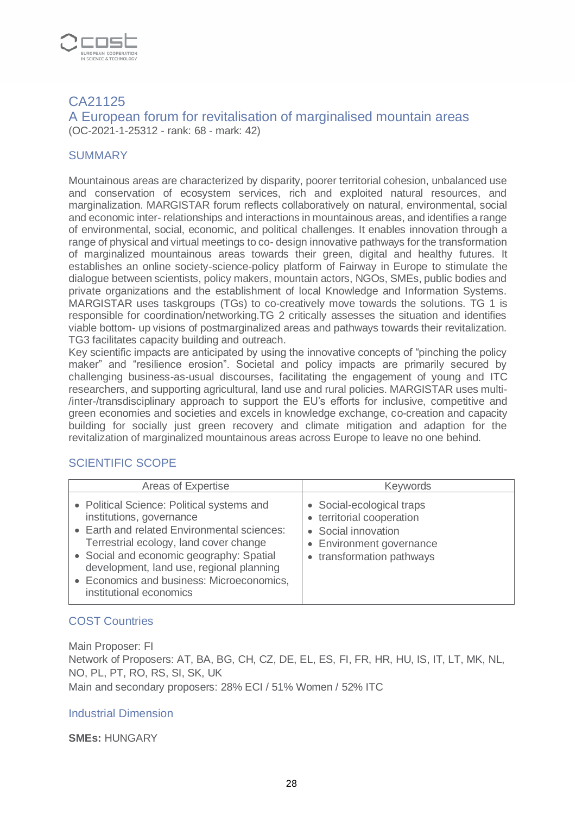

# CA21125

A European forum for revitalisation of marginalised mountain areas (OC-2021-1-25312 - rank: 68 - mark: 42)

## **SUMMARY**

Mountainous areas are characterized by disparity, poorer territorial cohesion, unbalanced use and conservation of ecosystem services, rich and exploited natural resources, and marginalization. MARGISTAR forum reflects collaboratively on natural, environmental, social and economic inter- relationships and interactions in mountainous areas, and identifies a range of environmental, social, economic, and political challenges. It enables innovation through a range of physical and virtual meetings to co- design innovative pathways for the transformation of marginalized mountainous areas towards their green, digital and healthy futures. It establishes an online society-science-policy platform of Fairway in Europe to stimulate the dialogue between scientists, policy makers, mountain actors, NGOs, SMEs, public bodies and private organizations and the establishment of local Knowledge and Information Systems. MARGISTAR uses taskgroups (TGs) to co-creatively move towards the solutions. TG 1 is responsible for coordination/networking.TG 2 critically assesses the situation and identifies viable bottom- up visions of postmarginalized areas and pathways towards their revitalization. TG3 facilitates capacity building and outreach.

Key scientific impacts are anticipated by using the innovative concepts of "pinching the policy maker" and "resilience erosion". Societal and policy impacts are primarily secured by challenging business-as-usual discourses, facilitating the engagement of young and ITC researchers, and supporting agricultural, land use and rural policies. MARGISTAR uses multi- /inter-/transdisciplinary approach to support the EU's efforts for inclusive, competitive and green economies and societies and excels in knowledge exchange, co-creation and capacity building for socially just green recovery and climate mitigation and adaption for the revitalization of marginalized mountainous areas across Europe to leave no one behind.

# SCIENTIFIC SCOPE

| Areas of Expertise                                                                                                                                                                                                                                                                                                              | <b>Keywords</b>                                                                                                                        |
|---------------------------------------------------------------------------------------------------------------------------------------------------------------------------------------------------------------------------------------------------------------------------------------------------------------------------------|----------------------------------------------------------------------------------------------------------------------------------------|
| • Political Science: Political systems and<br>institutions, governance<br>• Earth and related Environmental sciences:<br>Terrestrial ecology, land cover change<br>• Social and economic geography: Spatial<br>development, land use, regional planning<br>• Economics and business: Microeconomics,<br>institutional economics | • Social-ecological traps<br>• territorial cooperation<br>• Social innovation<br>• Environment governance<br>• transformation pathways |

# COST Countries

Main Proposer: FI Network of Proposers: AT, BA, BG, CH, CZ, DE, EL, ES, FI, FR, HR, HU, IS, IT, LT, MK, NL, NO, PL, PT, RO, RS, SI, SK, UK Main and secondary proposers: 28% ECI / 51% Women / 52% ITC

#### Industrial Dimension

**SMEs:** HUNGARY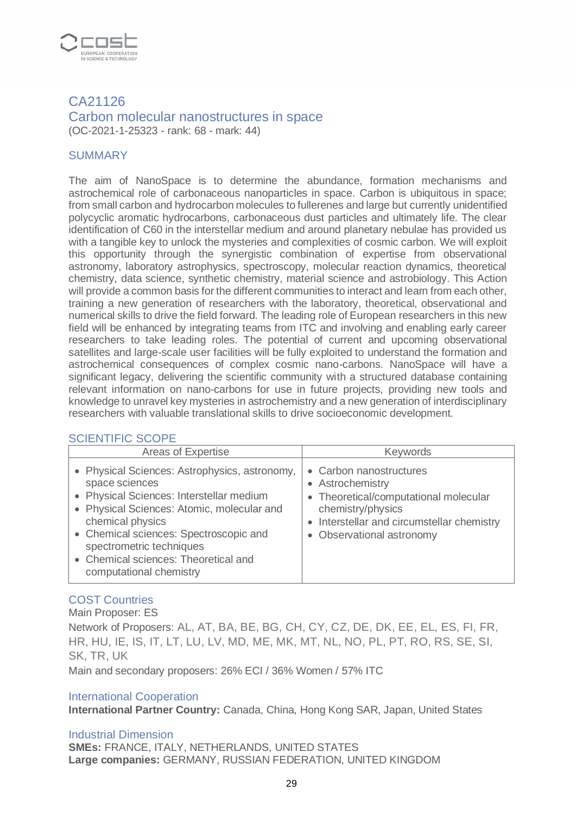

#### CA21126 Carbon molecular nanostructures in space (OC-2021-1-25323 - rank: 68 - mark: 44)

#### **SUMMARY**

The aim of NanoSpace is to determine the abundance, formation mechanisms and astrochemical role of carbonaceous nanoparticles in space. Carbon is ubiquitous in space; from small carbon and hydrocarbon molecules to fullerenes and large but currently unidentified polycyclic aromatic hydrocarbons, carbonaceous dust particles and ultimately life. The clear identification of C60 in the interstellar medium and around planetary nebulae has provided us with a tangible key to unlock the mysteries and complexities of cosmic carbon. We will exploit this opportunity through the synergistic combination of expertise from observational astronomy, laboratory astrophysics, spectroscopy, molecular reaction dynamics, theoretical chemistry, data science, synthetic chemistry, material science and astrobiology. This Action will provide a common basis for the different communities to interact and learn from each other, training a new generation of researchers with the laboratory, theoretical, observational and numerical skills to drive the field forward. The leading role of European researchers in this new field will be enhanced by integrating teams from ITC and involving and enabling early career researchers to take leading roles. The potential of current and upcoming observational satellites and large-scale user facilities will be fully exploited to understand the formation and astrochemical consequences of complex cosmic nano-carbons. NanoSpace will have a significant legacy, delivering the scientific community with a structured database containing relevant information on nano-carbons for use in future projects, providing new tools and knowledge to unravel key mysteries in astrochemistry and a new generation of interdisciplinary researchers with valuable translational skills to drive socioeconomic development.

#### SCIENTIFIC SCOPE

| Areas of Expertise                                                                                                                                                                                                                                                                                                     | <b>Keywords</b>                                                                                                                                                                      |
|------------------------------------------------------------------------------------------------------------------------------------------------------------------------------------------------------------------------------------------------------------------------------------------------------------------------|--------------------------------------------------------------------------------------------------------------------------------------------------------------------------------------|
| • Physical Sciences: Astrophysics, astronomy,<br>space sciences<br>• Physical Sciences: Interstellar medium<br>• Physical Sciences: Atomic, molecular and<br>chemical physics<br>• Chemical sciences: Spectroscopic and<br>spectrometric techniques<br>• Chemical sciences: Theoretical and<br>computational chemistry | • Carbon nanostructures<br>• Astrochemistry<br>• Theoretical/computational molecular<br>chemistry/physics<br>• Interstellar and circumstellar chemistry<br>• Observational astronomy |

#### COST Countries

Main Proposer: ES

Network of Proposers: AL, AT, BA, BE, BG, CH, CY, CZ, DE, DK, EE, EL, ES, FI, FR, HR, HU, IE, IS, IT, LT, LU, LV, MD, ME, MK, MT, NL, NO, PL, PT, RO, RS, SE, SI, SK, TR, UK

Main and secondary proposers: 26% ECI / 36% Women / 57% ITC

#### International Cooperation

**International Partner Country:** Canada, China, Hong Kong SAR, Japan, United States

#### Industrial Dimension

**SMEs:** FRANCE, ITALY, NETHERLANDS, UNITED STATES **Large companies:** GERMANY, RUSSIAN FEDERATION, UNITED KINGDOM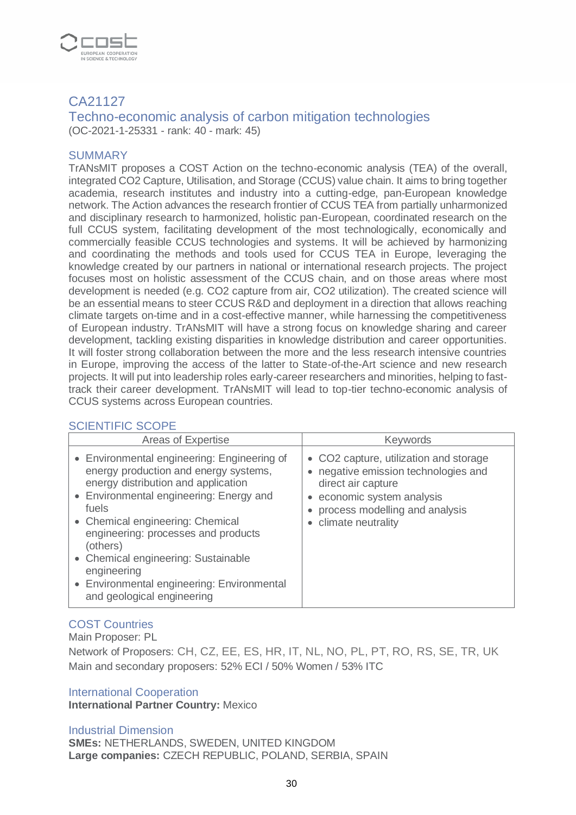

# CA21127

Techno-economic analysis of carbon mitigation technologies (OC-2021-1-25331 - rank: 40 - mark: 45)

#### **SUMMARY**

TrANsMIT proposes a COST Action on the techno-economic analysis (TEA) of the overall, integrated CO2 Capture, Utilisation, and Storage (CCUS) value chain. It aims to bring together academia, research institutes and industry into a cutting-edge, pan-European knowledge network. The Action advances the research frontier of CCUS TEA from partially unharmonized and disciplinary research to harmonized, holistic pan-European, coordinated research on the full CCUS system, facilitating development of the most technologically, economically and commercially feasible CCUS technologies and systems. It will be achieved by harmonizing and coordinating the methods and tools used for CCUS TEA in Europe, leveraging the knowledge created by our partners in national or international research projects. The project focuses most on holistic assessment of the CCUS chain, and on those areas where most development is needed (e.g. CO2 capture from air, CO2 utilization). The created science will be an essential means to steer CCUS R&D and deployment in a direction that allows reaching climate targets on-time and in a cost-effective manner, while harnessing the competitiveness of European industry. TrANsMIT will have a strong focus on knowledge sharing and career development, tackling existing disparities in knowledge distribution and career opportunities. It will foster strong collaboration between the more and the less research intensive countries in Europe, improving the access of the latter to State-of-the-Art science and new research projects. It will put into leadership roles early-career researchers and minorities, helping to fasttrack their career development. TrANsMIT will lead to top-tier techno-economic analysis of CCUS systems across European countries.

#### SCIENTIFIC SCOPE

| Areas of Expertise                                                                                                                                                                                                                                                                                                                                                         | <b>Keywords</b>                                                                                                                                                                              |
|----------------------------------------------------------------------------------------------------------------------------------------------------------------------------------------------------------------------------------------------------------------------------------------------------------------------------------------------------------------------------|----------------------------------------------------------------------------------------------------------------------------------------------------------------------------------------------|
| • Environmental engineering: Engineering of<br>energy production and energy systems,<br>energy distribution and application<br>• Environmental engineering: Energy and<br>fuels<br>• Chemical engineering: Chemical<br>engineering: processes and products<br>(others)<br>• Chemical engineering: Sustainable<br>engineering<br>• Environmental engineering: Environmental | • CO2 capture, utilization and storage<br>• negative emission technologies and<br>direct air capture<br>• economic system analysis<br>process modelling and analysis<br>• climate neutrality |
| and geological engineering                                                                                                                                                                                                                                                                                                                                                 |                                                                                                                                                                                              |

#### COST Countries

Main Proposer: PL

Network of Proposers: CH, CZ, EE, ES, HR, IT, NL, NO, PL, PT, RO, RS, SE, TR, UK Main and secondary proposers: 52% ECI / 50% Women / 53% ITC

#### International Cooperation

**International Partner Country:** Mexico

Industrial Dimension **SMEs:** NETHERLANDS, SWEDEN, UNITED KINGDOM **Large companies:** CZECH REPUBLIC, POLAND, SERBIA, SPAIN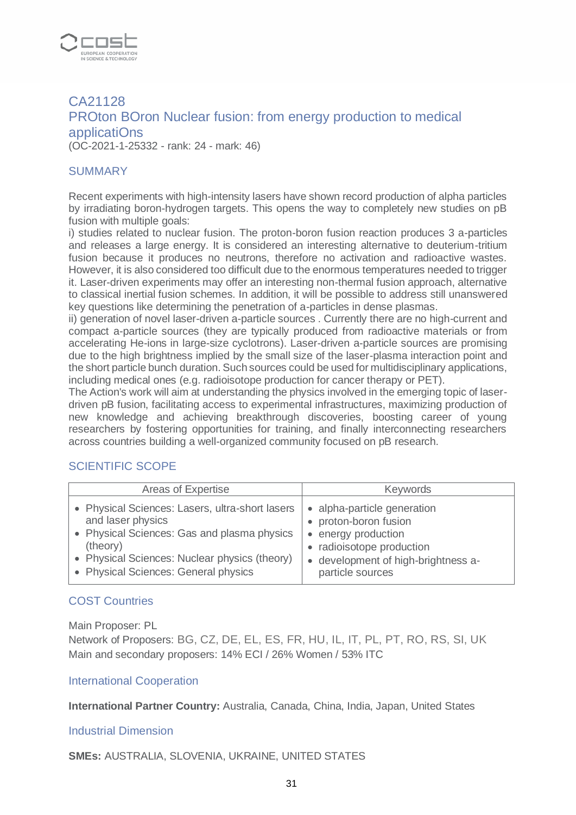

# CA21128 PROton BOron Nuclear fusion: from energy production to medical applicatiOns (OC-2021-1-25332 - rank: 24 - mark: 46)

#### **SUMMARY**

Recent experiments with high-intensity lasers have shown record production of alpha particles by irradiating boron-hydrogen targets. This opens the way to completely new studies on pB fusion with multiple goals:

i) studies related to nuclear fusion. The proton-boron fusion reaction produces 3 a-particles and releases a large energy. It is considered an interesting alternative to deuterium-tritium fusion because it produces no neutrons, therefore no activation and radioactive wastes. However, it is also considered too difficult due to the enormous temperatures needed to trigger it. Laser-driven experiments may offer an interesting non-thermal fusion approach, alternative to classical inertial fusion schemes. In addition, it will be possible to address still unanswered key questions like determining the penetration of a-particles in dense plasmas.

ii) generation of novel laser-driven a-particle sources . Currently there are no high-current and compact a-particle sources (they are typically produced from radioactive materials or from accelerating He-ions in large-size cyclotrons). Laser-driven a-particle sources are promising due to the high brightness implied by the small size of the laser-plasma interaction point and the short particle bunch duration. Such sources could be used for multidisciplinary applications, including medical ones (e.g. radioisotope production for cancer therapy or PET).

The Action's work will aim at understanding the physics involved in the emerging topic of laserdriven pB fusion, facilitating access to experimental infrastructures, maximizing production of new knowledge and achieving breakthrough discoveries, boosting career of young researchers by fostering opportunities for training, and finally interconnecting researchers across countries building a well-organized community focused on pB research.

#### SCIENTIFIC SCOPE

| Areas of Expertise                                                                                                                                                                                                       | <b>Keywords</b>                                                                                                                                                                |
|--------------------------------------------------------------------------------------------------------------------------------------------------------------------------------------------------------------------------|--------------------------------------------------------------------------------------------------------------------------------------------------------------------------------|
| • Physical Sciences: Lasers, ultra-short lasers<br>and laser physics<br>• Physical Sciences: Gas and plasma physics<br>(theory)<br>• Physical Sciences: Nuclear physics (theory)<br>• Physical Sciences: General physics | • alpha-particle generation<br>• proton-boron fusion<br>energy production<br>$\bullet$<br>• radioisotope production<br>• development of high-brightness a-<br>particle sources |

# COST Countries

Main Proposer: PL

Network of Proposers: BG, CZ, DE, EL, ES, FR, HU, IL, IT, PL, PT, RO, RS, SI, UK Main and secondary proposers: 14% ECI / 26% Women / 53% ITC

#### International Cooperation

**International Partner Country:** Australia, Canada, China, India, Japan, United States

#### Industrial Dimension

**SMEs:** AUSTRALIA, SLOVENIA, UKRAINE, UNITED STATES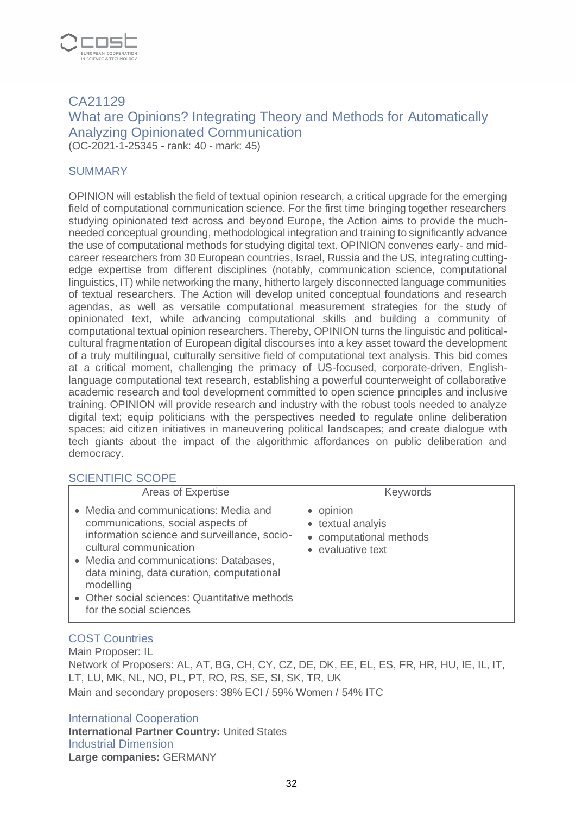

# CA21129 What are Opinions? Integrating Theory and Methods for Automatically Analyzing Opinionated Communication (OC-2021-1-25345 - rank: 40 - mark: 45)

## **SUMMARY**

OPINION will establish the field of textual opinion research, a critical upgrade for the emerging field of computational communication science. For the first time bringing together researchers studying opinionated text across and beyond Europe, the Action aims to provide the muchneeded conceptual grounding, methodological integration and training to significantly advance the use of computational methods for studying digital text. OPINION convenes early- and midcareer researchers from 30 European countries, Israel, Russia and the US, integrating cuttingedge expertise from different disciplines (notably, communication science, computational linguistics, IT) while networking the many, hitherto largely disconnected language communities of textual researchers. The Action will develop united conceptual foundations and research agendas, as well as versatile computational measurement strategies for the study of opinionated text, while advancing computational skills and building a community of computational textual opinion researchers. Thereby, OPINION turns the linguistic and politicalcultural fragmentation of European digital discourses into a key asset toward the development of a truly multilingual, culturally sensitive field of computational text analysis. This bid comes at a critical moment, challenging the primacy of US-focused, corporate-driven, Englishlanguage computational text research, establishing a powerful counterweight of collaborative academic research and tool development committed to open science principles and inclusive training. OPINION will provide research and industry with the robust tools needed to analyze digital text; equip politicians with the perspectives needed to regulate online deliberation spaces; aid citizen initiatives in maneuvering political landscapes; and create dialogue with tech giants about the impact of the algorithmic affordances on public deliberation and democracy.

#### SCIENTIFIC SCOPE

| Areas of Expertise                                                                                                                                                                                                                                                                                                                   | <b>Keywords</b>                                                                |
|--------------------------------------------------------------------------------------------------------------------------------------------------------------------------------------------------------------------------------------------------------------------------------------------------------------------------------------|--------------------------------------------------------------------------------|
| • Media and communications: Media and<br>communications, social aspects of<br>information science and surveillance, socio-<br>cultural communication<br>• Media and communications: Databases,<br>data mining, data curation, computational<br>modelling<br>• Other social sciences: Quantitative methods<br>for the social sciences | • opinion<br>• textual analyis<br>• computational methods<br>• evaluative text |

#### COST Countries

Main Proposer: IL Network of Proposers: AL, AT, BG, CH, CY, CZ, DE, DK, EE, EL, ES, FR, HR, HU, IE, IL, IT, LT, LU, MK, NL, NO, PL, PT, RO, RS, SE, SI, SK, TR, UK Main and secondary proposers: 38% ECI / 59% Women / 54% ITC

International Cooperation **International Partner Country:** United States Industrial Dimension **Large companies:** GERMANY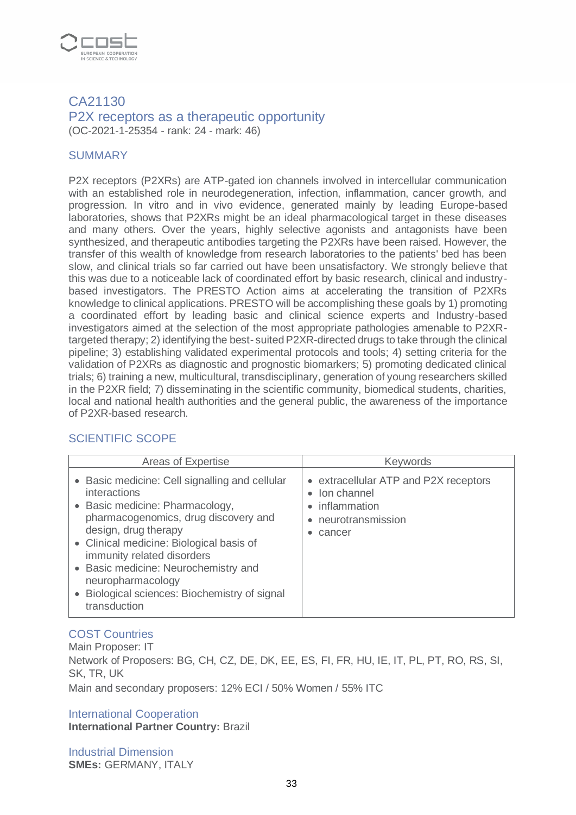

#### CA21130 P2X receptors as a therapeutic opportunity (OC-2021-1-25354 - rank: 24 - mark: 46)

#### **SUMMARY**

P2X receptors (P2XRs) are ATP-gated ion channels involved in intercellular communication with an established role in neurodegeneration, infection, inflammation, cancer growth, and progression. In vitro and in vivo evidence, generated mainly by leading Europe-based laboratories, shows that P2XRs might be an ideal pharmacological target in these diseases and many others. Over the years, highly selective agonists and antagonists have been synthesized, and therapeutic antibodies targeting the P2XRs have been raised. However, the transfer of this wealth of knowledge from research laboratories to the patients' bed has been slow, and clinical trials so far carried out have been unsatisfactory. We strongly believe that this was due to a noticeable lack of coordinated effort by basic research, clinical and industrybased investigators. The PRESTO Action aims at accelerating the transition of P2XRs knowledge to clinical applications. PRESTO will be accomplishing these goals by 1) promoting a coordinated effort by leading basic and clinical science experts and Industry-based investigators aimed at the selection of the most appropriate pathologies amenable to P2XRtargeted therapy; 2) identifying the best- suited P2XR-directed drugs to take through the clinical pipeline; 3) establishing validated experimental protocols and tools; 4) setting criteria for the validation of P2XRs as diagnostic and prognostic biomarkers; 5) promoting dedicated clinical trials; 6) training a new, multicultural, transdisciplinary, generation of young researchers skilled in the P2XR field; 7) disseminating in the scientific community, biomedical students, charities, local and national health authorities and the general public, the awareness of the importance of P2XR-based research.

#### SCIENTIFIC SCOPE

| • Basic medicine: Cell signalling and cellular<br>• extracellular ATP and P2X receptors<br>interactions<br>• Ion channel<br>• Basic medicine: Pharmacology,<br>• inflammation<br>pharmacogenomics, drug discovery and<br>• neurotransmission<br>design, drug therapy<br>cancer<br>• Clinical medicine: Biological basis of<br>immunity related disorders<br>• Basic medicine: Neurochemistry and<br>neuropharmacology<br>• Biological sciences: Biochemistry of signal | Areas of Expertise | <b>Keywords</b> |
|------------------------------------------------------------------------------------------------------------------------------------------------------------------------------------------------------------------------------------------------------------------------------------------------------------------------------------------------------------------------------------------------------------------------------------------------------------------------|--------------------|-----------------|
|                                                                                                                                                                                                                                                                                                                                                                                                                                                                        | transduction       |                 |

# COST Countries

Main Proposer: IT Network of Proposers: BG, CH, CZ, DE, DK, EE, ES, FI, FR, HU, IE, IT, PL, PT, RO, RS, SI, SK, TR, UK Main and secondary proposers: 12% ECI / 50% Women / 55% ITC

International Cooperation **International Partner Country:** Brazil

Industrial Dimension **SMEs:** GERMANY, ITALY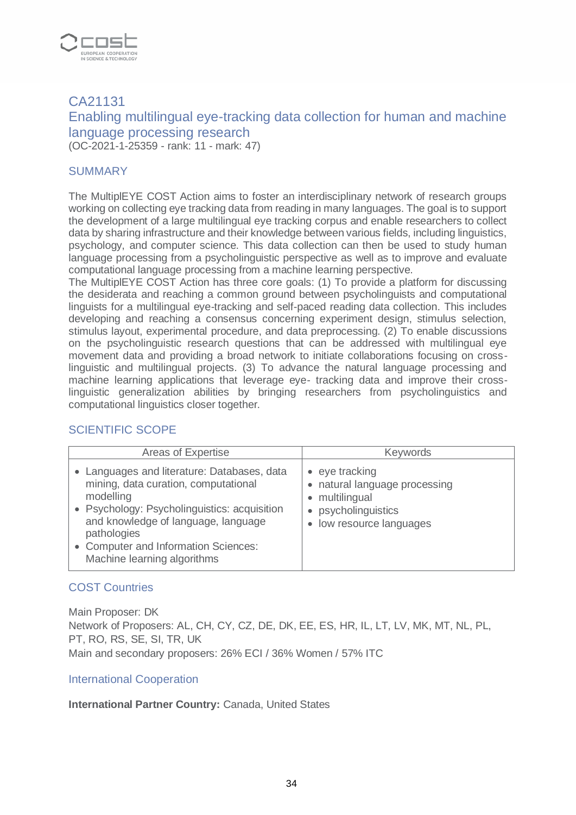

# CA21131 Enabling multilingual eye-tracking data collection for human and machine language processing research (OC-2021-1-25359 - rank: 11 - mark: 47)

#### **SUMMARY**

The MultiplEYE COST Action aims to foster an interdisciplinary network of research groups working on collecting eye tracking data from reading in many languages. The goal is to support the development of a large multilingual eye tracking corpus and enable researchers to collect data by sharing infrastructure and their knowledge between various fields, including linguistics, psychology, and computer science. This data collection can then be used to study human language processing from a psycholinguistic perspective as well as to improve and evaluate computational language processing from a machine learning perspective.

The MultiplEYE COST Action has three core goals: (1) To provide a platform for discussing the desiderata and reaching a common ground between psycholinguists and computational linguists for a multilingual eye-tracking and self-paced reading data collection. This includes developing and reaching a consensus concerning experiment design, stimulus selection, stimulus layout, experimental procedure, and data preprocessing. (2) To enable discussions on the psycholinguistic research questions that can be addressed with multilingual eye movement data and providing a broad network to initiate collaborations focusing on crosslinguistic and multilingual projects. (3) To advance the natural language processing and machine learning applications that leverage eye- tracking data and improve their crosslinguistic generalization abilities by bringing researchers from psycholinguistics and computational linguistics closer together.

# SCIENTIFIC SCOPE

| Areas of Expertise                                                                                                                                                                                                                                                            | <b>Keywords</b>                                                                                                            |
|-------------------------------------------------------------------------------------------------------------------------------------------------------------------------------------------------------------------------------------------------------------------------------|----------------------------------------------------------------------------------------------------------------------------|
| • Languages and literature: Databases, data<br>mining, data curation, computational<br>modelling<br>• Psychology: Psycholinguistics: acquisition<br>and knowledge of language, language<br>pathologies<br>• Computer and Information Sciences:<br>Machine learning algorithms | $\bullet$ eye tracking<br>• natural language processing<br>• multilingual<br>• psycholinguistics<br>low resource languages |

#### COST Countries

Main Proposer: DK Network of Proposers: AL, CH, CY, CZ, DE, DK, EE, ES, HR, IL, LT, LV, MK, MT, NL, PL, PT, RO, RS, SE, SI, TR, UK Main and secondary proposers: 26% ECI / 36% Women / 57% ITC

#### International Cooperation

**International Partner Country:** Canada, United States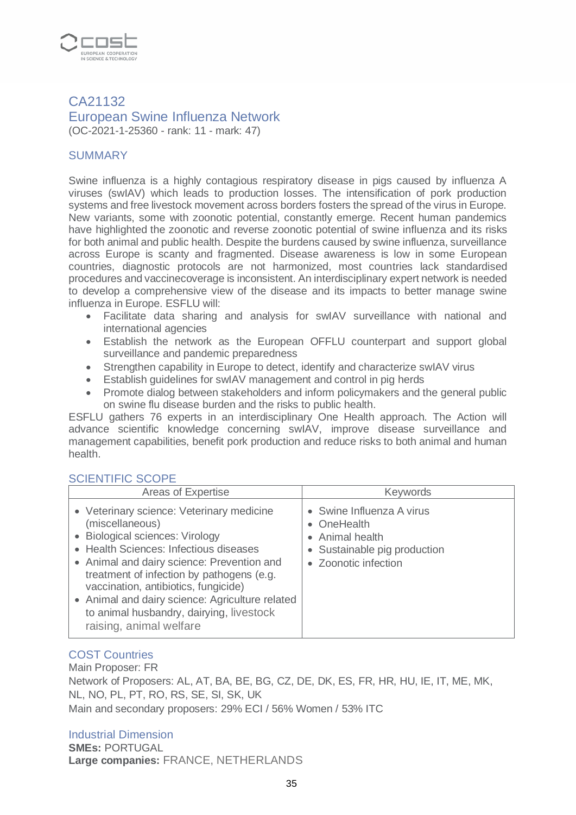

## CA21132 European Swine Influenza Network (OC-2021-1-25360 - rank: 11 - mark: 47)

## **SUMMARY**

Swine influenza is a highly contagious respiratory disease in pigs caused by influenza A viruses (swIAV) which leads to production losses. The intensification of pork production systems and free livestock movement across borders fosters the spread of the virus in Europe. New variants, some with zoonotic potential, constantly emerge. Recent human pandemics have highlighted the zoonotic and reverse zoonotic potential of swine influenza and its risks for both animal and public health. Despite the burdens caused by swine influenza, surveillance across Europe is scanty and fragmented. Disease awareness is low in some European countries, diagnostic protocols are not harmonized, most countries lack standardised procedures and vaccinecoverage is inconsistent. An interdisciplinary expert network is needed to develop a comprehensive view of the disease and its impacts to better manage swine influenza in Europe. ESFLU will:

- Facilitate data sharing and analysis for swIAV surveillance with national and international agencies
- Establish the network as the European OFFLU counterpart and support global surveillance and pandemic preparedness
- Strengthen capability in Europe to detect, identify and characterize swIAV virus
- Establish guidelines for swIAV management and control in pig herds
- Promote dialog between stakeholders and inform policymakers and the general public on swine flu disease burden and the risks to public health.

ESFLU gathers 76 experts in an interdisciplinary One Health approach. The Action will advance scientific knowledge concerning swIAV, improve disease surveillance and management capabilities, benefit pork production and reduce risks to both animal and human health.

#### SCIENTIFIC SCOPE

| Areas of Expertise                                                                                                                                                                                                                                                                                                                                                                                     | <b>Keywords</b>                                                                                                     |
|--------------------------------------------------------------------------------------------------------------------------------------------------------------------------------------------------------------------------------------------------------------------------------------------------------------------------------------------------------------------------------------------------------|---------------------------------------------------------------------------------------------------------------------|
| • Veterinary science: Veterinary medicine<br>(miscellaneous)<br>• Biological sciences: Virology<br>• Health Sciences: Infectious diseases<br>• Animal and dairy science: Prevention and<br>treatment of infection by pathogens (e.g.<br>vaccination, antibiotics, fungicide)<br>• Animal and dairy science: Agriculture related<br>to animal husbandry, dairying, livestock<br>raising, animal welfare | • Swine Influenza A virus<br>• OneHealth<br>• Animal health<br>• Sustainable pig production<br>• Zoonotic infection |

## COST Countries

Main Proposer: FR Network of Proposers: AL, AT, BA, BE, BG, CZ, DE, DK, ES, FR, HR, HU, IE, IT, ME, MK, NL, NO, PL, PT, RO, RS, SE, SI, SK, UK Main and secondary proposers: 29% ECI / 56% Women / 53% ITC

#### Industrial Dimension

**SMEs:** PORTUGAL **Large companies:** FRANCE, NETHERLANDS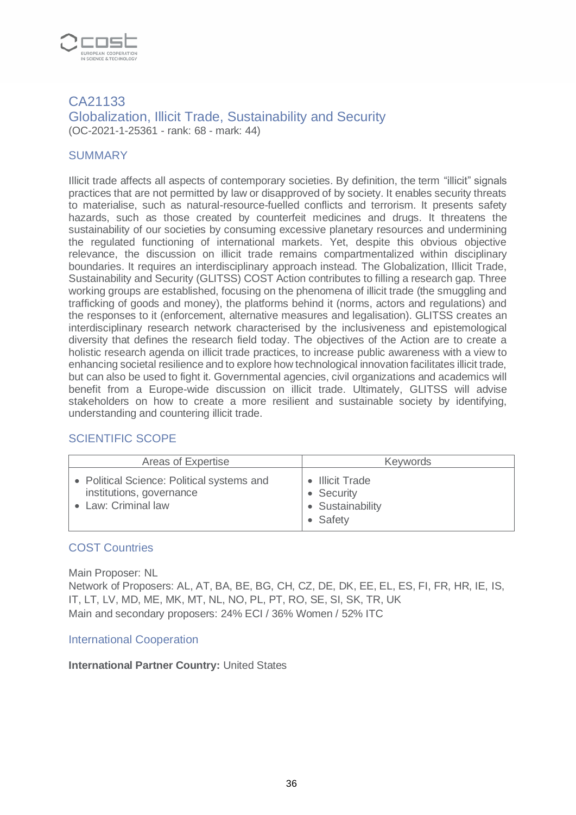

#### CA21133 Globalization, Illicit Trade, Sustainability and Security (OC-2021-1-25361 - rank: 68 - mark: 44)

## **SUMMARY**

Illicit trade affects all aspects of contemporary societies. By definition, the term "illicit" signals practices that are not permitted by law or disapproved of by society. It enables security threats to materialise, such as natural-resource-fuelled conflicts and terrorism. It presents safety hazards, such as those created by counterfeit medicines and drugs. It threatens the sustainability of our societies by consuming excessive planetary resources and undermining the regulated functioning of international markets. Yet, despite this obvious objective relevance, the discussion on illicit trade remains compartmentalized within disciplinary boundaries. It requires an interdisciplinary approach instead. The Globalization, Illicit Trade, Sustainability and Security (GLITSS) COST Action contributes to filling a research gap. Three working groups are established, focusing on the phenomena of illicit trade (the smuggling and trafficking of goods and money), the platforms behind it (norms, actors and regulations) and the responses to it (enforcement, alternative measures and legalisation). GLITSS creates an interdisciplinary research network characterised by the inclusiveness and epistemological diversity that defines the research field today. The objectives of the Action are to create a holistic research agenda on illicit trade practices, to increase public awareness with a view to enhancing societal resilience and to explore how technological innovation facilitates illicit trade, but can also be used to fight it. Governmental agencies, civil organizations and academics will benefit from a Europe-wide discussion on illicit trade. Ultimately, GLITSS will advise stakeholders on how to create a more resilient and sustainable society by identifying, understanding and countering illicit trade.

#### SCIENTIFIC SCOPE

| Areas of Expertise                                                                            | Keywords                                                      |
|-----------------------------------------------------------------------------------------------|---------------------------------------------------------------|
| • Political Science: Political systems and<br>institutions, governance<br>• Law: Criminal law | • Illicit Trade<br>• Security<br>• Sustainability<br>• Safety |

#### COST Countries

Main Proposer: NL

Network of Proposers: AL, AT, BA, BE, BG, CH, CZ, DE, DK, EE, EL, ES, FI, FR, HR, IE, IS, IT, LT, LV, MD, ME, MK, MT, NL, NO, PL, PT, RO, SE, SI, SK, TR, UK Main and secondary proposers: 24% ECI / 36% Women / 52% ITC

#### International Cooperation

#### **International Partner Country:** United States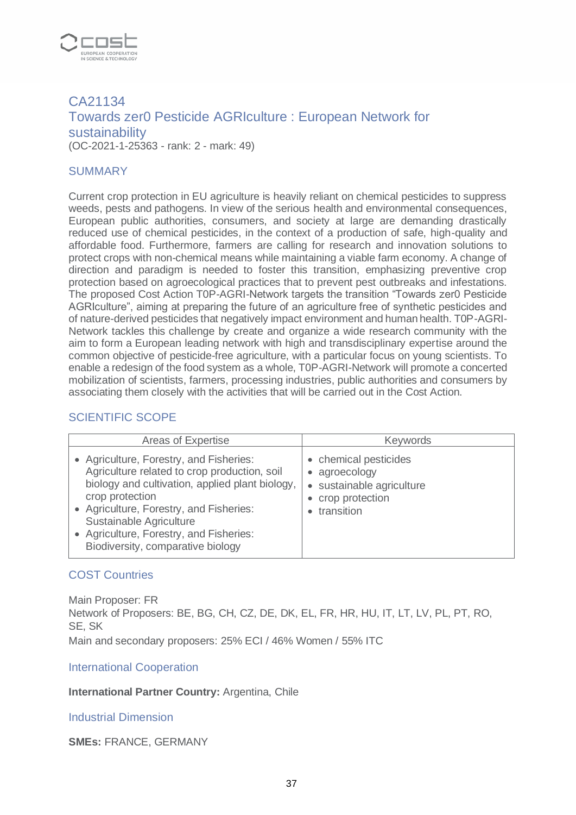

# CA21134 Towards zer0 Pesticide AGRIculture : European Network for sustainability (OC-2021-1-25363 - rank: 2 - mark: 49)

#### **SUMMARY**

Current crop protection in EU agriculture is heavily reliant on chemical pesticides to suppress weeds, pests and pathogens. In view of the serious health and environmental consequences, European public authorities, consumers, and society at large are demanding drastically reduced use of chemical pesticides, in the context of a production of safe, high-quality and affordable food. Furthermore, farmers are calling for research and innovation solutions to protect crops with non-chemical means while maintaining a viable farm economy. A change of direction and paradigm is needed to foster this transition, emphasizing preventive crop protection based on agroecological practices that to prevent pest outbreaks and infestations. The proposed Cost Action T0P-AGRI-Network targets the transition "Towards zer0 Pesticide AGRIculture", aiming at preparing the future of an agriculture free of synthetic pesticides and of nature-derived pesticides that negatively impact environment and human health. T0P-AGRI-Network tackles this challenge by create and organize a wide research community with the aim to form a European leading network with high and transdisciplinary expertise around the common objective of pesticide-free agriculture, with a particular focus on young scientists. To enable a redesign of the food system as a whole, T0P-AGRI-Network will promote a concerted mobilization of scientists, farmers, processing industries, public authorities and consumers by associating them closely with the activities that will be carried out in the Cost Action.

#### SCIENTIFIC SCOPE

| Areas of Expertise                                                                                                                                                                                                                                                                                                  | <b>Keywords</b>                                                                                      |
|---------------------------------------------------------------------------------------------------------------------------------------------------------------------------------------------------------------------------------------------------------------------------------------------------------------------|------------------------------------------------------------------------------------------------------|
| • Agriculture, Forestry, and Fisheries:<br>Agriculture related to crop production, soil<br>biology and cultivation, applied plant biology,<br>crop protection<br>• Agriculture, Forestry, and Fisheries:<br>Sustainable Agriculture<br>• Agriculture, Forestry, and Fisheries:<br>Biodiversity, comparative biology | • chemical pesticides<br>• agroecology<br>· sustainable agriculture<br>crop protection<br>transition |

#### COST Countries

Main Proposer: FR Network of Proposers: BE, BG, CH, CZ, DE, DK, EL, FR, HR, HU, IT, LT, LV, PL, PT, RO, SE, SK Main and secondary proposers: 25% ECI / 46% Women / 55% ITC

#### International Cooperation

**International Partner Country:** Argentina, Chile

#### Industrial Dimension

**SMEs:** FRANCE, GERMANY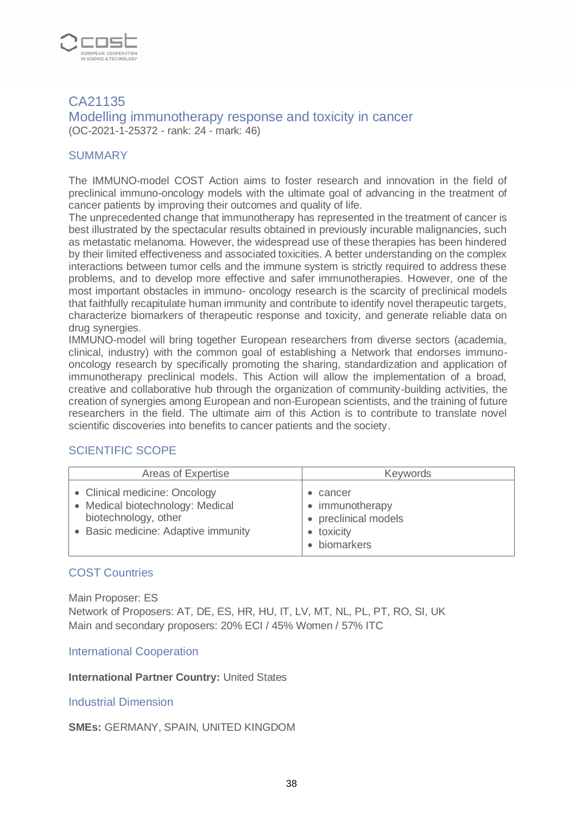

#### CA21135 Modelling immunotherapy response and toxicity in cancer (OC-2021-1-25372 - rank: 24 - mark: 46)

#### **SUMMARY**

The IMMUNO-model COST Action aims to foster research and innovation in the field of preclinical immuno-oncology models with the ultimate goal of advancing in the treatment of cancer patients by improving their outcomes and quality of life.

The unprecedented change that immunotherapy has represented in the treatment of cancer is best illustrated by the spectacular results obtained in previously incurable malignancies, such as metastatic melanoma. However, the widespread use of these therapies has been hindered by their limited effectiveness and associated toxicities. A better understanding on the complex interactions between tumor cells and the immune system is strictly required to address these problems, and to develop more effective and safer immunotherapies. However, one of the most important obstacles in immuno- oncology research is the scarcity of preclinical models that faithfully recapitulate human immunity and contribute to identify novel therapeutic targets, characterize biomarkers of therapeutic response and toxicity, and generate reliable data on drug synergies.

IMMUNO-model will bring together European researchers from diverse sectors (academia, clinical, industry) with the common goal of establishing a Network that endorses immunooncology research by specifically promoting the sharing, standardization and application of immunotherapy preclinical models. This Action will allow the implementation of a broad, creative and collaborative hub through the organization of community-building activities, the creation of synergies among European and non-European scientists, and the training of future researchers in the field. The ultimate aim of this Action is to contribute to translate novel scientific discoveries into benefits to cancer patients and the society.

#### SCIENTIFIC SCOPE

| Areas of Expertise                                                                                                               | <b>Keywords</b>                                                           |
|----------------------------------------------------------------------------------------------------------------------------------|---------------------------------------------------------------------------|
| • Clinical medicine: Oncology<br>• Medical biotechnology: Medical<br>biotechnology, other<br>• Basic medicine: Adaptive immunity | cancer<br>immunotherapy<br>• preclinical models<br>toxicity<br>biomarkers |

#### COST Countries

Main Proposer: ES Network of Proposers: AT, DE, ES, HR, HU, IT, LV, MT, NL, PL, PT, RO, SI, UK Main and secondary proposers: 20% ECI / 45% Women / 57% ITC

International Cooperation

**International Partner Country:** United States

#### Industrial Dimension

**SMEs:** GERMANY, SPAIN, UNITED KINGDOM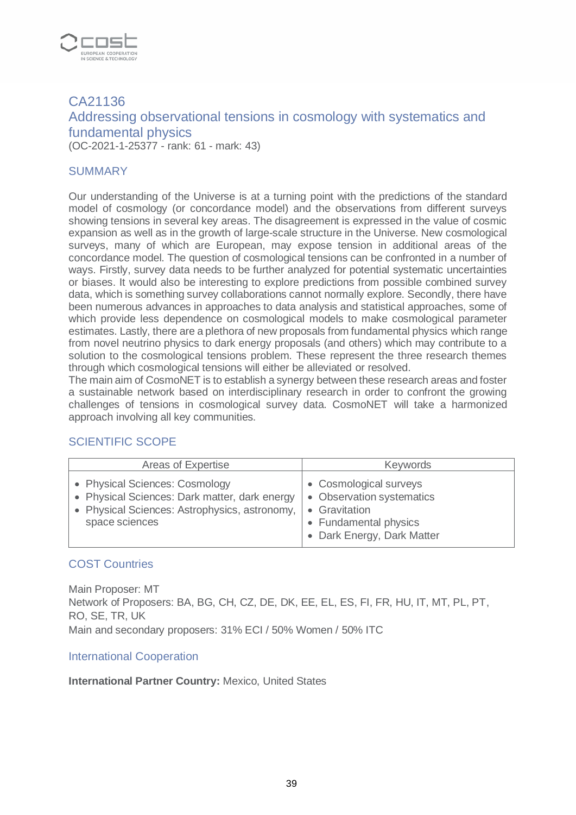

# CA21136 Addressing observational tensions in cosmology with systematics and fundamental physics (OC-2021-1-25377 - rank: 61 - mark: 43)

#### **SUMMARY**

Our understanding of the Universe is at a turning point with the predictions of the standard model of cosmology (or concordance model) and the observations from different surveys showing tensions in several key areas. The disagreement is expressed in the value of cosmic expansion as well as in the growth of large-scale structure in the Universe. New cosmological surveys, many of which are European, may expose tension in additional areas of the concordance model. The question of cosmological tensions can be confronted in a number of ways. Firstly, survey data needs to be further analyzed for potential systematic uncertainties or biases. It would also be interesting to explore predictions from possible combined survey data, which is something survey collaborations cannot normally explore. Secondly, there have been numerous advances in approaches to data analysis and statistical approaches, some of which provide less dependence on cosmological models to make cosmological parameter estimates. Lastly, there are a plethora of new proposals from fundamental physics which range from novel neutrino physics to dark energy proposals (and others) which may contribute to a solution to the cosmological tensions problem. These represent the three research themes through which cosmological tensions will either be alleviated or resolved.

The main aim of CosmoNET is to establish a synergy between these research areas and foster a sustainable network based on interdisciplinary research in order to confront the growing challenges of tensions in cosmological survey data. CosmoNET will take a harmonized approach involving all key communities.

### SCIENTIFIC SCOPE

| Areas of Expertise                                                                                                                                 | <b>Keywords</b>                                                                                                                             |
|----------------------------------------------------------------------------------------------------------------------------------------------------|---------------------------------------------------------------------------------------------------------------------------------------------|
| • Physical Sciences: Cosmology<br>• Physical Sciences: Dark matter, dark energy<br>• Physical Sciences: Astrophysics, astronomy,<br>space sciences | • Cosmological surveys<br>• Observation systematics<br>Gravitation<br>$\bullet$<br><b>Fundamental physics</b><br>• Dark Energy, Dark Matter |

#### COST Countries

Main Proposer: MT Network of Proposers: BA, BG, CH, CZ, DE, DK, EE, EL, ES, FI, FR, HU, IT, MT, PL, PT, RO, SE, TR, UK Main and secondary proposers: 31% ECI / 50% Women / 50% ITC

#### International Cooperation

#### **International Partner Country:** Mexico, United States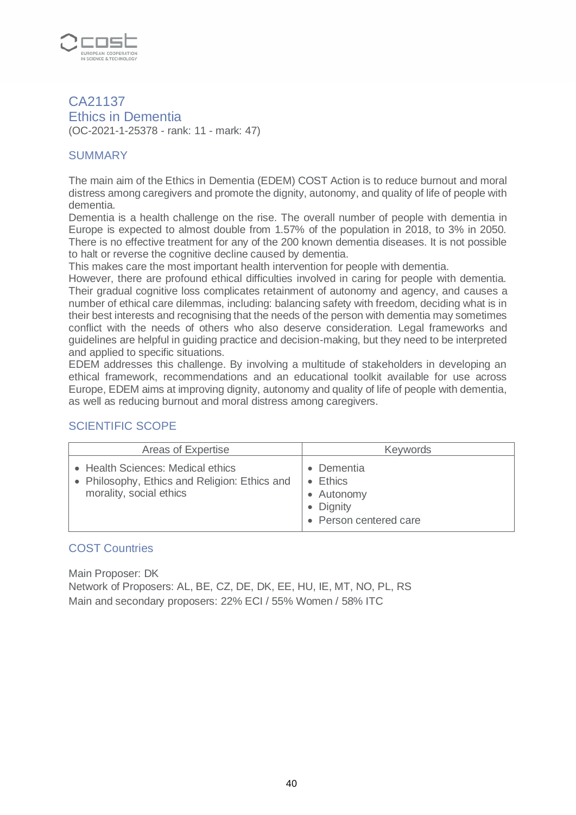

CA21137 Ethics in Dementia (OC-2021-1-25378 - rank: 11 - mark: 47)

## **SUMMARY**

The main aim of the Ethics in Dementia (EDEM) COST Action is to reduce burnout and moral distress among caregivers and promote the dignity, autonomy, and quality of life of people with dementia.

Dementia is a health challenge on the rise. The overall number of people with dementia in Europe is expected to almost double from 1.57% of the population in 2018, to 3% in 2050. There is no effective treatment for any of the 200 known dementia diseases. It is not possible to halt or reverse the cognitive decline caused by dementia.

This makes care the most important health intervention for people with dementia.

However, there are profound ethical difficulties involved in caring for people with dementia. Their gradual cognitive loss complicates retainment of autonomy and agency, and causes a number of ethical care dilemmas, including: balancing safety with freedom, deciding what is in their best interests and recognising that the needs of the person with dementia may sometimes conflict with the needs of others who also deserve consideration. Legal frameworks and guidelines are helpful in guiding practice and decision-making, but they need to be interpreted and applied to specific situations.

EDEM addresses this challenge. By involving a multitude of stakeholders in developing an ethical framework, recommendations and an educational toolkit available for use across Europe, EDEM aims at improving dignity, autonomy and quality of life of people with dementia, as well as reducing burnout and moral distress among caregivers.

# SCIENTIFIC SCOPE

| Areas of Expertise                                                                                            | <b>Keywords</b>                                                                   |
|---------------------------------------------------------------------------------------------------------------|-----------------------------------------------------------------------------------|
| • Health Sciences: Medical ethics<br>• Philosophy, Ethics and Religion: Ethics and<br>morality, social ethics | Dementia<br>$\bullet$ Ethics<br>• Autonomy<br>• Dignity<br>• Person centered care |

#### COST Countries

Main Proposer: DK Network of Proposers: AL, BE, CZ, DE, DK, EE, HU, IE, MT, NO, PL, RS Main and secondary proposers: 22% ECI / 55% Women / 58% ITC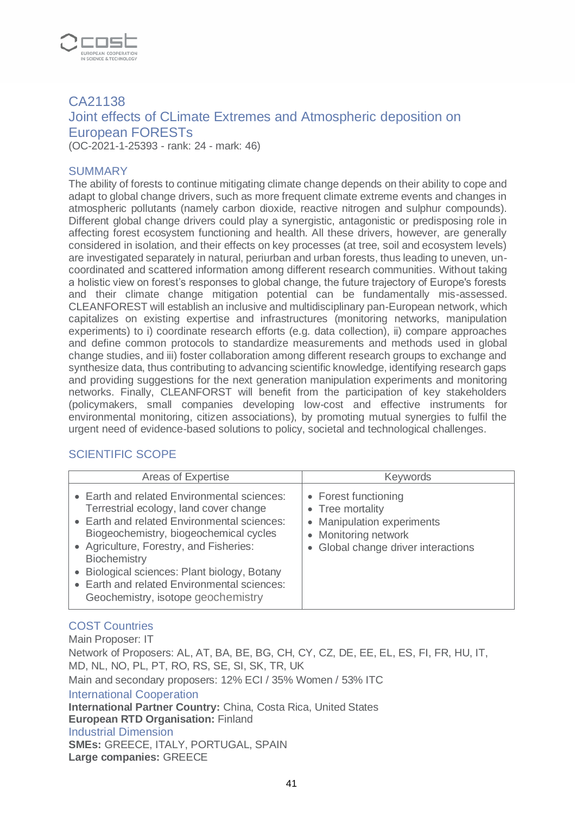

# CA21138 Joint effects of CLimate Extremes and Atmospheric deposition on European FORESTs

(OC-2021-1-25393 - rank: 24 - mark: 46)

#### SUMMARY

The ability of forests to continue mitigating climate change depends on their ability to cope and adapt to global change drivers, such as more frequent climate extreme events and changes in atmospheric pollutants (namely carbon dioxide, reactive nitrogen and sulphur compounds). Different global change drivers could play a synergistic, antagonistic or predisposing role in affecting forest ecosystem functioning and health. All these drivers, however, are generally considered in isolation, and their effects on key processes (at tree, soil and ecosystem levels) are investigated separately in natural, periurban and urban forests, thus leading to uneven, uncoordinated and scattered information among different research communities. Without taking a holistic view on forest's responses to global change, the future trajectory of Europe's forests and their climate change mitigation potential can be fundamentally mis-assessed. CLEANFOREST will establish an inclusive and multidisciplinary pan-European network, which capitalizes on existing expertise and infrastructures (monitoring networks, manipulation experiments) to i) coordinate research efforts (e.g. data collection), ii) compare approaches and define common protocols to standardize measurements and methods used in global change studies, and iii) foster collaboration among different research groups to exchange and synthesize data, thus contributing to advancing scientific knowledge, identifying research gaps and providing suggestions for the next generation manipulation experiments and monitoring networks. Finally, CLEANFORST will benefit from the participation of key stakeholders (policymakers, small companies developing low-cost and effective instruments for environmental monitoring, citizen associations), by promoting mutual synergies to fulfil the urgent need of evidence-based solutions to policy, societal and technological challenges.

#### SCIENTIFIC SCOPE

| Areas of Expertise                                                                                                                                                                                                                                                                                                                                                                  | <b>Keywords</b>                                                                                                                       |
|-------------------------------------------------------------------------------------------------------------------------------------------------------------------------------------------------------------------------------------------------------------------------------------------------------------------------------------------------------------------------------------|---------------------------------------------------------------------------------------------------------------------------------------|
| • Earth and related Environmental sciences:<br>Terrestrial ecology, land cover change<br>• Earth and related Environmental sciences:<br>Biogeochemistry, biogeochemical cycles<br>• Agriculture, Forestry, and Fisheries:<br>Biochemistry<br>• Biological sciences: Plant biology, Botany<br><b>Earth and related Environmental sciences:</b><br>Geochemistry, isotope geochemistry | • Forest functioning<br>• Tree mortality<br>• Manipulation experiments<br>• Monitoring network<br>• Global change driver interactions |

# COST Countries

Main Proposer: IT Network of Proposers: AL, AT, BA, BE, BG, CH, CY, CZ, DE, EE, EL, ES, FI, FR, HU, IT, MD, NL, NO, PL, PT, RO, RS, SE, SI, SK, TR, UK Main and secondary proposers: 12% ECI / 35% Women / 53% ITC International Cooperation **International Partner Country:** China, Costa Rica, United States **European RTD Organisation:** Finland Industrial Dimension **SMEs:** GREECE, ITALY, PORTUGAL, SPAIN **Large companies:** GREECE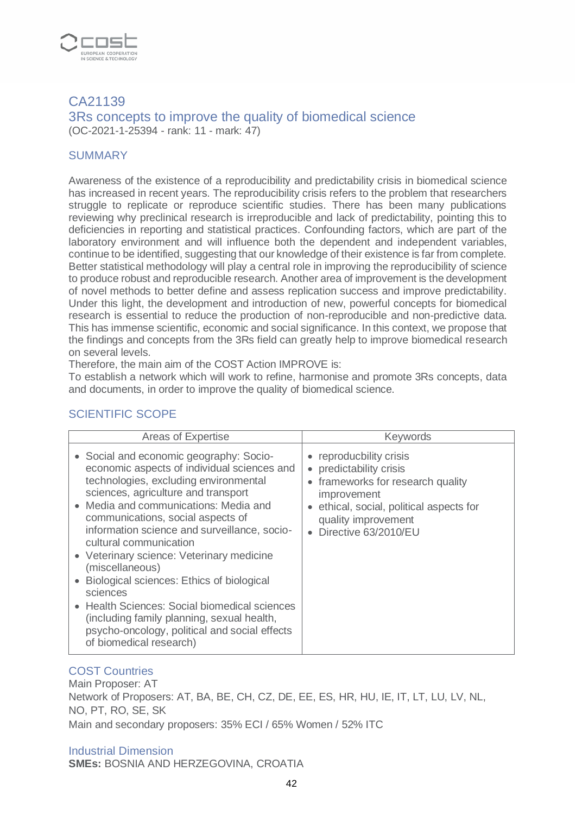

#### CA21139 3Rs concepts to improve the quality of biomedical science (OC-2021-1-25394 - rank: 11 - mark: 47)

#### **SUMMARY**

Awareness of the existence of a reproducibility and predictability crisis in biomedical science has increased in recent years. The reproducibility crisis refers to the problem that researchers struggle to replicate or reproduce scientific studies. There has been many publications reviewing why preclinical research is irreproducible and lack of predictability, pointing this to deficiencies in reporting and statistical practices. Confounding factors, which are part of the laboratory environment and will influence both the dependent and independent variables, continue to be identified, suggesting that our knowledge of their existence is far from complete. Better statistical methodology will play a central role in improving the reproducibility of science to produce robust and reproducible research. Another area of improvement is the development of novel methods to better define and assess replication success and improve predictability. Under this light, the development and introduction of new, powerful concepts for biomedical research is essential to reduce the production of non-reproducible and non-predictive data. This has immense scientific, economic and social significance. In this context, we propose that the findings and concepts from the 3Rs field can greatly help to improve biomedical research on several levels.

Therefore, the main aim of the COST Action IMPROVE is:

To establish a network which will work to refine, harmonise and promote 3Rs concepts, data and documents, in order to improve the quality of biomedical science.

# SCIENTIFIC SCOPE

| Areas of Expertise                                                                                                                                                                                                                                                                                                                                                                                                                                                                                                                                                                                                               | <b>Keywords</b>                                                                                                                                                                                          |
|----------------------------------------------------------------------------------------------------------------------------------------------------------------------------------------------------------------------------------------------------------------------------------------------------------------------------------------------------------------------------------------------------------------------------------------------------------------------------------------------------------------------------------------------------------------------------------------------------------------------------------|----------------------------------------------------------------------------------------------------------------------------------------------------------------------------------------------------------|
| • Social and economic geography: Socio-<br>economic aspects of individual sciences and<br>technologies, excluding environmental<br>sciences, agriculture and transport<br>Media and communications: Media and<br>communications, social aspects of<br>information science and surveillance, socio-<br>cultural communication<br>• Veterinary science: Veterinary medicine<br>(miscellaneous)<br>Biological sciences: Ethics of biological<br>sciences<br>• Health Sciences: Social biomedical sciences<br>(including family planning, sexual health,<br>psycho-oncology, political and social effects<br>of biomedical research) | • reproducbility crisis<br>predictability crisis<br>frameworks for research quality<br>$\bullet$<br>improvement<br>ethical, social, political aspects for<br>quality improvement<br>Directive 63/2010/EU |

#### COST Countries

Main Proposer: AT Network of Proposers: AT, BA, BE, CH, CZ, DE, EE, ES, HR, HU, IE, IT, LT, LU, LV, NL, NO, PT, RO, SE, SK Main and secondary proposers: 35% ECI / 65% Women / 52% ITC

Industrial Dimension **SMEs:** BOSNIA AND HERZEGOVINA, CROATIA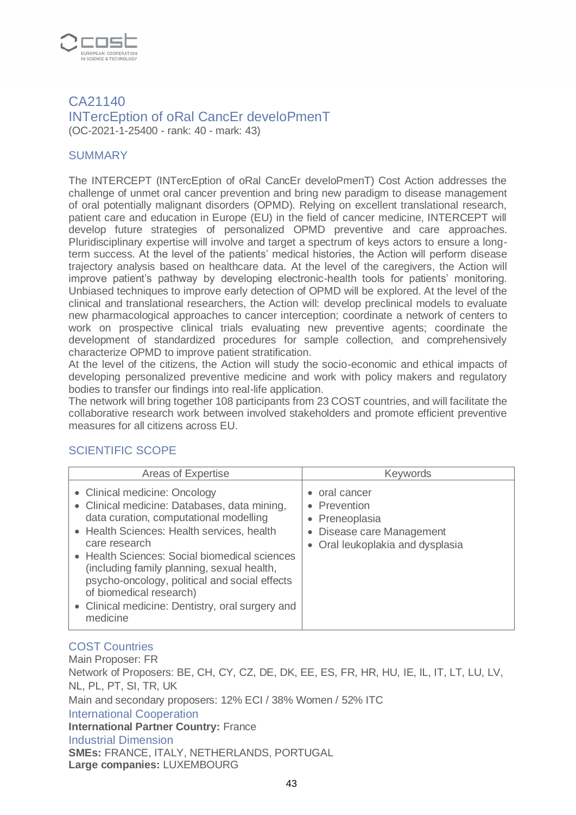

### CA21140 INTercEption of oRal CancEr develoPmenT (OC-2021-1-25400 - rank: 40 - mark: 43)

#### **SUMMARY**

The INTERCEPT (INTercEption of oRal CancEr develoPmenT) Cost Action addresses the challenge of unmet oral cancer prevention and bring new paradigm to disease management of oral potentially malignant disorders (OPMD). Relying on excellent translational research, patient care and education in Europe (EU) in the field of cancer medicine, INTERCEPT will develop future strategies of personalized OPMD preventive and care approaches. Pluridisciplinary expertise will involve and target a spectrum of keys actors to ensure a longterm success. At the level of the patients' medical histories, the Action will perform disease trajectory analysis based on healthcare data. At the level of the caregivers, the Action will improve patient's pathway by developing electronic-health tools for patients' monitoring. Unbiased techniques to improve early detection of OPMD will be explored. At the level of the clinical and translational researchers, the Action will: develop preclinical models to evaluate new pharmacological approaches to cancer interception; coordinate a network of centers to work on prospective clinical trials evaluating new preventive agents; coordinate the development of standardized procedures for sample collection, and comprehensively characterize OPMD to improve patient stratification.

At the level of the citizens, the Action will study the socio-economic and ethical impacts of developing personalized preventive medicine and work with policy makers and regulatory bodies to transfer our findings into real-life application.

The network will bring together 108 participants from 23 COST countries, and will facilitate the collaborative research work between involved stakeholders and promote efficient preventive measures for all citizens across EU.

### SCIENTIFIC SCOPE

| Areas of Expertise                                                                                                                                                                                                                                                                                                                                                                                                                | <b>Keywords</b>                                                                                                           |
|-----------------------------------------------------------------------------------------------------------------------------------------------------------------------------------------------------------------------------------------------------------------------------------------------------------------------------------------------------------------------------------------------------------------------------------|---------------------------------------------------------------------------------------------------------------------------|
| • Clinical medicine: Oncology<br>• Clinical medicine: Databases, data mining,<br>data curation, computational modelling<br>• Health Sciences: Health services, health<br>care research<br>• Health Sciences: Social biomedical sciences<br>(including family planning, sexual health,<br>psycho-oncology, political and social effects<br>of biomedical research)<br>• Clinical medicine: Dentistry, oral surgery and<br>medicine | oral cancer<br>• Prevention<br>• Preneoplasia<br>Disease care Management<br>$\bullet$<br>• Oral leukoplakia and dysplasia |

# COST Countries

Main Proposer: FR Network of Proposers: BE, CH, CY, CZ, DE, DK, EE, ES, FR, HR, HU, IE, IL, IT, LT, LU, LV, NL, PL, PT, SI, TR, UK Main and secondary proposers: 12% ECI / 38% Women / 52% ITC International Cooperation **International Partner Country:** France Industrial Dimension **SMEs:** FRANCE, ITALY, NETHERLANDS, PORTUGAL **Large companies:** LUXEMBOURG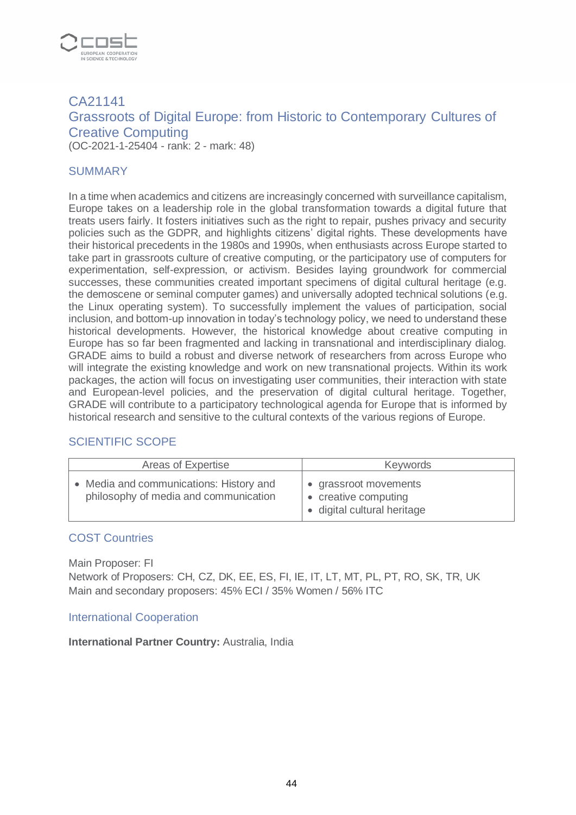

# CA21141 Grassroots of Digital Europe: from Historic to Contemporary Cultures of Creative Computing (OC-2021-1-25404 - rank: 2 - mark: 48)

#### **SUMMARY**

In a time when academics and citizens are increasingly concerned with surveillance capitalism, Europe takes on a leadership role in the global transformation towards a digital future that treats users fairly. It fosters initiatives such as the right to repair, pushes privacy and security policies such as the GDPR, and highlights citizens' digital rights. These developments have their historical precedents in the 1980s and 1990s, when enthusiasts across Europe started to take part in grassroots culture of creative computing, or the participatory use of computers for experimentation, self-expression, or activism. Besides laying groundwork for commercial successes, these communities created important specimens of digital cultural heritage (e.g. the demoscene or seminal computer games) and universally adopted technical solutions (e.g. the Linux operating system). To successfully implement the values of participation, social inclusion, and bottom-up innovation in today's technology policy, we need to understand these historical developments. However, the historical knowledge about creative computing in Europe has so far been fragmented and lacking in transnational and interdisciplinary dialog. GRADE aims to build a robust and diverse network of researchers from across Europe who will integrate the existing knowledge and work on new transnational projects. Within its work packages, the action will focus on investigating user communities, their interaction with state and European-level policies, and the preservation of digital cultural heritage. Together, GRADE will contribute to a participatory technological agenda for Europe that is informed by historical research and sensitive to the cultural contexts of the various regions of Europe.

#### SCIENTIFIC SCOPE

| Areas of Expertise                                                             | Keywords                                                                     |
|--------------------------------------------------------------------------------|------------------------------------------------------------------------------|
| Media and communications: History and<br>philosophy of media and communication | • grassroot movements<br>• creative computing<br>• digital cultural heritage |

#### COST Countries

Main Proposer: FI

Network of Proposers: CH, CZ, DK, EE, ES, FI, IE, IT, LT, MT, PL, PT, RO, SK, TR, UK Main and secondary proposers: 45% ECI / 35% Women / 56% ITC

#### International Cooperation

**International Partner Country:** Australia, India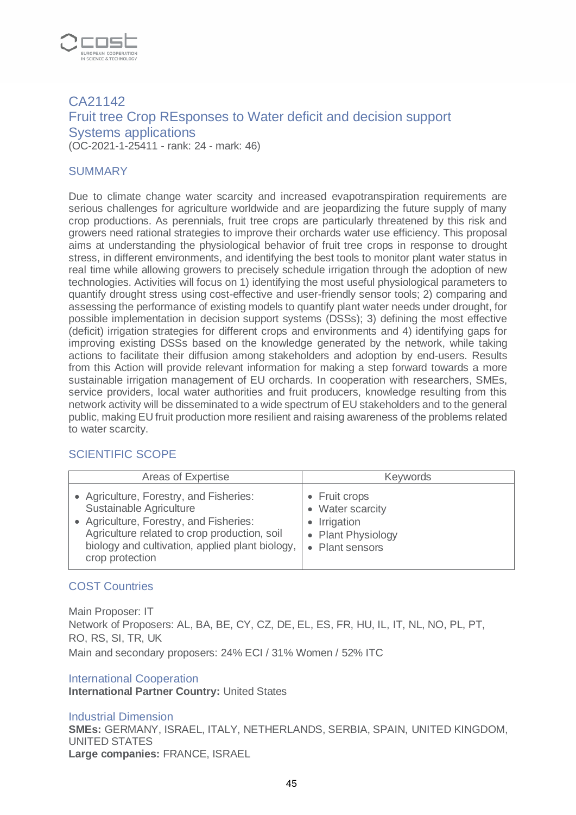

# CA21142 Fruit tree Crop REsponses to Water deficit and decision support Systems applications (OC-2021-1-25411 - rank: 24 - mark: 46)

#### **SUMMARY**

Due to climate change water scarcity and increased evapotranspiration requirements are serious challenges for agriculture worldwide and are jeopardizing the future supply of many crop productions. As perennials, fruit tree crops are particularly threatened by this risk and growers need rational strategies to improve their orchards water use efficiency. This proposal aims at understanding the physiological behavior of fruit tree crops in response to drought stress, in different environments, and identifying the best tools to monitor plant water status in real time while allowing growers to precisely schedule irrigation through the adoption of new technologies. Activities will focus on 1) identifying the most useful physiological parameters to quantify drought stress using cost-effective and user-friendly sensor tools; 2) comparing and assessing the performance of existing models to quantify plant water needs under drought, for possible implementation in decision support systems (DSSs); 3) defining the most effective (deficit) irrigation strategies for different crops and environments and 4) identifying gaps for improving existing DSSs based on the knowledge generated by the network, while taking actions to facilitate their diffusion among stakeholders and adoption by end-users. Results from this Action will provide relevant information for making a step forward towards a more sustainable irrigation management of EU orchards. In cooperation with researchers, SMEs, service providers, local water authorities and fruit producers, knowledge resulting from this network activity will be disseminated to a wide spectrum of EU stakeholders and to the general public, making EU fruit production more resilient and raising awareness of the problems related to water scarcity.

#### SCIENTIFIC SCOPE

| Areas of Expertise                              | <b>Keywords</b>    |
|-------------------------------------------------|--------------------|
| • Agriculture, Forestry, and Fisheries:         | • Fruit crops      |
| Sustainable Agriculture                         | • Water scarcity   |
| • Agriculture, Forestry, and Fisheries:         | Irrigation         |
| Agriculture related to crop production, soil    | $\bullet$          |
| biology and cultivation, applied plant biology, | • Plant Physiology |
| crop protection                                 | • Plant sensors    |

#### COST Countries

Main Proposer: IT Network of Proposers: AL, BA, BE, CY, CZ, DE, EL, ES, FR, HU, IL, IT, NL, NO, PL, PT, RO, RS, SI, TR, UK Main and secondary proposers: 24% ECI / 31% Women / 52% ITC

#### International Cooperation

**International Partner Country:** United States

#### Industrial Dimension

**SMEs:** GERMANY, ISRAEL, ITALY, NETHERLANDS, SERBIA, SPAIN, UNITED KINGDOM, UNITED STATES **Large companies:** FRANCE, ISRAEL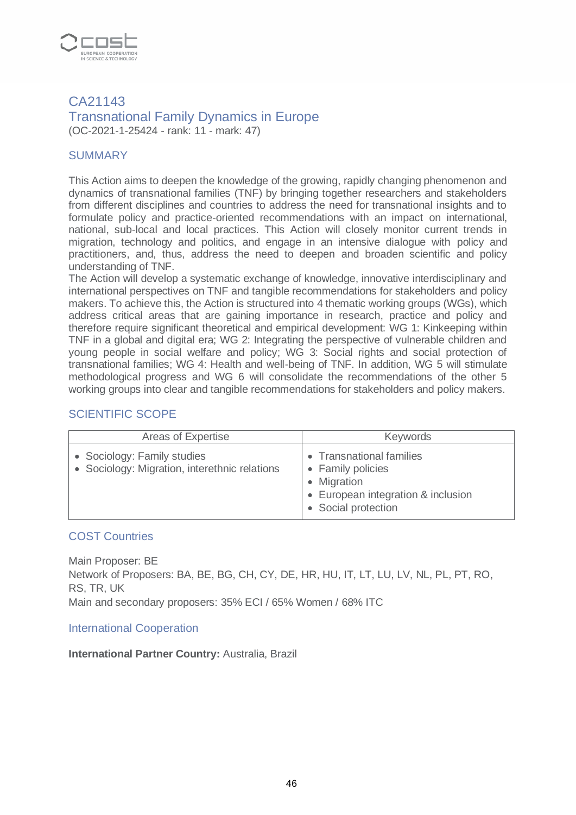

#### CA21143 Transnational Family Dynamics in Europe (OC-2021-1-25424 - rank: 11 - mark: 47)

## **SUMMARY**

This Action aims to deepen the knowledge of the growing, rapidly changing phenomenon and dynamics of transnational families (TNF) by bringing together researchers and stakeholders from different disciplines and countries to address the need for transnational insights and to formulate policy and practice-oriented recommendations with an impact on international, national, sub-local and local practices. This Action will closely monitor current trends in migration, technology and politics, and engage in an intensive dialogue with policy and practitioners, and, thus, address the need to deepen and broaden scientific and policy understanding of TNF.

The Action will develop a systematic exchange of knowledge, innovative interdisciplinary and international perspectives on TNF and tangible recommendations for stakeholders and policy makers. To achieve this, the Action is structured into 4 thematic working groups (WGs), which address critical areas that are gaining importance in research, practice and policy and therefore require significant theoretical and empirical development: WG 1: Kinkeeping within TNF in a global and digital era; WG 2: Integrating the perspective of vulnerable children and young people in social welfare and policy; WG 3: Social rights and social protection of transnational families; WG 4: Health and well-being of TNF. In addition, WG 5 will stimulate methodological progress and WG 6 will consolidate the recommendations of the other 5 working groups into clear and tangible recommendations for stakeholders and policy makers.

# SCIENTIFIC SCOPE

| Areas of Expertise                                                           | <b>Keywords</b>                                                                                                           |
|------------------------------------------------------------------------------|---------------------------------------------------------------------------------------------------------------------------|
| • Sociology: Family studies<br>• Sociology: Migration, interethnic relations | • Transnational families<br>• Family policies<br>• Migration<br>• European integration & inclusion<br>• Social protection |

#### COST Countries

Main Proposer: BE Network of Proposers: BA, BE, BG, CH, CY, DE, HR, HU, IT, LT, LU, LV, NL, PL, PT, RO, RS, TR, UK Main and secondary proposers: 35% ECI / 65% Women / 68% ITC

#### International Cooperation

#### **International Partner Country:** Australia, Brazil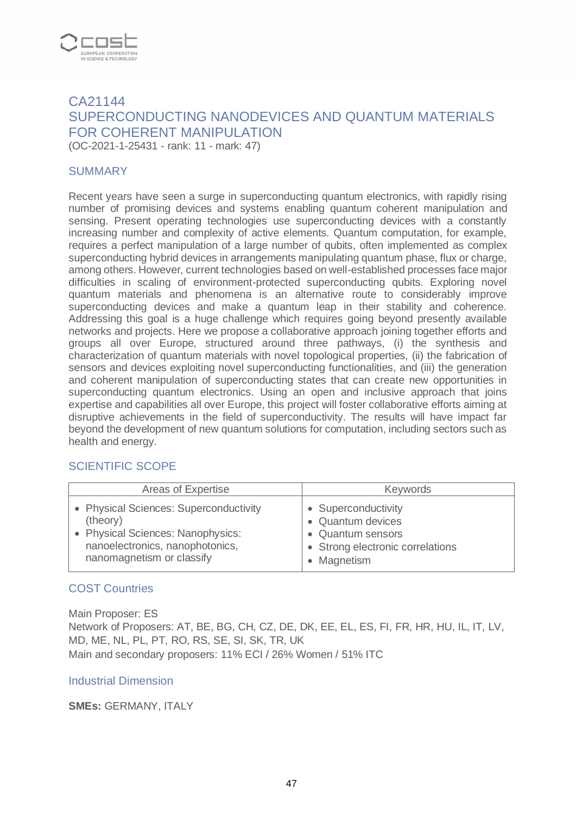

# CA21144 SUPERCONDUCTING NANODEVICES AND QUANTUM MATERIALS FOR COHERENT MANIPULATION

(OC-2021-1-25431 - rank: 11 - mark: 47)

#### **SUMMARY**

Recent years have seen a surge in superconducting quantum electronics, with rapidly rising number of promising devices and systems enabling quantum coherent manipulation and sensing. Present operating technologies use superconducting devices with a constantly increasing number and complexity of active elements. Quantum computation, for example, requires a perfect manipulation of a large number of qubits, often implemented as complex superconducting hybrid devices in arrangements manipulating quantum phase, flux or charge, among others. However, current technologies based on well-established processes face major difficulties in scaling of environment-protected superconducting qubits. Exploring novel quantum materials and phenomena is an alternative route to considerably improve superconducting devices and make a quantum leap in their stability and coherence. Addressing this goal is a huge challenge which requires going beyond presently available networks and projects. Here we propose a collaborative approach joining together efforts and groups all over Europe, structured around three pathways, (i) the synthesis and characterization of quantum materials with novel topological properties, (ii) the fabrication of sensors and devices exploiting novel superconducting functionalities, and (iii) the generation and coherent manipulation of superconducting states that can create new opportunities in superconducting quantum electronics. Using an open and inclusive approach that joins expertise and capabilities all over Europe, this project will foster collaborative efforts aiming at disruptive achievements in the field of superconductivity. The results will have impact far beyond the development of new quantum solutions for computation, including sectors such as health and energy.

#### SCIENTIFIC SCOPE

| Areas of Expertise                     | <b>Keywords</b>                  |
|----------------------------------------|----------------------------------|
| • Physical Sciences: Superconductivity | • Superconductivity              |
| (theory)                               | • Quantum devices                |
| • Physical Sciences: Nanophysics:      | • Quantum sensors                |
| nanoelectronics, nanophotonics,        | • Strong electronic correlations |
| nanomagnetism or classify              | • Magnetism                      |

#### COST Countries

Main Proposer: ES Network of Proposers: AT, BE, BG, CH, CZ, DE, DK, EE, EL, ES, FI, FR, HR, HU, IL, IT, LV, MD, ME, NL, PL, PT, RO, RS, SE, SI, SK, TR, UK Main and secondary proposers: 11% ECI / 26% Women / 51% ITC

#### Industrial Dimension

#### **SMEs:** GERMANY, ITALY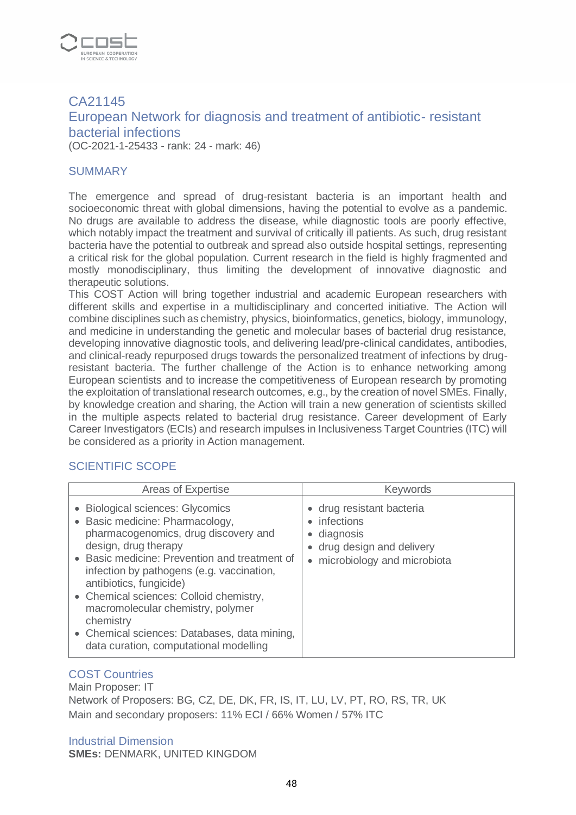

# CA21145 European Network for diagnosis and treatment of antibiotic- resistant bacterial infections (OC-2021-1-25433 - rank: 24 - mark: 46)

#### **SUMMARY**

The emergence and spread of drug-resistant bacteria is an important health and socioeconomic threat with global dimensions, having the potential to evolve as a pandemic. No drugs are available to address the disease, while diagnostic tools are poorly effective, which notably impact the treatment and survival of critically ill patients. As such, drug resistant bacteria have the potential to outbreak and spread also outside hospital settings, representing a critical risk for the global population. Current research in the field is highly fragmented and mostly monodisciplinary, thus limiting the development of innovative diagnostic and therapeutic solutions.

This COST Action will bring together industrial and academic European researchers with different skills and expertise in a multidisciplinary and concerted initiative. The Action will combine disciplines such as chemistry, physics, bioinformatics, genetics, biology, immunology, and medicine in understanding the genetic and molecular bases of bacterial drug resistance, developing innovative diagnostic tools, and delivering lead/pre-clinical candidates, antibodies, and clinical-ready repurposed drugs towards the personalized treatment of infections by drugresistant bacteria. The further challenge of the Action is to enhance networking among European scientists and to increase the competitiveness of European research by promoting the exploitation of translational research outcomes, e.g., by the creation of novel SMEs. Finally, by knowledge creation and sharing, the Action will train a new generation of scientists skilled in the multiple aspects related to bacterial drug resistance. Career development of Early Career Investigators (ECIs) and research impulses in Inclusiveness Target Countries (ITC) will be considered as a priority in Action management.

#### SCIENTIFIC SCOPE

| Areas of Expertise                                                                                                                                                                                                                                                                                                                                                                                                                                   | <b>Keywords</b>                                                                                                       |
|------------------------------------------------------------------------------------------------------------------------------------------------------------------------------------------------------------------------------------------------------------------------------------------------------------------------------------------------------------------------------------------------------------------------------------------------------|-----------------------------------------------------------------------------------------------------------------------|
| <b>Biological sciences: Glycomics</b><br>Basic medicine: Pharmacology,<br>pharmacogenomics, drug discovery and<br>design, drug therapy<br>Basic medicine: Prevention and treatment of<br>infection by pathogens (e.g. vaccination,<br>antibiotics, fungicide)<br>• Chemical sciences: Colloid chemistry,<br>macromolecular chemistry, polymer<br>chemistry<br>• Chemical sciences: Databases, data mining,<br>data curation, computational modelling | • drug resistant bacteria<br>• infections<br>• diagnosis<br>drug design and delivery<br>• microbiology and microbiota |

#### COST Countries

Main Proposer: IT Network of Proposers: BG, CZ, DE, DK, FR, IS, IT, LU, LV, PT, RO, RS, TR, UK Main and secondary proposers: 11% ECI / 66% Women / 57% ITC

#### Industrial Dimension

**SMEs:** DENMARK, UNITED KINGDOM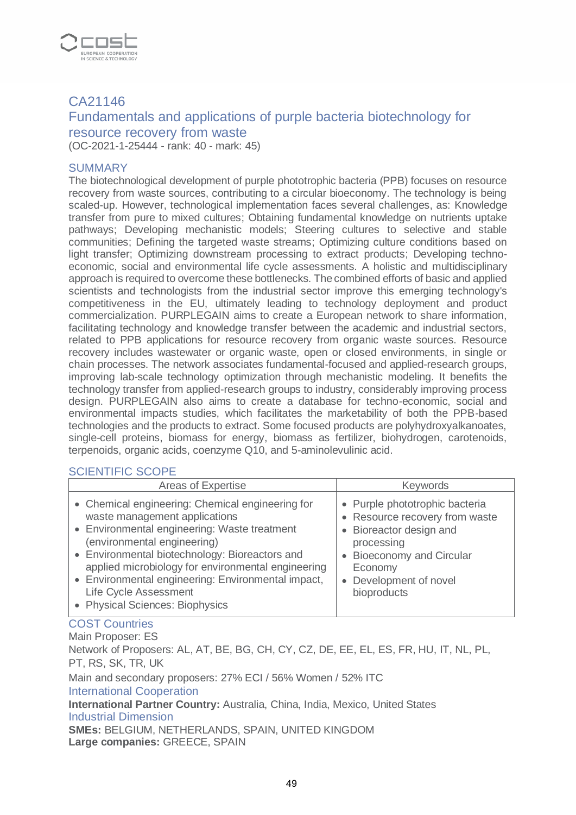

# CA21146

# Fundamentals and applications of purple bacteria biotechnology for resource recovery from waste

(OC-2021-1-25444 - rank: 40 - mark: 45)

#### SUMMARY

The biotechnological development of purple phototrophic bacteria (PPB) focuses on resource recovery from waste sources, contributing to a circular bioeconomy. The technology is being scaled-up. However, technological implementation faces several challenges, as: Knowledge transfer from pure to mixed cultures; Obtaining fundamental knowledge on nutrients uptake pathways; Developing mechanistic models; Steering cultures to selective and stable communities; Defining the targeted waste streams; Optimizing culture conditions based on light transfer; Optimizing downstream processing to extract products; Developing technoeconomic, social and environmental life cycle assessments. A holistic and multidisciplinary approach is required to overcome these bottlenecks. The combined efforts of basic and applied scientists and technologists from the industrial sector improve this emerging technology's competitiveness in the EU, ultimately leading to technology deployment and product commercialization. PURPLEGAIN aims to create a European network to share information, facilitating technology and knowledge transfer between the academic and industrial sectors, related to PPB applications for resource recovery from organic waste sources. Resource recovery includes wastewater or organic waste, open or closed environments, in single or chain processes. The network associates fundamental-focused and applied-research groups, improving lab-scale technology optimization through mechanistic modeling. It benefits the technology transfer from applied-research groups to industry, considerably improving process design. PURPLEGAIN also aims to create a database for techno-economic, social and environmental impacts studies, which facilitates the marketability of both the PPB-based technologies and the products to extract. Some focused products are polyhydroxyalkanoates, single-cell proteins, biomass for energy, biomass as fertilizer, biohydrogen, carotenoids, terpenoids, organic acids, coenzyme Q10, and 5-aminolevulinic acid.

#### SCIENTIFIC SCOPE

| Areas of Expertise                                                                                                                                                                                                                                                                                                                                                                         | <b>Keywords</b>                                                                                                                                                                            |
|--------------------------------------------------------------------------------------------------------------------------------------------------------------------------------------------------------------------------------------------------------------------------------------------------------------------------------------------------------------------------------------------|--------------------------------------------------------------------------------------------------------------------------------------------------------------------------------------------|
| • Chemical engineering: Chemical engineering for<br>waste management applications<br>• Environmental engineering: Waste treatment<br>(environmental engineering)<br>• Environmental biotechnology: Bioreactors and<br>applied microbiology for environmental engineering<br>• Environmental engineering: Environmental impact,<br>Life Cycle Assessment<br>• Physical Sciences: Biophysics | • Purple phototrophic bacteria<br>• Resource recovery from waste<br>• Bioreactor design and<br>processing<br>• Bioeconomy and Circular<br>Economy<br>• Development of novel<br>bioproducts |

#### COST Countries

Main Proposer: ES

Network of Proposers: AL, AT, BE, BG, CH, CY, CZ, DE, EE, EL, ES, FR, HU, IT, NL, PL, PT, RS, SK, TR, UK

Main and secondary proposers: 27% ECI / 56% Women / 52% ITC

#### International Cooperation

**International Partner Country:** Australia, China, India, Mexico, United States Industrial Dimension

**SMEs:** BELGIUM, NETHERLANDS, SPAIN, UNITED KINGDOM **Large companies:** GREECE, SPAIN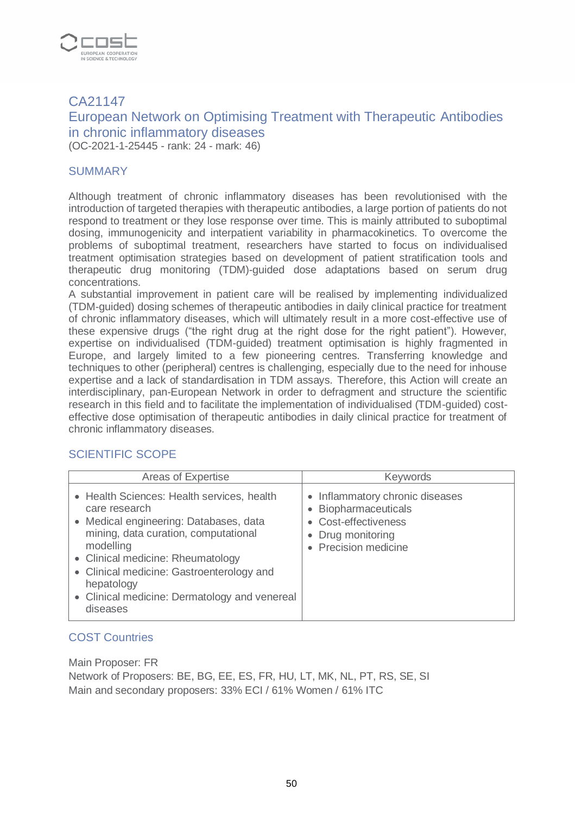

# CA21147 European Network on Optimising Treatment with Therapeutic Antibodies in chronic inflammatory diseases

(OC-2021-1-25445 - rank: 24 - mark: 46)

#### **SUMMARY**

Although treatment of chronic inflammatory diseases has been revolutionised with the introduction of targeted therapies with therapeutic antibodies, a large portion of patients do not respond to treatment or they lose response over time. This is mainly attributed to suboptimal dosing, immunogenicity and interpatient variability in pharmacokinetics. To overcome the problems of suboptimal treatment, researchers have started to focus on individualised treatment optimisation strategies based on development of patient stratification tools and therapeutic drug monitoring (TDM)-guided dose adaptations based on serum drug concentrations.

A substantial improvement in patient care will be realised by implementing individualized (TDM-guided) dosing schemes of therapeutic antibodies in daily clinical practice for treatment of chronic inflammatory diseases, which will ultimately result in a more cost-effective use of these expensive drugs ("the right drug at the right dose for the right patient"). However, expertise on individualised (TDM-guided) treatment optimisation is highly fragmented in Europe, and largely limited to a few pioneering centres. Transferring knowledge and techniques to other (peripheral) centres is challenging, especially due to the need for inhouse expertise and a lack of standardisation in TDM assays. Therefore, this Action will create an interdisciplinary, pan-European Network in order to defragment and structure the scientific research in this field and to facilitate the implementation of individualised (TDM-guided) costeffective dose optimisation of therapeutic antibodies in daily clinical practice for treatment of chronic inflammatory diseases.

#### SCIENTIFIC SCOPE

| Areas of Expertise                                                                                                                                                                                                                                                                                                      | <b>Keywords</b>                                                                                                          |
|-------------------------------------------------------------------------------------------------------------------------------------------------------------------------------------------------------------------------------------------------------------------------------------------------------------------------|--------------------------------------------------------------------------------------------------------------------------|
| • Health Sciences: Health services, health<br>care research<br>• Medical engineering: Databases, data<br>mining, data curation, computational<br>modelling<br>• Clinical medicine: Rheumatology<br>• Clinical medicine: Gastroenterology and<br>hepatology<br>• Clinical medicine: Dermatology and venereal<br>diseases | • Inflammatory chronic diseases<br>Biopharmaceuticals<br>• Cost-effectiveness<br>Drug monitoring<br>• Precision medicine |

#### COST Countries

Main Proposer: FR

Network of Proposers: BE, BG, EE, ES, FR, HU, LT, MK, NL, PT, RS, SE, SI Main and secondary proposers: 33% ECI / 61% Women / 61% ITC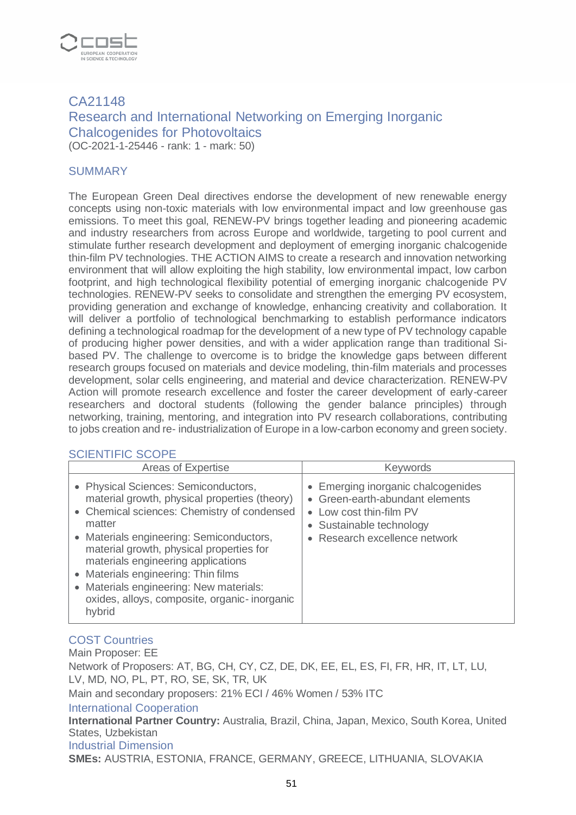

# CA21148 Research and International Networking on Emerging Inorganic Chalcogenides for Photovoltaics (OC-2021-1-25446 - rank: 1 - mark: 50)

#### **SUMMARY**

The European Green Deal directives endorse the development of new renewable energy concepts using non-toxic materials with low environmental impact and low greenhouse gas emissions. To meet this goal, RENEW-PV brings together leading and pioneering academic and industry researchers from across Europe and worldwide, targeting to pool current and stimulate further research development and deployment of emerging inorganic chalcogenide thin-film PV technologies. THE ACTION AIMS to create a research and innovation networking environment that will allow exploiting the high stability, low environmental impact, low carbon footprint, and high technological flexibility potential of emerging inorganic chalcogenide PV technologies. RENEW-PV seeks to consolidate and strengthen the emerging PV ecosystem, providing generation and exchange of knowledge, enhancing creativity and collaboration. It will deliver a portfolio of technological benchmarking to establish performance indicators defining a technological roadmap for the development of a new type of PV technology capable of producing higher power densities, and with a wider application range than traditional Sibased PV. The challenge to overcome is to bridge the knowledge gaps between different research groups focused on materials and device modeling, thin-film materials and processes development, solar cells engineering, and material and device characterization. RENEW-PV Action will promote research excellence and foster the career development of early-career researchers and doctoral students (following the gender balance principles) through networking, training, mentoring, and integration into PV research collaborations, contributing to jobs creation and re- industrialization of Europe in a low-carbon economy and green society.

# SCIENTIFIC SCOPE

| Areas of Expertise                                                                                                                                                                                                                                                                                                                                                                                                              | <b>Keywords</b>                                                                                                                                                                     |
|---------------------------------------------------------------------------------------------------------------------------------------------------------------------------------------------------------------------------------------------------------------------------------------------------------------------------------------------------------------------------------------------------------------------------------|-------------------------------------------------------------------------------------------------------------------------------------------------------------------------------------|
| • Physical Sciences: Semiconductors,<br>material growth, physical properties (theory)<br>• Chemical sciences: Chemistry of condensed<br>matter<br>Materials engineering: Semiconductors,<br>material growth, physical properties for<br>materials engineering applications<br>Materials engineering: Thin films<br>Materials engineering: New materials:<br>$\bullet$<br>oxides, alloys, composite, organic-inorganic<br>hybrid | • Emerging inorganic chalcogenides<br>• Green-earth-abundant elements<br>Low cost thin-film PV<br>$\bullet$<br>• Sustainable technology<br>Research excellence network<br>$\bullet$ |

# COST Countries

Main Proposer: EE Network of Proposers: AT, BG, CH, CY, CZ, DE, DK, EE, EL, ES, FI, FR, HR, IT, LT, LU, LV, MD, NO, PL, PT, RO, SE, SK, TR, UK

Main and secondary proposers: 21% ECI / 46% Women / 53% ITC

#### International Cooperation

**International Partner Country:** Australia, Brazil, China, Japan, Mexico, South Korea, United States, Uzbekistan

#### Industrial Dimension

**SMEs:** AUSTRIA, ESTONIA, FRANCE, GERMANY, GREECE, LITHUANIA, SLOVAKIA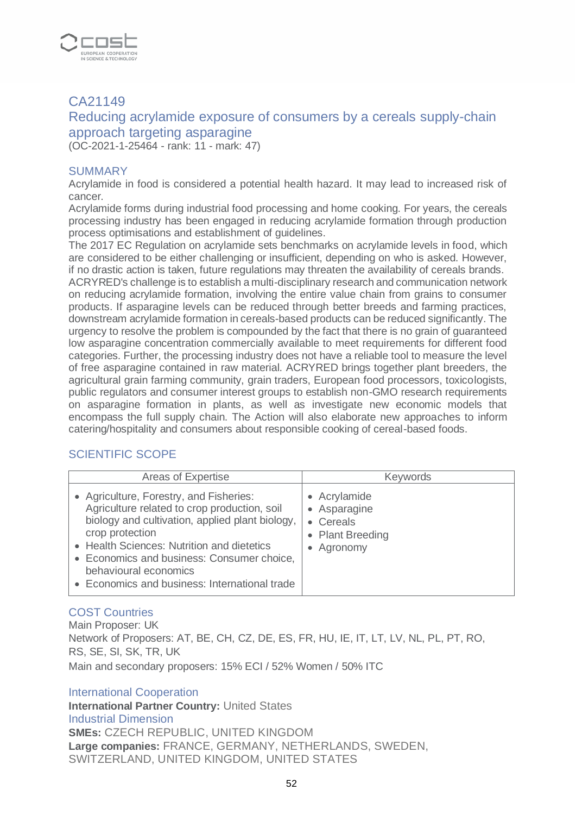

# CA21149

# Reducing acrylamide exposure of consumers by a cereals supply-chain approach targeting asparagine

(OC-2021-1-25464 - rank: 11 - mark: 47)

#### SUMMARY

Acrylamide in food is considered a potential health hazard. It may lead to increased risk of cancer.

Acrylamide forms during industrial food processing and home cooking. For years, the cereals processing industry has been engaged in reducing acrylamide formation through production process optimisations and establishment of guidelines.

The 2017 EC Regulation on acrylamide sets benchmarks on acrylamide levels in food, which are considered to be either challenging or insufficient, depending on who is asked. However, if no drastic action is taken, future regulations may threaten the availability of cereals brands. ACRYRED's challenge is to establish a multi-disciplinary research and communication network on reducing acrylamide formation, involving the entire value chain from grains to consumer products. If asparagine levels can be reduced through better breeds and farming practices, downstream acrylamide formation in cereals-based products can be reduced significantly. The urgency to resolve the problem is compounded by the fact that there is no grain of guaranteed low asparagine concentration commercially available to meet requirements for different food categories. Further, the processing industry does not have a reliable tool to measure the level of free asparagine contained in raw material. ACRYRED brings together plant breeders, the agricultural grain farming community, grain traders, European food processors, toxicologists, public regulators and consumer interest groups to establish non-GMO research requirements on asparagine formation in plants, as well as investigate new economic models that encompass the full supply chain. The Action will also elaborate new approaches to inform catering/hospitality and consumers about responsible cooking of cereal-based foods.

# SCIENTIFIC SCOPE

| Areas of Expertise                                                                                                                                                                                                                                                                                                                  | <b>Keywords</b>                                                                      |
|-------------------------------------------------------------------------------------------------------------------------------------------------------------------------------------------------------------------------------------------------------------------------------------------------------------------------------------|--------------------------------------------------------------------------------------|
| • Agriculture, Forestry, and Fisheries:<br>Agriculture related to crop production, soil<br>biology and cultivation, applied plant biology,<br>crop protection<br>• Health Sciences: Nutrition and dietetics<br>• Economics and business: Consumer choice,<br>behavioural economics<br>• Economics and business: International trade | • Acrylamide<br>• Asparagine<br>Cereals<br>$\bullet$<br>• Plant Breeding<br>Agronomy |

# COST Countries

Main Proposer: UK Network of Proposers: AT, BE, CH, CZ, DE, ES, FR, HU, IE, IT, LT, LV, NL, PL, PT, RO, RS, SE, SI, SK, TR, UK Main and secondary proposers: 15% ECI / 52% Women / 50% ITC

International Cooperation

**International Partner Country:** United States Industrial Dimension **SMEs:** CZECH REPUBLIC, UNITED KINGDOM **Large companies:** FRANCE, GERMANY, NETHERLANDS, SWEDEN, SWITZERLAND, UNITED KINGDOM, UNITED STATES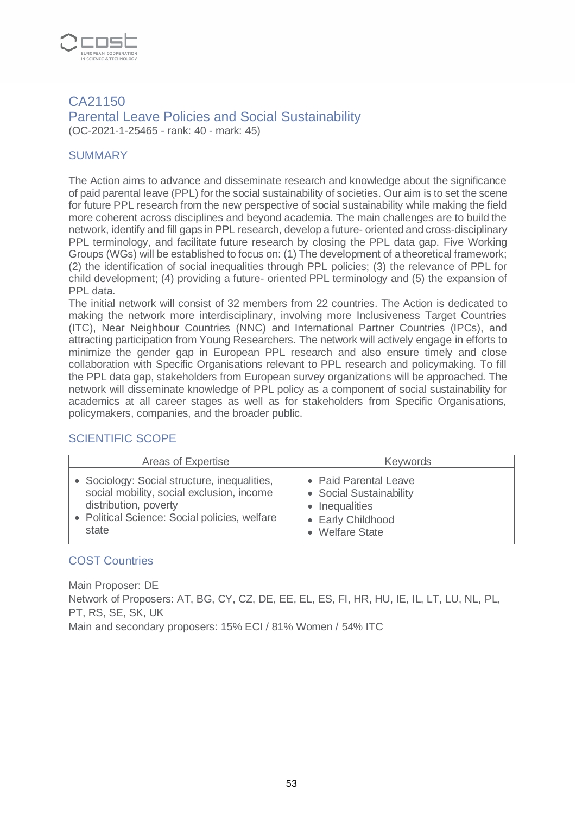

#### CA21150 Parental Leave Policies and Social Sustainability (OC-2021-1-25465 - rank: 40 - mark: 45)

#### **SUMMARY**

The Action aims to advance and disseminate research and knowledge about the significance of paid parental leave (PPL) for the social sustainability of societies. Our aim is to set the scene for future PPL research from the new perspective of social sustainability while making the field more coherent across disciplines and beyond academia. The main challenges are to build the network, identify and fill gaps in PPL research, develop a future- oriented and cross-disciplinary PPL terminology, and facilitate future research by closing the PPL data gap. Five Working Groups (WGs) will be established to focus on: (1) The development of a theoretical framework; (2) the identification of social inequalities through PPL policies; (3) the relevance of PPL for child development; (4) providing a future- oriented PPL terminology and (5) the expansion of PPL data.

The initial network will consist of 32 members from 22 countries. The Action is dedicated to making the network more interdisciplinary, involving more Inclusiveness Target Countries (ITC), Near Neighbour Countries (NNC) and International Partner Countries (IPCs), and attracting participation from Young Researchers. The network will actively engage in efforts to minimize the gender gap in European PPL research and also ensure timely and close collaboration with Specific Organisations relevant to PPL research and policymaking. To fill the PPL data gap, stakeholders from European survey organizations will be approached. The network will disseminate knowledge of PPL policy as a component of social sustainability for academics at all career stages as well as for stakeholders from Specific Organisations, policymakers, companies, and the broader public.

#### SCIENTIFIC SCOPE

| Areas of Expertise                                                                                                                                                           | <b>Keywords</b>                                                                                                                              |
|------------------------------------------------------------------------------------------------------------------------------------------------------------------------------|----------------------------------------------------------------------------------------------------------------------------------------------|
| • Sociology: Social structure, inequalities,<br>social mobility, social exclusion, income<br>distribution, poverty<br>• Political Science: Social policies, welfare<br>state | • Paid Parental Leave<br>• Social Sustainability<br>Inequalities<br>$\bullet$<br><b>Early Childhood</b><br>$\bullet$<br><b>Welfare State</b> |

#### COST Countries

Main Proposer: DE Network of Proposers: AT, BG, CY, CZ, DE, EE, EL, ES, FI, HR, HU, IE, IL, LT, LU, NL, PL, PT, RS, SE, SK, UK Main and secondary proposers: 15% ECI / 81% Women / 54% ITC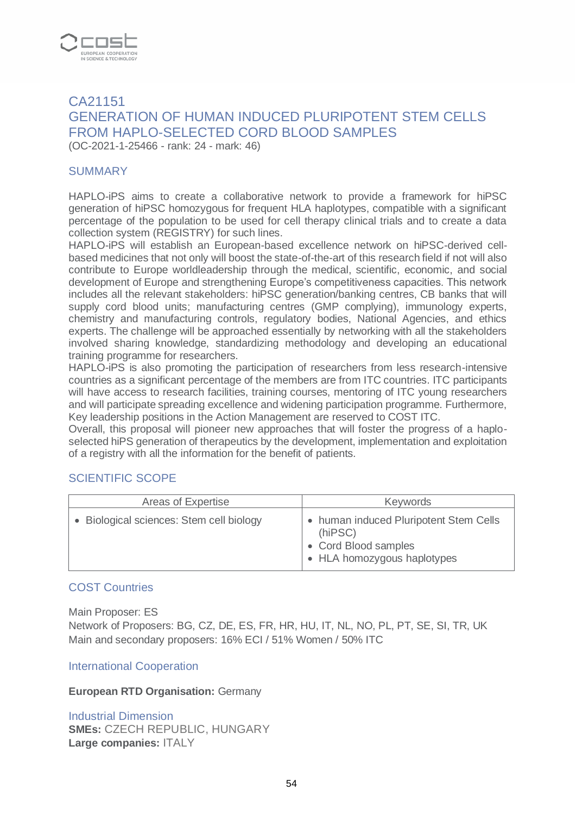

# CA21151 GENERATION OF HUMAN INDUCED PLURIPOTENT STEM CELLS FROM HAPLO-SELECTED CORD BLOOD SAMPLES (OC-2021-1-25466 - rank: 24 - mark: 46)

#### **SUMMARY**

HAPLO-iPS aims to create a collaborative network to provide a framework for hiPSC generation of hiPSC homozygous for frequent HLA haplotypes, compatible with a significant percentage of the population to be used for cell therapy clinical trials and to create a data collection system (REGISTRY) for such lines.

HAPLO-iPS will establish an European-based excellence network on hiPSC-derived cellbased medicines that not only will boost the state-of-the-art of this research field if not will also contribute to Europe worldleadership through the medical, scientific, economic, and social development of Europe and strengthening Europe's competitiveness capacities. This network includes all the relevant stakeholders: hiPSC generation/banking centres, CB banks that will supply cord blood units; manufacturing centres (GMP complying), immunology experts, chemistry and manufacturing controls, regulatory bodies, National Agencies, and ethics experts. The challenge will be approached essentially by networking with all the stakeholders involved sharing knowledge, standardizing methodology and developing an educational training programme for researchers.

HAPLO-iPS is also promoting the participation of researchers from less research-intensive countries as a significant percentage of the members are from ITC countries. ITC participants will have access to research facilities, training courses, mentoring of ITC young researchers and will participate spreading excellence and widening participation programme. Furthermore, Key leadership positions in the Action Management are reserved to COST ITC.

Overall, this proposal will pioneer new approaches that will foster the progress of a haploselected hiPS generation of therapeutics by the development, implementation and exploitation of a registry with all the information for the benefit of patients.

#### SCIENTIFIC SCOPE

| Areas of Expertise                       | <b>Keywords</b>                                                                                          |
|------------------------------------------|----------------------------------------------------------------------------------------------------------|
| • Biological sciences: Stem cell biology | • human induced Pluripotent Stem Cells<br>(hiPSC)<br>• Cord Blood samples<br>• HLA homozygous haplotypes |

#### COST Countries

Main Proposer: ES

Network of Proposers: BG, CZ, DE, ES, FR, HR, HU, IT, NL, NO, PL, PT, SE, SI, TR, UK Main and secondary proposers: 16% ECI / 51% Women / 50% ITC

International Cooperation

#### **European RTD Organisation:** Germany

Industrial Dimension **SMEs:** CZECH REPUBLIC, HUNGARY **Large companies:** ITALY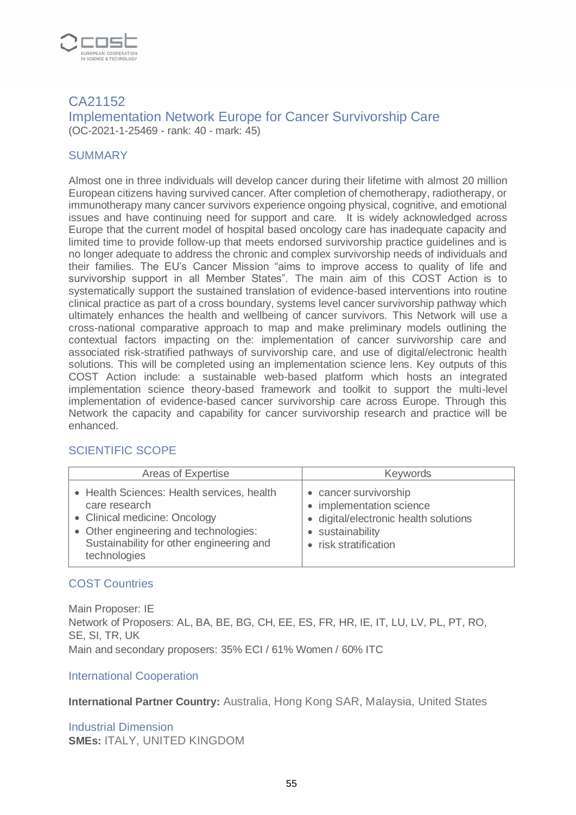

### CA21152 Implementation Network Europe for Cancer Survivorship Care (OC-2021-1-25469 - rank: 40 - mark: 45)

#### **SUMMARY**

Almost one in three individuals will develop cancer during their lifetime with almost 20 million European citizens having survived cancer. After completion of chemotherapy, radiotherapy, or immunotherapy many cancer survivors experience ongoing physical, cognitive, and emotional issues and have continuing need for support and care. It is widely acknowledged across Europe that the current model of hospital based oncology care has inadequate capacity and limited time to provide follow-up that meets endorsed survivorship practice guidelines and is no longer adequate to address the chronic and complex survivorship needs of individuals and their families. The EU's Cancer Mission "aims to improve access to quality of life and survivorship support in all Member States". The main aim of this COST Action is to systematically support the sustained translation of evidence-based interventions into routine clinical practice as part of a cross boundary, systems level cancer survivorship pathway which ultimately enhances the health and wellbeing of cancer survivors. This Network will use a cross-national comparative approach to map and make preliminary models outlining the contextual factors impacting on the: implementation of cancer survivorship care and associated risk-stratified pathways of survivorship care, and use of digital/electronic health solutions. This will be completed using an implementation science lens. Key outputs of this COST Action include: a sustainable web-based platform which hosts an integrated implementation science theory-based framework and toolkit to support the multi-level implementation of evidence-based cancer survivorship care across Europe. Through this Network the capacity and capability for cancer survivorship research and practice will be enhanced.

#### SCIENTIFIC SCOPE

| Areas of Expertise                                                                                                                                                                                | <b>Keywords</b>                                                                                                                         |
|---------------------------------------------------------------------------------------------------------------------------------------------------------------------------------------------------|-----------------------------------------------------------------------------------------------------------------------------------------|
| • Health Sciences: Health services, health<br>care research<br>• Clinical medicine: Oncology<br>• Other engineering and technologies:<br>Sustainability for other engineering and<br>technologies | • cancer survivorship<br>• implementation science<br>· digital/electronic health solutions<br>• sustainability<br>• risk stratification |

#### COST Countries

Main Proposer: IE Network of Proposers: AL, BA, BE, BG, CH, EE, ES, FR, HR, IE, IT, LU, LV, PL, PT, RO, SE, SI, TR, UK Main and secondary proposers: 35% ECI / 61% Women / 60% ITC

#### International Cooperation

**International Partner Country:** Australia, Hong Kong SAR, Malaysia, United States

Industrial Dimension **SMEs:** ITALY, UNITED KINGDOM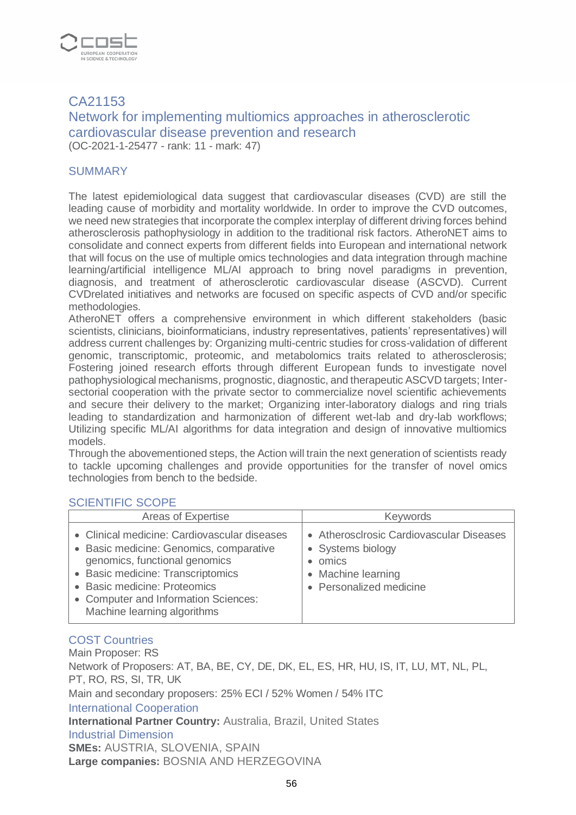

# CA21153 Network for implementing multiomics approaches in atherosclerotic cardiovascular disease prevention and research (OC-2021-1-25477 - rank: 11 - mark: 47)

#### **SUMMARY**

The latest epidemiological data suggest that cardiovascular diseases (CVD) are still the leading cause of morbidity and mortality worldwide. In order to improve the CVD outcomes, we need new strategies that incorporate the complex interplay of different driving forces behind atherosclerosis pathophysiology in addition to the traditional risk factors. AtheroNET aims to consolidate and connect experts from different fields into European and international network that will focus on the use of multiple omics technologies and data integration through machine learning/artificial intelligence ML/AI approach to bring novel paradigms in prevention, diagnosis, and treatment of atherosclerotic cardiovascular disease (ASCVD). Current CVDrelated initiatives and networks are focused on specific aspects of CVD and/or specific methodologies.

AtheroNET offers a comprehensive environment in which different stakeholders (basic scientists, clinicians, bioinformaticians, industry representatives, patients' representatives) will address current challenges by: Organizing multi-centric studies for cross-validation of different genomic, transcriptomic, proteomic, and metabolomics traits related to atherosclerosis; Fostering joined research efforts through different European funds to investigate novel pathophysiological mechanisms, prognostic, diagnostic, and therapeutic ASCVD targets; Intersectorial cooperation with the private sector to commercialize novel scientific achievements and secure their delivery to the market; Organizing inter-laboratory dialogs and ring trials leading to standardization and harmonization of different wet-lab and dry-lab workflows; Utilizing specific ML/AI algorithms for data integration and design of innovative multiomics models.

Through the abovementioned steps, the Action will train the next generation of scientists ready to tackle upcoming challenges and provide opportunities for the transfer of novel omics technologies from bench to the bedside.

#### SCIENTIFIC SCOPE

| Areas of Expertise                                                                                                                                                                                                                                                   | <b>Keywords</b>                                                                                                         |
|----------------------------------------------------------------------------------------------------------------------------------------------------------------------------------------------------------------------------------------------------------------------|-------------------------------------------------------------------------------------------------------------------------|
| • Clinical medicine: Cardiovascular diseases<br>• Basic medicine: Genomics, comparative<br>genomics, functional genomics<br>• Basic medicine: Transcriptomics<br>• Basic medicine: Proteomics<br>• Computer and Information Sciences:<br>Machine learning algorithms | • Atheroscirosic Cardiovascular Diseases<br>• Systems biology<br>omics<br>• Machine learning<br>• Personalized medicine |

#### COST Countries

Main Proposer: RS Network of Proposers: AT, BA, BE, CY, DE, DK, EL, ES, HR, HU, IS, IT, LU, MT, NL, PL, PT, RO, RS, SI, TR, UK Main and secondary proposers: 25% ECI / 52% Women / 54% ITC International Cooperation **International Partner Country:** Australia, Brazil, United States Industrial Dimension **SMEs:** AUSTRIA, SLOVENIA, SPAIN **Large companies:** BOSNIA AND HERZEGOVINA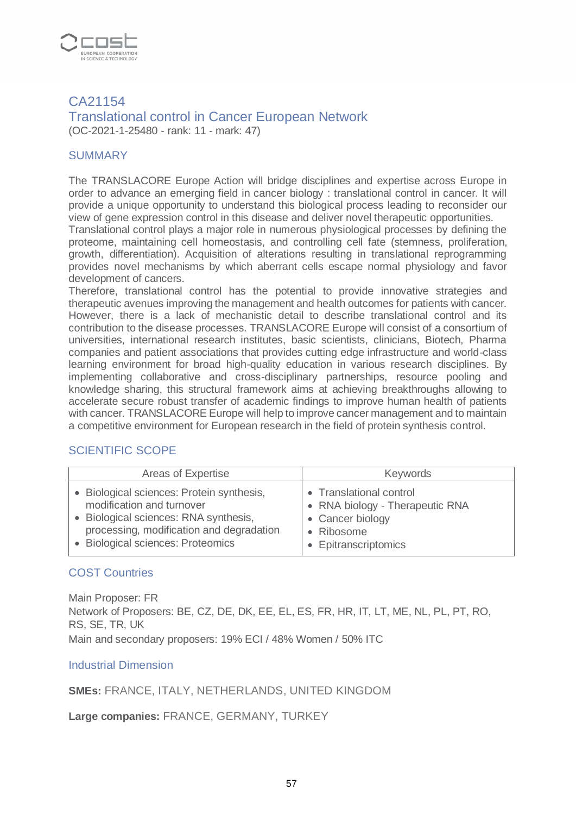

### CA21154 Translational control in Cancer European Network (OC-2021-1-25480 - rank: 11 - mark: 47)

#### **SUMMARY**

The TRANSLACORE Europe Action will bridge disciplines and expertise across Europe in order to advance an emerging field in cancer biology : translational control in cancer. It will provide a unique opportunity to understand this biological process leading to reconsider our view of gene expression control in this disease and deliver novel therapeutic opportunities.

Translational control plays a major role in numerous physiological processes by defining the proteome, maintaining cell homeostasis, and controlling cell fate (stemness, proliferation, growth, differentiation). Acquisition of alterations resulting in translational reprogramming provides novel mechanisms by which aberrant cells escape normal physiology and favor development of cancers.

Therefore, translational control has the potential to provide innovative strategies and therapeutic avenues improving the management and health outcomes for patients with cancer. However, there is a lack of mechanistic detail to describe translational control and its contribution to the disease processes. TRANSLACORE Europe will consist of a consortium of universities, international research institutes, basic scientists, clinicians, Biotech, Pharma companies and patient associations that provides cutting edge infrastructure and world-class learning environment for broad high-quality education in various research disciplines. By implementing collaborative and cross-disciplinary partnerships, resource pooling and knowledge sharing, this structural framework aims at achieving breakthroughs allowing to accelerate secure robust transfer of academic findings to improve human health of patients with cancer. TRANSLACORE Europe will help to improve cancer management and to maintain a competitive environment for European research in the field of protein synthesis control.

#### SCIENTIFIC SCOPE

| Areas of Expertise                        | <b>Keywords</b>                 |
|-------------------------------------------|---------------------------------|
| • Biological sciences: Protein synthesis, | • Translational control         |
| modification and turnover                 | • RNA biology - Therapeutic RNA |
| • Biological sciences: RNA synthesis,     | • Cancer biology                |
| processing, modification and degradation  | • Ribosome                      |
| • Biological sciences: Proteomics         | • Epitranscriptomics            |

#### COST Countries

Main Proposer: FR Network of Proposers: BE, CZ, DE, DK, EE, EL, ES, FR, HR, IT, LT, ME, NL, PL, PT, RO, RS, SE, TR, UK Main and secondary proposers: 19% ECI / 48% Women / 50% ITC

#### Industrial Dimension

**SMEs:** FRANCE, ITALY, NETHERLANDS, UNITED KINGDOM

**Large companies:** FRANCE, GERMANY, TURKEY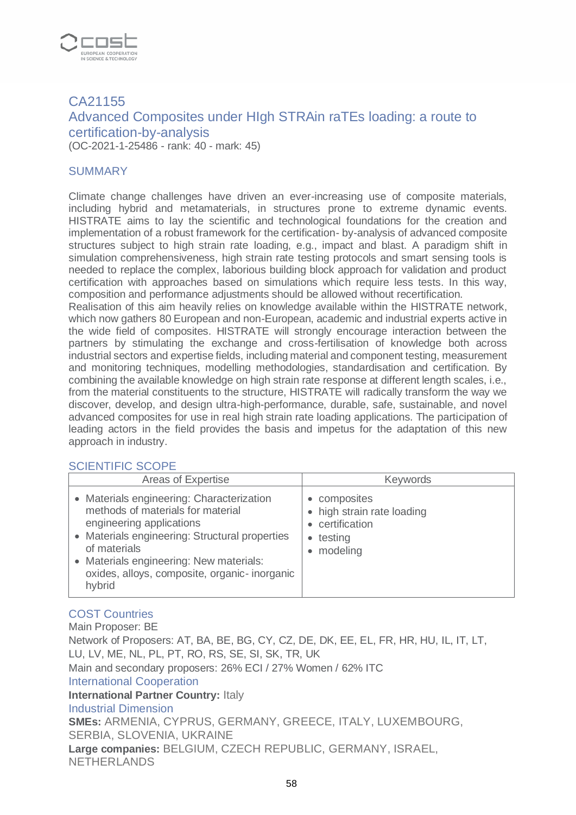

# CA21155 Advanced Composites under HIgh STRAin raTEs loading: a route to certification-by-analysis

(OC-2021-1-25486 - rank: 40 - mark: 45)

#### **SUMMARY**

Climate change challenges have driven an ever-increasing use of composite materials, including hybrid and metamaterials, in structures prone to extreme dynamic events. HISTRATE aims to lay the scientific and technological foundations for the creation and implementation of a robust framework for the certification- by-analysis of advanced composite structures subject to high strain rate loading, e.g., impact and blast. A paradigm shift in simulation comprehensiveness, high strain rate testing protocols and smart sensing tools is needed to replace the complex, laborious building block approach for validation and product certification with approaches based on simulations which require less tests. In this way, composition and performance adjustments should be allowed without recertification.

Realisation of this aim heavily relies on knowledge available within the HISTRATE network, which now gathers 80 European and non-European, academic and industrial experts active in the wide field of composites. HISTRATE will strongly encourage interaction between the partners by stimulating the exchange and cross-fertilisation of knowledge both across industrial sectors and expertise fields, including material and component testing, measurement and monitoring techniques, modelling methodologies, standardisation and certification. By combining the available knowledge on high strain rate response at different length scales, i.e., from the material constituents to the structure, HISTRATE will radically transform the way we discover, develop, and design ultra-high-performance, durable, safe, sustainable, and novel advanced composites for use in real high strain rate loading applications. The participation of leading actors in the field provides the basis and impetus for the adaptation of this new approach in industry.

#### SCIENTIFIC SCOPE

| Areas of Expertise                                                                                                                                                                                                                                                                | <b>Keywords</b>                                                                                 |
|-----------------------------------------------------------------------------------------------------------------------------------------------------------------------------------------------------------------------------------------------------------------------------------|-------------------------------------------------------------------------------------------------|
| • Materials engineering: Characterization<br>methods of materials for material<br>engineering applications<br>• Materials engineering: Structural properties<br>of materials<br>• Materials engineering: New materials:<br>oxides, alloys, composite, organic-inorganic<br>hybrid | • composites<br>• high strain rate loading<br>certification<br>testing<br>$\bullet$<br>modeling |

# COST Countries

Main Proposer: BE Network of Proposers: AT, BA, BE, BG, CY, CZ, DE, DK, EE, EL, FR, HR, HU, IL, IT, LT, LU, LV, ME, NL, PL, PT, RO, RS, SE, SI, SK, TR, UK Main and secondary proposers: 26% ECI / 27% Women / 62% ITC International Cooperation **International Partner Country: Italy** Industrial Dimension **SMEs:** ARMENIA, CYPRUS, GERMANY, GREECE, ITALY, LUXEMBOURG, SERBIA, SLOVENIA, UKRAINE **Large companies:** BELGIUM, CZECH REPUBLIC, GERMANY, ISRAEL, NETHERLANDS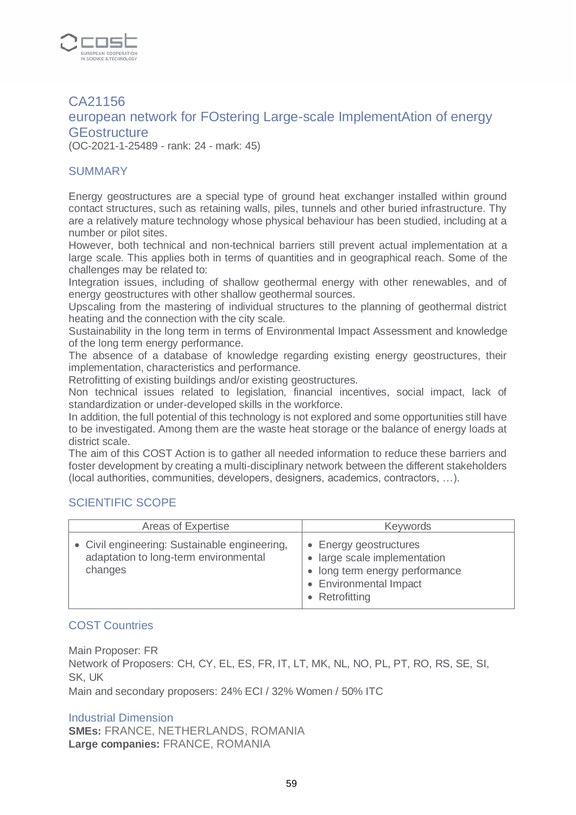

# CA21156 european network for FOstering Large-scale ImplementAtion of energy **GE** ostructure

(OC-2021-1-25489 - rank: 24 - mark: 45)

#### **SUMMARY**

Energy geostructures are a special type of ground heat exchanger installed within ground contact structures, such as retaining walls, piles, tunnels and other buried infrastructure. Thy are a relatively mature technology whose physical behaviour has been studied, including at a number or pilot sites.

However, both technical and non-technical barriers still prevent actual implementation at a large scale. This applies both in terms of quantities and in geographical reach. Some of the challenges may be related to:

Integration issues, including of shallow geothermal energy with other renewables, and of energy geostructures with other shallow geothermal sources.

Upscaling from the mastering of individual structures to the planning of geothermal district heating and the connection with the city scale.

Sustainability in the long term in terms of Environmental Impact Assessment and knowledge of the long term energy performance.

The absence of a database of knowledge regarding existing energy geostructures, their implementation, characteristics and performance.

Retrofitting of existing buildings and/or existing geostructures.

Non technical issues related to legislation, financial incentives, social impact, lack of standardization or under-developed skills in the workforce.

In addition, the full potential of this technology is not explored and some opportunities still have to be investigated. Among them are the waste heat storage or the balance of energy loads at district scale.

The aim of this COST Action is to gather all needed information to reduce these barriers and foster development by creating a multi-disciplinary network between the different stakeholders (local authorities, communities, developers, designers, academics, contractors, …).

#### SCIENTIFIC SCOPE

| Areas of Expertise                                                                                | <b>Keywords</b>                                                                                                                      |
|---------------------------------------------------------------------------------------------------|--------------------------------------------------------------------------------------------------------------------------------------|
| • Civil engineering: Sustainable engineering,<br>adaptation to long-term environmental<br>changes | • Energy geostructures<br>• large scale implementation<br>• long term energy performance<br>• Environmental Impact<br>• Retrofitting |

#### COST Countries

Main Proposer: FR Network of Proposers: CH, CY, EL, ES, FR, IT, LT, MK, NL, NO, PL, PT, RO, RS, SE, SI, SK, UK Main and secondary proposers: 24% ECI / 32% Women / 50% ITC

#### Industrial Dimension

**SMEs:** FRANCE, NETHERLANDS, ROMANIA **Large companies:** FRANCE, ROMANIA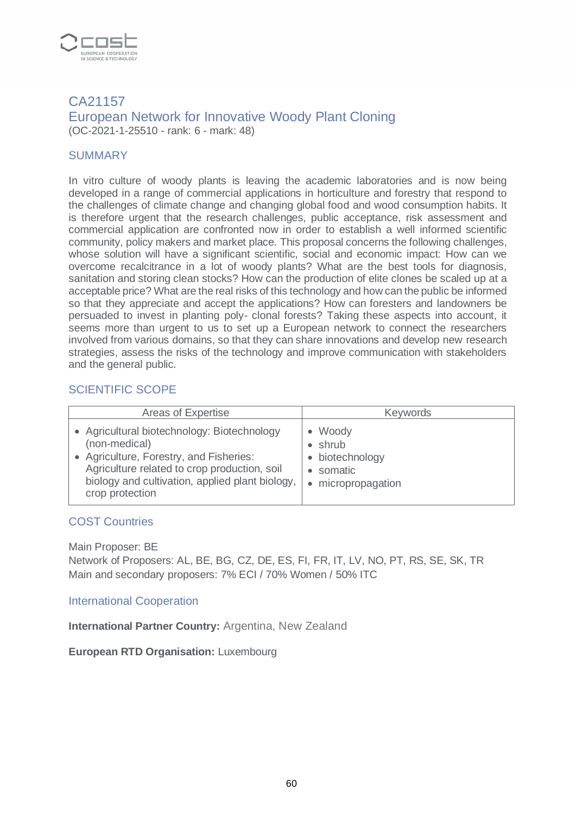

#### CA21157 European Network for Innovative Woody Plant Cloning (OC-2021-1-25510 - rank: 6 - mark: 48)

#### **SUMMARY**

In vitro culture of woody plants is leaving the academic laboratories and is now being developed in a range of commercial applications in horticulture and forestry that respond to the challenges of climate change and changing global food and wood consumption habits. It is therefore urgent that the research challenges, public acceptance, risk assessment and commercial application are confronted now in order to establish a well informed scientific community, policy makers and market place. This proposal concerns the following challenges, whose solution will have a significant scientific, social and economic impact: How can we overcome recalcitrance in a lot of woody plants? What are the best tools for diagnosis, sanitation and storing clean stocks? How can the production of elite clones be scaled up at a acceptable price? What are the real risks of this technology and how can the public be informed so that they appreciate and accept the applications? How can foresters and landowners be persuaded to invest in planting poly- clonal forests? Taking these aspects into account, it seems more than urgent to us to set up a European network to connect the researchers involved from various domains, so that they can share innovations and develop new research strategies, assess the risks of the technology and improve communication with stakeholders and the general public.

#### SCIENTIFIC SCOPE

| Areas of Expertise                              | <b>Keywords</b>  |
|-------------------------------------------------|------------------|
| • Agricultural biotechnology: Biotechnology     | Woody            |
| (non-medical)                                   | shrub            |
| • Agriculture, Forestry, and Fisheries:         | • biotechnology  |
| Agriculture related to crop production, soil    | somatic          |
| biology and cultivation, applied plant biology, | micropropagation |
| crop protection                                 | $\bullet$        |

#### COST Countries

Main Proposer: BE

Network of Proposers: AL, BE, BG, CZ, DE, ES, FI, FR, IT, LV, NO, PT, RS, SE, SK, TR Main and secondary proposers: 7% ECI / 70% Women / 50% ITC

#### International Cooperation

**International Partner Country:** Argentina, New Zealand

**European RTD Organisation:** Luxembourg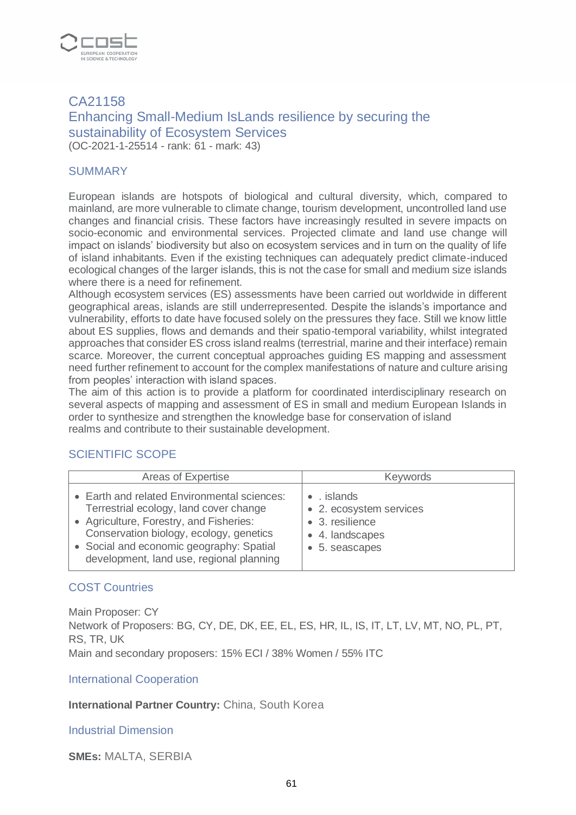

# CA21158 Enhancing Small-Medium IsLands resilience by securing the sustainability of Ecosystem Services (OC-2021-1-25514 - rank: 61 - mark: 43)

#### **SUMMARY**

European islands are hotspots of biological and cultural diversity, which, compared to mainland, are more vulnerable to climate change, tourism development, uncontrolled land use changes and financial crisis. These factors have increasingly resulted in severe impacts on socio-economic and environmental services. Projected climate and land use change will impact on islands' biodiversity but also on ecosystem services and in turn on the quality of life of island inhabitants. Even if the existing techniques can adequately predict climate-induced ecological changes of the larger islands, this is not the case for small and medium size islands where there is a need for refinement.

Although ecosystem services (ES) assessments have been carried out worldwide in different geographical areas, islands are still underrepresented. Despite the islands's importance and vulnerability, efforts to date have focused solely on the pressures they face. Still we know little about ES supplies, flows and demands and their spatio-temporal variability, whilst integrated approaches that consider ES cross island realms (terrestrial, marine and their interface) remain scarce. Moreover, the current conceptual approaches guiding ES mapping and assessment need further refinement to account for the complex manifestations of nature and culture arising from peoples' interaction with island spaces.

The aim of this action is to provide a platform for coordinated interdisciplinary research on several aspects of mapping and assessment of ES in small and medium European Islands in order to synthesize and strengthen the knowledge base for conservation of island realms and contribute to their sustainable development.

#### SCIENTIFIC SCOPE

| Areas of Expertise                                                                                                                                                                                                                                                  | <b>Keywords</b>                                                                                      |
|---------------------------------------------------------------------------------------------------------------------------------------------------------------------------------------------------------------------------------------------------------------------|------------------------------------------------------------------------------------------------------|
| • Earth and related Environmental sciences:<br>Terrestrial ecology, land cover change<br>• Agriculture, Forestry, and Fisheries:<br>Conservation biology, ecology, genetics<br>• Social and economic geography: Spatial<br>development, land use, regional planning | $\bullet$ . islands<br>• 2. ecosystem services<br>• 3. resilience<br>• 4. landscapes<br>5. seascapes |

#### COST Countries

Main Proposer: CY Network of Proposers: BG, CY, DE, DK, EE, EL, ES, HR, IL, IS, IT, LT, LV, MT, NO, PL, PT, RS, TR, UK Main and secondary proposers: 15% ECI / 38% Women / 55% ITC

International Cooperation

**International Partner Country:** China, South Korea

Industrial Dimension

**SMEs:** MALTA, SERBIA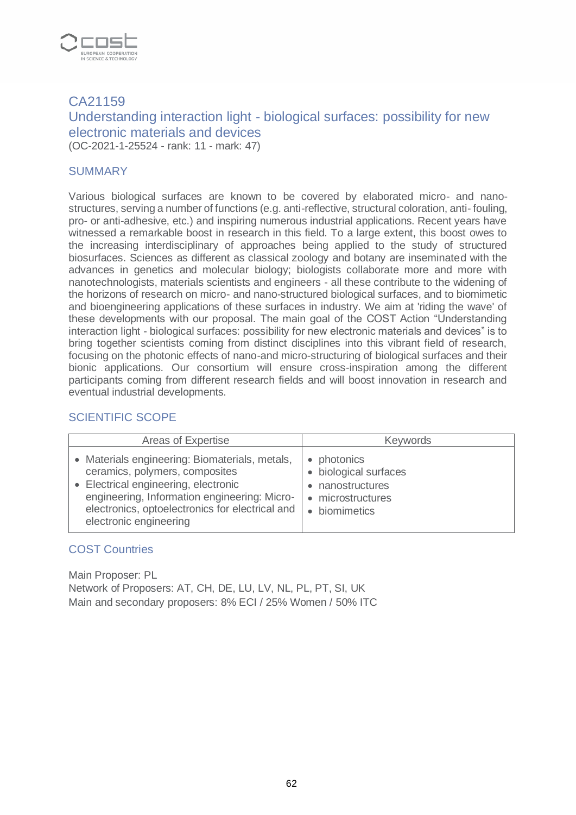

# CA21159 Understanding interaction light - biological surfaces: possibility for new electronic materials and devices (OC-2021-1-25524 - rank: 11 - mark: 47)

#### **SUMMARY**

Various biological surfaces are known to be covered by elaborated micro- and nanostructures, serving a number of functions (e.g. anti-reflective, structural coloration, anti- fouling, pro- or anti-adhesive, etc.) and inspiring numerous industrial applications. Recent years have witnessed a remarkable boost in research in this field. To a large extent, this boost owes to the increasing interdisciplinary of approaches being applied to the study of structured biosurfaces. Sciences as different as classical zoology and botany are inseminated with the advances in genetics and molecular biology; biologists collaborate more and more with nanotechnologists, materials scientists and engineers - all these contribute to the widening of the horizons of research on micro- and nano-structured biological surfaces, and to biomimetic and bioengineering applications of these surfaces in industry. We aim at 'riding the wave' of these developments with our proposal. The main goal of the COST Action "Understanding interaction light - biological surfaces: possibility for new electronic materials and devices" is to bring together scientists coming from distinct disciplines into this vibrant field of research, focusing on the photonic effects of nano-and micro-structuring of biological surfaces and their bionic applications. Our consortium will ensure cross-inspiration among the different participants coming from different research fields and will boost innovation in research and eventual industrial developments.

#### SCIENTIFIC SCOPE

| Areas of Expertise                              | <b>Keywords</b>       |
|-------------------------------------------------|-----------------------|
| • Materials engineering: Biomaterials, metals,  | • photonics           |
| ceramics, polymers, composites                  | • biological surfaces |
| • Electrical engineering, electronic            | nanostructures        |
| engineering, Information engineering: Micro-    | microstructures       |
| electronics, optoelectronics for electrical and | $\bullet$             |
| electronic engineering                          | • biomimetics         |

#### COST Countries

Main Proposer: PL Network of Proposers: AT, CH, DE, LU, LV, NL, PL, PT, SI, UK Main and secondary proposers: 8% ECI / 25% Women / 50% ITC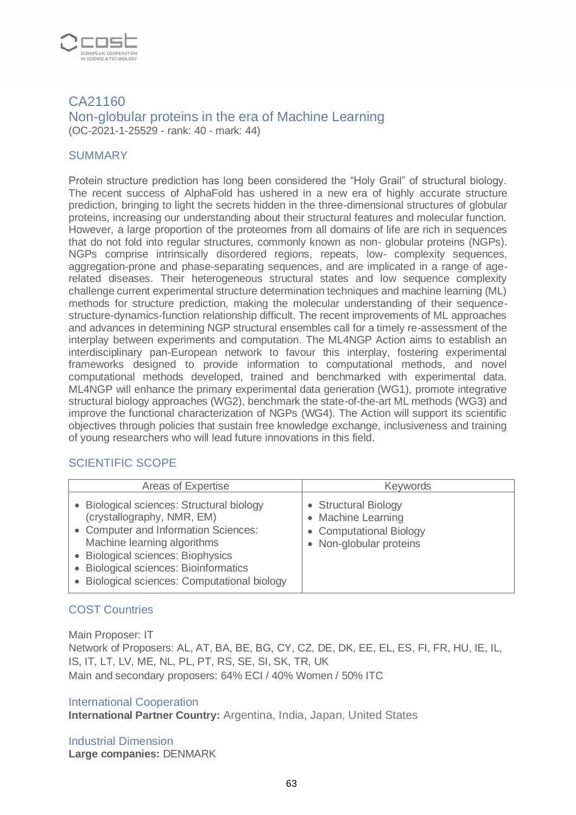

#### CA21160 Non-globular proteins in the era of Machine Learning (OC-2021-1-25529 - rank: 40 - mark: 44)

#### **SUMMARY**

Protein structure prediction has long been considered the "Holy Grail" of structural biology. The recent success of AlphaFold has ushered in a new era of highly accurate structure prediction, bringing to light the secrets hidden in the three-dimensional structures of globular proteins, increasing our understanding about their structural features and molecular function. However, a large proportion of the proteomes from all domains of life are rich in sequences that do not fold into regular structures, commonly known as non- globular proteins (NGPs). NGPs comprise intrinsically disordered regions, repeats, low- complexity sequences, aggregation-prone and phase-separating sequences, and are implicated in a range of agerelated diseases. Their heterogeneous structural states and low sequence complexity challenge current experimental structure determination techniques and machine learning (ML) methods for structure prediction, making the molecular understanding of their sequencestructure-dynamics-function relationship difficult. The recent improvements of ML approaches and advances in determining NGP structural ensembles call for a timely re-assessment of the interplay between experiments and computation. The ML4NGP Action aims to establish an interdisciplinary pan-European network to favour this interplay, fostering experimental frameworks designed to provide information to computational methods, and novel computational methods developed, trained and benchmarked with experimental data. ML4NGP will enhance the primary experimental data generation (WG1), promote integrative structural biology approaches (WG2), benchmark the state-of-the-art ML methods (WG3) and improve the functional characterization of NGPs (WG4). The Action will support its scientific objectives through policies that sustain free knowledge exchange, inclusiveness and training of young researchers who will lead future innovations in this field.

# SCIENTIFIC SCOPE

| Areas of Expertise                                                                                                                                                                                                                                                           | <b>Keywords</b>                                                                                  |
|------------------------------------------------------------------------------------------------------------------------------------------------------------------------------------------------------------------------------------------------------------------------------|--------------------------------------------------------------------------------------------------|
| • Biological sciences: Structural biology<br>(crystallography, NMR, EM)<br>• Computer and Information Sciences:<br>Machine learning algorithms<br>• Biological sciences: Biophysics<br>• Biological sciences: Bioinformatics<br>• Biological sciences: Computational biology | • Structural Biology<br>• Machine Learning<br>• Computational Biology<br>• Non-globular proteins |

# COST Countries

Main Proposer: IT Network of Proposers: AL, AT, BA, BE, BG, CY, CZ, DE, DK, EE, EL, ES, FI, FR, HU, IE, IL, IS, IT, LT, LV, ME, NL, PL, PT, RS, SE, SI, SK, TR, UK Main and secondary proposers: 64% ECI / 40% Women / 50% ITC

#### International Cooperation

**International Partner Country:** Argentina, India, Japan, United States

Industrial Dimension **Large companies:** DENMARK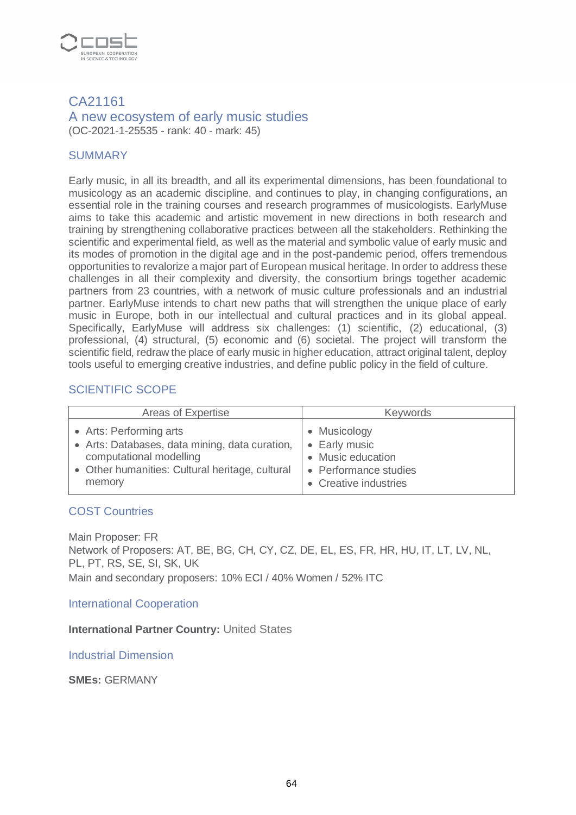

#### CA21161 A new ecosystem of early music studies (OC-2021-1-25535 - rank: 40 - mark: 45)

## **SUMMARY**

Early music, in all its breadth, and all its experimental dimensions, has been foundational to musicology as an academic discipline, and continues to play, in changing configurations, an essential role in the training courses and research programmes of musicologists. EarlyMuse aims to take this academic and artistic movement in new directions in both research and training by strengthening collaborative practices between all the stakeholders. Rethinking the scientific and experimental field, as well as the material and symbolic value of early music and its modes of promotion in the digital age and in the post-pandemic period, offers tremendous opportunities to revalorize a major part of European musical heritage. In order to address these challenges in all their complexity and diversity, the consortium brings together academic partners from 23 countries, with a network of music culture professionals and an industrial partner. EarlyMuse intends to chart new paths that will strengthen the unique place of early music in Europe, both in our intellectual and cultural practices and in its global appeal. Specifically, EarlyMuse will address six challenges: (1) scientific, (2) educational, (3) professional, (4) structural, (5) economic and (6) societal. The project will transform the scientific field, redraw the place of early music in higher education, attract original talent, deploy tools useful to emerging creative industries, and define public policy in the field of culture.

## SCIENTIFIC SCOPE

| Areas of Expertise                              | <b>Keywords</b>       |
|-------------------------------------------------|-----------------------|
| • Arts: Performing arts                         | Musicology            |
| • Arts: Databases, data mining, data curation,  | • Early music         |
| computational modelling                         | Music education       |
| • Other humanities: Cultural heritage, cultural | • Performance studies |
| memory                                          | • Creative industries |

#### COST Countries

Main Proposer: FR Network of Proposers: AT, BE, BG, CH, CY, CZ, DE, EL, ES, FR, HR, HU, IT, LT, LV, NL, PL, PT, RS, SE, SI, SK, UK Main and secondary proposers: 10% ECI / 40% Women / 52% ITC

International Cooperation

**International Partner Country:** United States

Industrial Dimension

**SMEs:** GERMANY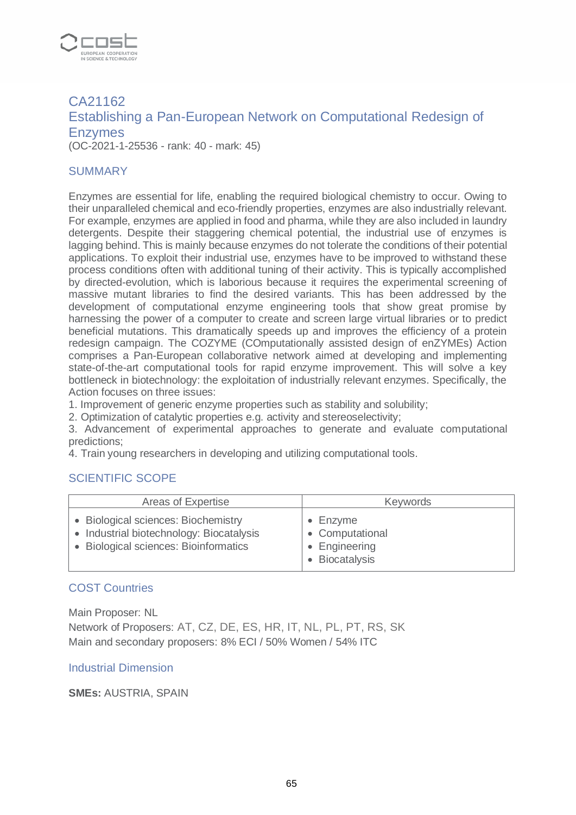

# CA21162 Establishing a Pan-European Network on Computational Redesign of Enzymes (OC-2021-1-25536 - rank: 40 - mark: 45)

#### **SUMMARY**

Enzymes are essential for life, enabling the required biological chemistry to occur. Owing to their unparalleled chemical and eco-friendly properties, enzymes are also industrially relevant. For example, enzymes are applied in food and pharma, while they are also included in laundry detergents. Despite their staggering chemical potential, the industrial use of enzymes is lagging behind. This is mainly because enzymes do not tolerate the conditions of their potential applications. To exploit their industrial use, enzymes have to be improved to withstand these process conditions often with additional tuning of their activity. This is typically accomplished by directed-evolution, which is laborious because it requires the experimental screening of massive mutant libraries to find the desired variants. This has been addressed by the development of computational enzyme engineering tools that show great promise by harnessing the power of a computer to create and screen large virtual libraries or to predict beneficial mutations. This dramatically speeds up and improves the efficiency of a protein redesign campaign. The COZYME (COmputationally assisted design of enZYMEs) Action comprises a Pan-European collaborative network aimed at developing and implementing state-of-the-art computational tools for rapid enzyme improvement. This will solve a key bottleneck in biotechnology: the exploitation of industrially relevant enzymes. Specifically, the Action focuses on three issues:

1. Improvement of generic enzyme properties such as stability and solubility;

2. Optimization of catalytic properties e.g. activity and stereoselectivity;

3. Advancement of experimental approaches to generate and evaluate computational predictions;

4. Train young researchers in developing and utilizing computational tools.

#### SCIENTIFIC SCOPE

| Areas of Expertise                                                                                                       | <b>Keywords</b>                                              |
|--------------------------------------------------------------------------------------------------------------------------|--------------------------------------------------------------|
| • Biological sciences: Biochemistry<br>• Industrial biotechnology: Biocatalysis<br>• Biological sciences: Bioinformatics | Enzyme<br>• Computational<br>• Engineering<br>• Biocatalysis |

# COST Countries

Main Proposer: NL Network of Proposers: AT, CZ, DE, ES, HR, IT, NL, PL, PT, RS, SK Main and secondary proposers: 8% ECI / 50% Women / 54% ITC

#### Industrial Dimension

**SMEs:** AUSTRIA, SPAIN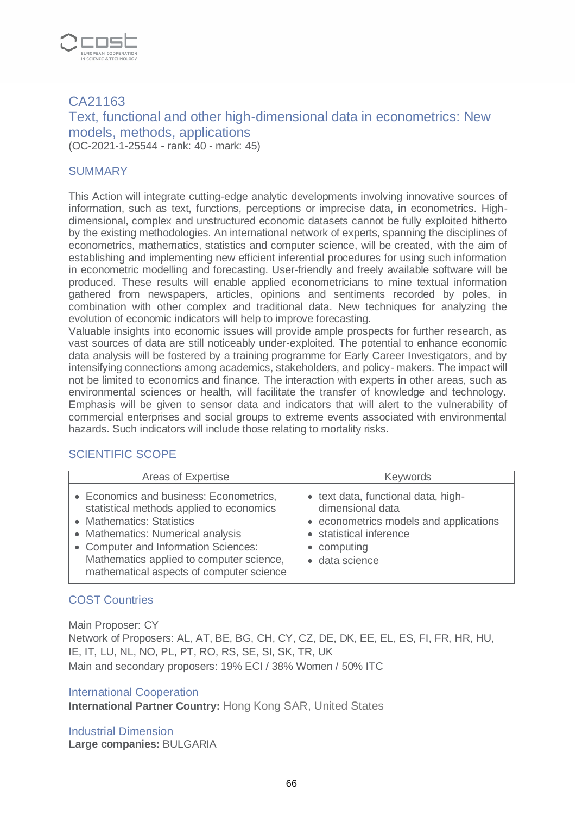

# CA21163 Text, functional and other high-dimensional data in econometrics: New models, methods, applications (OC-2021-1-25544 - rank: 40 - mark: 45)

#### **SUMMARY**

This Action will integrate cutting-edge analytic developments involving innovative sources of information, such as text, functions, perceptions or imprecise data, in econometrics. Highdimensional, complex and unstructured economic datasets cannot be fully exploited hitherto by the existing methodologies. An international network of experts, spanning the disciplines of econometrics, mathematics, statistics and computer science, will be created, with the aim of establishing and implementing new efficient inferential procedures for using such information in econometric modelling and forecasting. User-friendly and freely available software will be produced. These results will enable applied econometricians to mine textual information gathered from newspapers, articles, opinions and sentiments recorded by poles, in combination with other complex and traditional data. New techniques for analyzing the evolution of economic indicators will help to improve forecasting.

Valuable insights into economic issues will provide ample prospects for further research, as vast sources of data are still noticeably under-exploited. The potential to enhance economic data analysis will be fostered by a training programme for Early Career Investigators, and by intensifying connections among academics, stakeholders, and policy- makers. The impact will not be limited to economics and finance. The interaction with experts in other areas, such as environmental sciences or health, will facilitate the transfer of knowledge and technology. Emphasis will be given to sensor data and indicators that will alert to the vulnerability of commercial enterprises and social groups to extreme events associated with environmental hazards. Such indicators will include those relating to mortality risks.

#### SCIENTIFIC SCOPE

| Areas of Expertise                                                                                                                                                                                                                                                                    | <b>Keywords</b>                                                                                                                                         |
|---------------------------------------------------------------------------------------------------------------------------------------------------------------------------------------------------------------------------------------------------------------------------------------|---------------------------------------------------------------------------------------------------------------------------------------------------------|
| • Economics and business: Econometrics,<br>statistical methods applied to economics<br>• Mathematics: Statistics<br>• Mathematics: Numerical analysis<br>• Computer and Information Sciences:<br>Mathematics applied to computer science,<br>mathematical aspects of computer science | • text data, functional data, high-<br>dimensional data<br>econometrics models and applications<br>statistical inference<br>computing<br>· data science |

#### COST Countries

Main Proposer: CY Network of Proposers: AL, AT, BE, BG, CH, CY, CZ, DE, DK, EE, EL, ES, FI, FR, HR, HU, IE, IT, LU, NL, NO, PL, PT, RO, RS, SE, SI, SK, TR, UK Main and secondary proposers: 19% ECI / 38% Women / 50% ITC

#### International Cooperation

**International Partner Country:** Hong Kong SAR, United States

Industrial Dimension **Large companies:** BULGARIA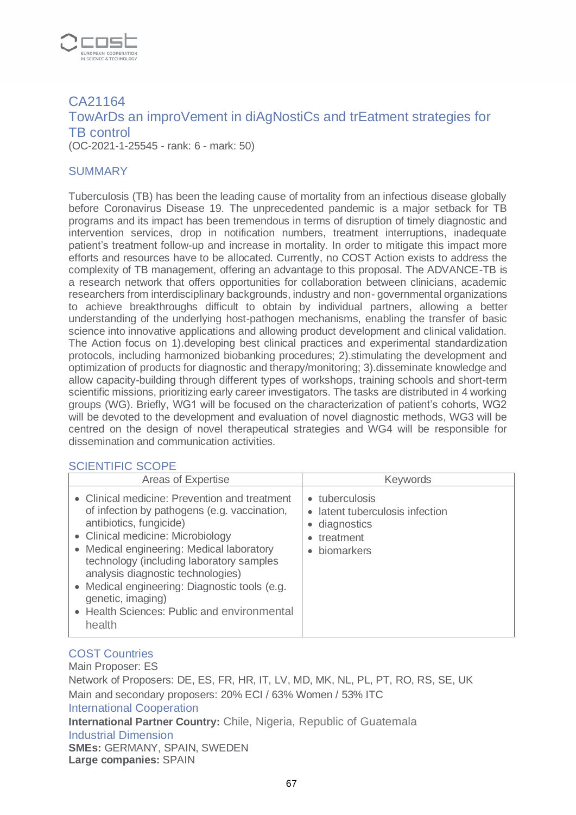

# CA21164 TowArDs an improVement in diAgNostiCs and trEatment strategies for TB control (OC-2021-1-25545 - rank: 6 - mark: 50)

#### **SUMMARY**

Tuberculosis (TB) has been the leading cause of mortality from an infectious disease globally before Coronavirus Disease 19. The unprecedented pandemic is a major setback for TB programs and its impact has been tremendous in terms of disruption of timely diagnostic and intervention services, drop in notification numbers, treatment interruptions, inadequate patient's treatment follow-up and increase in mortality. In order to mitigate this impact more efforts and resources have to be allocated. Currently, no COST Action exists to address the complexity of TB management, offering an advantage to this proposal. The ADVANCE-TB is a research network that offers opportunities for collaboration between clinicians, academic researchers from interdisciplinary backgrounds, industry and non- governmental organizations to achieve breakthroughs difficult to obtain by individual partners, allowing a better understanding of the underlying host-pathogen mechanisms, enabling the transfer of basic science into innovative applications and allowing product development and clinical validation. The Action focus on 1).developing best clinical practices and experimental standardization protocols, including harmonized biobanking procedures; 2).stimulating the development and optimization of products for diagnostic and therapy/monitoring; 3).disseminate knowledge and allow capacity-building through different types of workshops, training schools and short-term scientific missions, prioritizing early career investigators. The tasks are distributed in 4 working groups (WG). Briefly, WG1 will be focused on the characterization of patient's cohorts, WG2 will be devoted to the development and evaluation of novel diagnostic methods, WG3 will be centred on the design of novel therapeutical strategies and WG4 will be responsible for dissemination and communication activities.

#### SCIENTIFIC SCOPE

| Areas of Expertise                                                                                                                                                                                                                                                                                                                                                                                                         | <b>Keywords</b>                                                                                        |
|----------------------------------------------------------------------------------------------------------------------------------------------------------------------------------------------------------------------------------------------------------------------------------------------------------------------------------------------------------------------------------------------------------------------------|--------------------------------------------------------------------------------------------------------|
| • Clinical medicine: Prevention and treatment<br>of infection by pathogens (e.g. vaccination,<br>antibiotics, fungicide)<br>• Clinical medicine: Microbiology<br>• Medical engineering: Medical laboratory<br>technology (including laboratory samples<br>analysis diagnostic technologies)<br>• Medical engineering: Diagnostic tools (e.g.<br>genetic, imaging)<br>• Health Sciences: Public and environmental<br>health | • tuberculosis<br>latent tuberculosis infection<br>$\bullet$<br>diagnostics<br>treatment<br>biomarkers |

#### COST Countries

Main Proposer: ES Network of Proposers: DE, ES, FR, HR, IT, LV, MD, MK, NL, PL, PT, RO, RS, SE, UK Main and secondary proposers: 20% ECI / 63% Women / 53% ITC International Cooperation **International Partner Country:** Chile, Nigeria, Republic of Guatemala Industrial Dimension **SMEs:** GERMANY, SPAIN, SWEDEN **Large companies:** SPAIN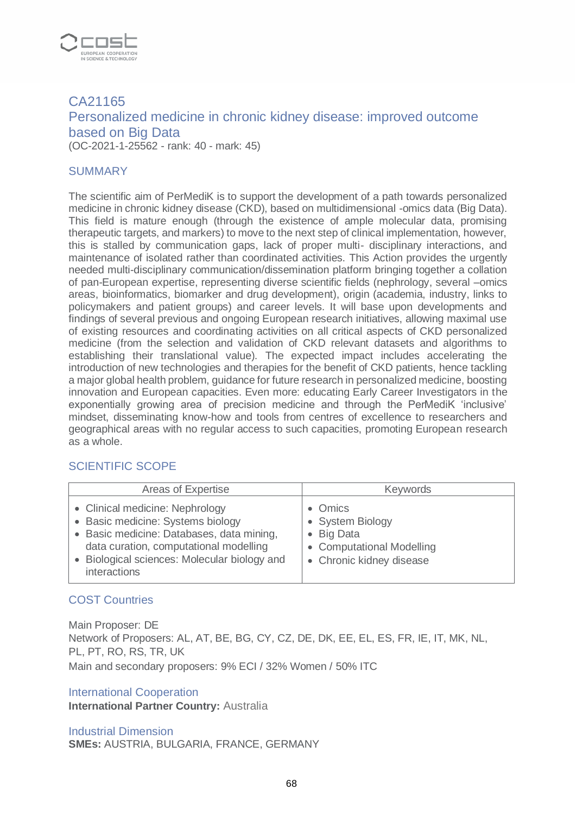

# CA21165 Personalized medicine in chronic kidney disease: improved outcome based on Big Data (OC-2021-1-25562 - rank: 40 - mark: 45)

#### **SUMMARY**

The scientific aim of PerMediK is to support the development of a path towards personalized medicine in chronic kidney disease (CKD), based on multidimensional -omics data (Big Data). This field is mature enough (through the existence of ample molecular data, promising therapeutic targets, and markers) to move to the next step of clinical implementation, however, this is stalled by communication gaps, lack of proper multi- disciplinary interactions, and maintenance of isolated rather than coordinated activities. This Action provides the urgently needed multi-disciplinary communication/dissemination platform bringing together a collation of pan-European expertise, representing diverse scientific fields (nephrology, several –omics areas, bioinformatics, biomarker and drug development), origin (academia, industry, links to policymakers and patient groups) and career levels. It will base upon developments and findings of several previous and ongoing European research initiatives, allowing maximal use of existing resources and coordinating activities on all critical aspects of CKD personalized medicine (from the selection and validation of CKD relevant datasets and algorithms to establishing their translational value). The expected impact includes accelerating the introduction of new technologies and therapies for the benefit of CKD patients, hence tackling a major global health problem, guidance for future research in personalized medicine, boosting innovation and European capacities. Even more: educating Early Career Investigators in the exponentially growing area of precision medicine and through the PerMediK 'inclusive' mindset, disseminating know-how and tools from centres of excellence to researchers and geographical areas with no regular access to such capacities, promoting European research as a whole.

#### SCIENTIFIC SCOPE

| Areas of Expertise                                                                                                                                                                                                          | <b>Keywords</b>                                                                                    |
|-----------------------------------------------------------------------------------------------------------------------------------------------------------------------------------------------------------------------------|----------------------------------------------------------------------------------------------------|
| • Clinical medicine: Nephrology<br>• Basic medicine: Systems biology<br>• Basic medicine: Databases, data mining,<br>data curation, computational modelling<br>• Biological sciences: Molecular biology and<br>interactions | • Omics<br>• System Biology<br>• Big Data<br>• Computational Modelling<br>• Chronic kidney disease |

#### COST Countries

Main Proposer: DE Network of Proposers: AL, AT, BE, BG, CY, CZ, DE, DK, EE, EL, ES, FR, IE, IT, MK, NL, PL, PT, RO, RS, TR, UK Main and secondary proposers: 9% ECI / 32% Women / 50% ITC

#### International Cooperation

**International Partner Country:** Australia

Industrial Dimension **SMEs:** AUSTRIA, BULGARIA, FRANCE, GERMANY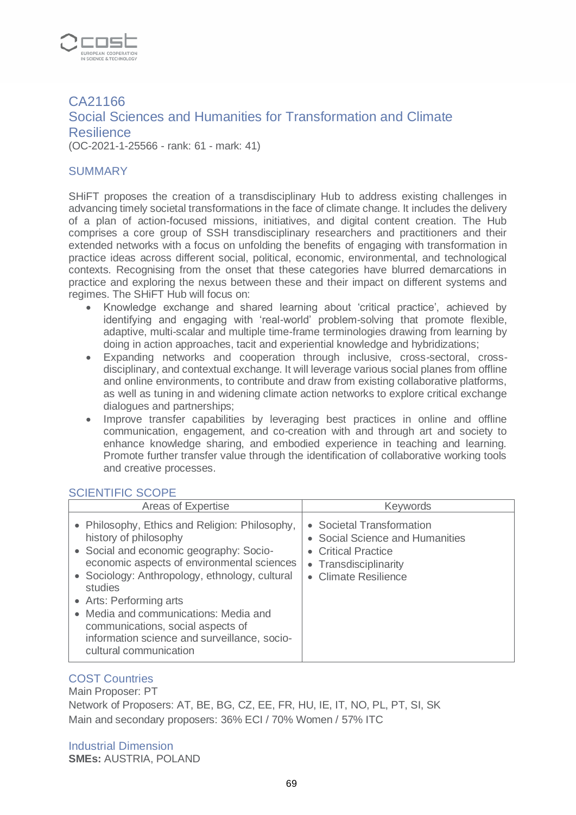

CA21166 Social Sciences and Humanities for Transformation and Climate **Resilience** (OC-2021-1-25566 - rank: 61 - mark: 41)

#### **SUMMARY**

SHiFT proposes the creation of a transdisciplinary Hub to address existing challenges in advancing timely societal transformations in the face of climate change. It includes the delivery of a plan of action-focused missions, initiatives, and digital content creation. The Hub comprises a core group of SSH transdisciplinary researchers and practitioners and their extended networks with a focus on unfolding the benefits of engaging with transformation in practice ideas across different social, political, economic, environmental, and technological contexts. Recognising from the onset that these categories have blurred demarcations in practice and exploring the nexus between these and their impact on different systems and regimes. The SHiFT Hub will focus on:

- Knowledge exchange and shared learning about 'critical practice', achieved by identifying and engaging with 'real-world' problem-solving that promote flexible, adaptive, multi-scalar and multiple time-frame terminologies drawing from learning by doing in action approaches, tacit and experiential knowledge and hybridizations;
- Expanding networks and cooperation through inclusive, cross-sectoral, crossdisciplinary, and contextual exchange. It will leverage various social planes from offline and online environments, to contribute and draw from existing collaborative platforms, as well as tuning in and widening climate action networks to explore critical exchange dialogues and partnerships;
- Improve transfer capabilities by leveraging best practices in online and offline communication, engagement, and co-creation with and through art and society to enhance knowledge sharing, and embodied experience in teaching and learning. Promote further transfer value through the identification of collaborative working tools and creative processes.

#### SCIENTIFIC SCOPE

| Areas of Expertise                                                                                                                                                                                                                                                                                                                                                                                               | <b>Keywords</b>                                                                                                                    |
|------------------------------------------------------------------------------------------------------------------------------------------------------------------------------------------------------------------------------------------------------------------------------------------------------------------------------------------------------------------------------------------------------------------|------------------------------------------------------------------------------------------------------------------------------------|
| • Philosophy, Ethics and Religion: Philosophy,<br>history of philosophy<br>• Social and economic geography: Socio-<br>economic aspects of environmental sciences<br>• Sociology: Anthropology, ethnology, cultural<br>studies<br>• Arts: Performing arts<br>• Media and communications: Media and<br>communications, social aspects of<br>information science and surveillance, socio-<br>cultural communication | • Societal Transformation<br>Social Science and Humanities<br>• Critical Practice<br>• Transdisciplinarity<br>• Climate Resilience |

#### COST Countries

Main Proposer: PT Network of Proposers: AT, BE, BG, CZ, EE, FR, HU, IE, IT, NO, PL, PT, SI, SK Main and secondary proposers: 36% ECI / 70% Women / 57% ITC

Industrial Dimension **SMEs:** AUSTRIA, POLAND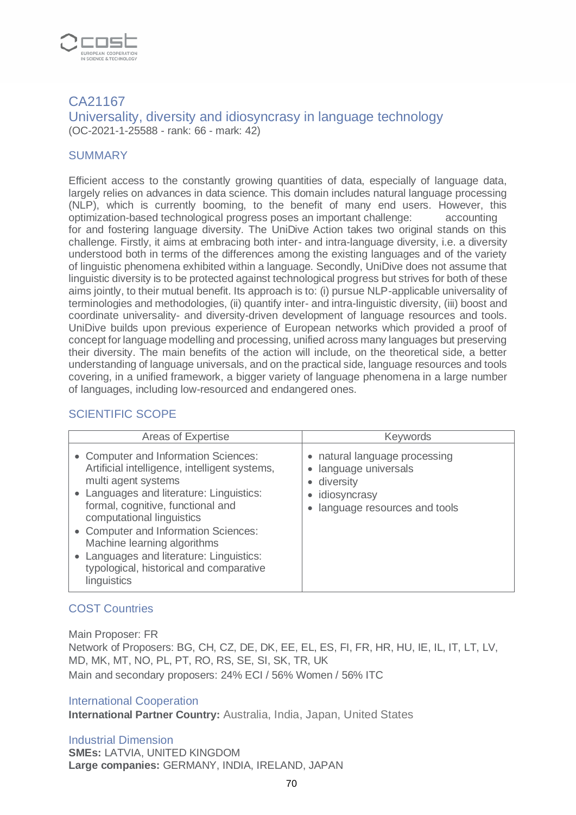

#### CA21167 Universality, diversity and idiosyncrasy in language technology (OC-2021-1-25588 - rank: 66 - mark: 42)

#### **SUMMARY**

Efficient access to the constantly growing quantities of data, especially of language data, largely relies on advances in data science. This domain includes natural language processing (NLP), which is currently booming, to the benefit of many end users. However, this optimization-based technological progress poses an important challenge: accounting for and fostering language diversity. The UniDive Action takes two original stands on this challenge. Firstly, it aims at embracing both inter- and intra-language diversity, i.e. a diversity understood both in terms of the differences among the existing languages and of the variety of linguistic phenomena exhibited within a language. Secondly, UniDive does not assume that linguistic diversity is to be protected against technological progress but strives for both of these aims jointly, to their mutual benefit. Its approach is to: (i) pursue NLP-applicable universality of terminologies and methodologies, (ii) quantify inter- and intra-linguistic diversity, (iii) boost and coordinate universality- and diversity-driven development of language resources and tools. UniDive builds upon previous experience of European networks which provided a proof of concept for language modelling and processing, unified across many languages but preserving their diversity. The main benefits of the action will include, on the theoretical side, a better understanding of language universals, and on the practical side, language resources and tools covering, in a unified framework, a bigger variety of language phenomena in a large number of languages, including low-resourced and endangered ones.

# SCIENTIFIC SCOPE

| Areas of Expertise                                                                                                                                                                                                                                                                                                                                                                                  | <b>Keywords</b>                                                                                                                |
|-----------------------------------------------------------------------------------------------------------------------------------------------------------------------------------------------------------------------------------------------------------------------------------------------------------------------------------------------------------------------------------------------------|--------------------------------------------------------------------------------------------------------------------------------|
| • Computer and Information Sciences:<br>Artificial intelligence, intelligent systems,<br>multi agent systems<br>Languages and literature: Linguistics:<br>formal, cognitive, functional and<br>computational linguistics<br>• Computer and Information Sciences:<br>Machine learning algorithms<br>Languages and literature: Linguistics:<br>typological, historical and comparative<br>linguistics | • natural language processing<br>language universals<br>$\bullet$<br>diversity<br>idiosyncrasy<br>language resources and tools |

# COST Countries

Main Proposer: FR

Network of Proposers: BG, CH, CZ, DE, DK, EE, EL, ES, FI, FR, HR, HU, IE, IL, IT, LT, LV, MD, MK, MT, NO, PL, PT, RO, RS, SE, SI, SK, TR, UK Main and secondary proposers: 24% ECI / 56% Women / 56% ITC

#### International Cooperation

**International Partner Country:** Australia, India, Japan, United States

#### Industrial Dimension

**SMEs:** LATVIA, UNITED KINGDOM **Large companies:** GERMANY, INDIA, IRELAND, JAPAN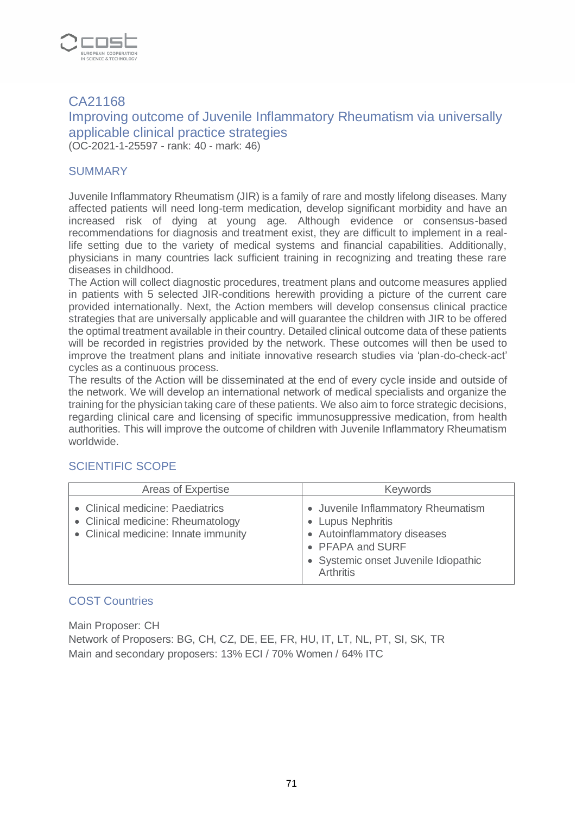

# CA21168 Improving outcome of Juvenile Inflammatory Rheumatism via universally applicable clinical practice strategies (OC-2021-1-25597 - rank: 40 - mark: 46)

#### **SUMMARY**

Juvenile Inflammatory Rheumatism (JIR) is a family of rare and mostly lifelong diseases. Many affected patients will need long-term medication, develop significant morbidity and have an increased risk of dying at young age. Although evidence or consensus-based recommendations for diagnosis and treatment exist, they are difficult to implement in a reallife setting due to the variety of medical systems and financial capabilities. Additionally, physicians in many countries lack sufficient training in recognizing and treating these rare diseases in childhood.

The Action will collect diagnostic procedures, treatment plans and outcome measures applied in patients with 5 selected JIR-conditions herewith providing a picture of the current care provided internationally. Next, the Action members will develop consensus clinical practice strategies that are universally applicable and will guarantee the children with JIR to be offered the optimal treatment available in their country. Detailed clinical outcome data of these patients will be recorded in registries provided by the network. These outcomes will then be used to improve the treatment plans and initiate innovative research studies via 'plan-do-check-act' cycles as a continuous process.

The results of the Action will be disseminated at the end of every cycle inside and outside of the network. We will develop an international network of medical specialists and organize the training for the physician taking care of these patients. We also aim to force strategic decisions, regarding clinical care and licensing of specific immunosuppressive medication, from health authorities. This will improve the outcome of children with Juvenile Inflammatory Rheumatism worldwide.

#### SCIENTIFIC SCOPE

| Areas of Expertise                                                                                            | <b>Keywords</b>                                                                                                                                                 |
|---------------------------------------------------------------------------------------------------------------|-----------------------------------------------------------------------------------------------------------------------------------------------------------------|
| • Clinical medicine: Paediatrics<br>• Clinical medicine: Rheumatology<br>• Clinical medicine: Innate immunity | • Juvenile Inflammatory Rheumatism<br>• Lupus Nephritis<br>• Autoinflammatory diseases<br>• PFAPA and SURF<br>• Systemic onset Juvenile Idiopathic<br>Arthritis |

#### COST Countries

Main Proposer: CH Network of Proposers: BG, CH, CZ, DE, EE, FR, HU, IT, LT, NL, PT, SI, SK, TR Main and secondary proposers: 13% ECI / 70% Women / 64% ITC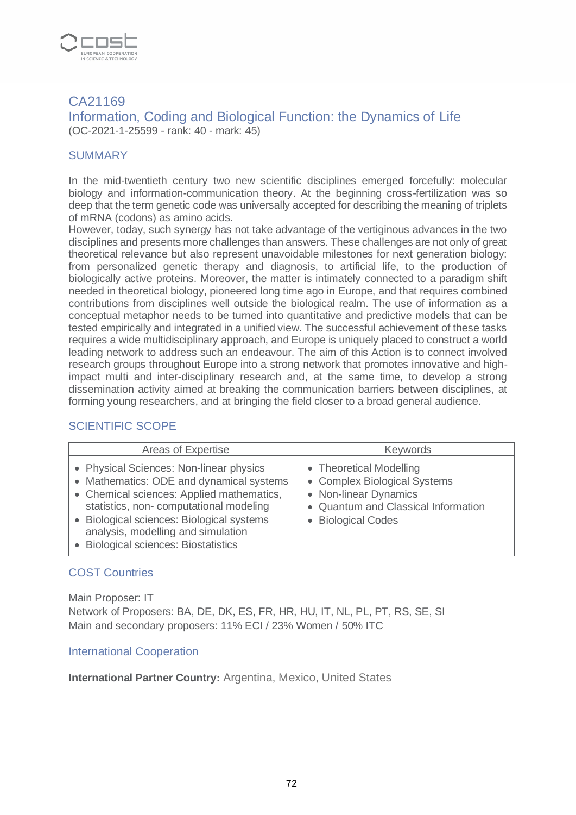

# CA21169

Information, Coding and Biological Function: the Dynamics of Life (OC-2021-1-25599 - rank: 40 - mark: 45)

# **SUMMARY**

In the mid-twentieth century two new scientific disciplines emerged forcefully: molecular biology and information-communication theory. At the beginning cross-fertilization was so deep that the term genetic code was universally accepted for describing the meaning of triplets of mRNA (codons) as amino acids.

However, today, such synergy has not take advantage of the vertiginous advances in the two disciplines and presents more challenges than answers. These challenges are not only of great theoretical relevance but also represent unavoidable milestones for next generation biology: from personalized genetic therapy and diagnosis, to artificial life, to the production of biologically active proteins. Moreover, the matter is intimately connected to a paradigm shift needed in theoretical biology, pioneered long time ago in Europe, and that requires combined contributions from disciplines well outside the biological realm. The use of information as a conceptual metaphor needs to be turned into quantitative and predictive models that can be tested empirically and integrated in a unified view. The successful achievement of these tasks requires a wide multidisciplinary approach, and Europe is uniquely placed to construct a world leading network to address such an endeavour. The aim of this Action is to connect involved research groups throughout Europe into a strong network that promotes innovative and highimpact multi and inter-disciplinary research and, at the same time, to develop a strong dissemination activity aimed at breaking the communication barriers between disciplines, at forming young researchers, and at bringing the field closer to a broad general audience.

# SCIENTIFIC SCOPE

| Areas of Expertise                                                                                                                                                                                                                                                                                         | <b>Keywords</b>                                                                                                                                    |
|------------------------------------------------------------------------------------------------------------------------------------------------------------------------------------------------------------------------------------------------------------------------------------------------------------|----------------------------------------------------------------------------------------------------------------------------------------------------|
| • Physical Sciences: Non-linear physics<br>• Mathematics: ODE and dynamical systems<br>• Chemical sciences: Applied mathematics,<br>statistics, non-computational modeling<br>• Biological sciences: Biological systems<br>analysis, modelling and simulation<br><b>Biological sciences: Biostatistics</b> | • Theoretical Modelling<br>• Complex Biological Systems<br>• Non-linear Dynamics<br>• Quantum and Classical Information<br><b>Biological Codes</b> |

# COST Countries

Main Proposer: IT Network of Proposers: BA, DE, DK, ES, FR, HR, HU, IT, NL, PL, PT, RS, SE, SI Main and secondary proposers: 11% ECI / 23% Women / 50% ITC

#### International Cooperation

**International Partner Country:** Argentina, Mexico, United States